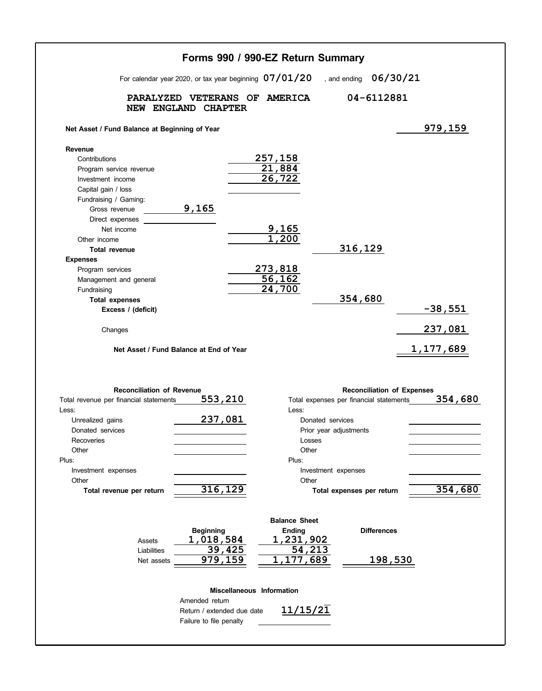|                                                                                                                                                                                                                                                                                                                                                              | Forms 990 / 990-EZ Return Summary                                                                                                                                 |                                                                                            |                                                                                                                                           |                                                         |
|--------------------------------------------------------------------------------------------------------------------------------------------------------------------------------------------------------------------------------------------------------------------------------------------------------------------------------------------------------------|-------------------------------------------------------------------------------------------------------------------------------------------------------------------|--------------------------------------------------------------------------------------------|-------------------------------------------------------------------------------------------------------------------------------------------|---------------------------------------------------------|
|                                                                                                                                                                                                                                                                                                                                                              | For calendar year 2020, or tax year beginning 07/01/20                                                                                                            |                                                                                            | , and ending $06/30/21$                                                                                                                   |                                                         |
|                                                                                                                                                                                                                                                                                                                                                              | PARALYZED VETERANS OF<br>NEW ENGLAND CHAPTER                                                                                                                      | <b>AMERICA</b>                                                                             | 04-6112881                                                                                                                                |                                                         |
| Net Asset / Fund Balance at Beginning of Year                                                                                                                                                                                                                                                                                                                |                                                                                                                                                                   |                                                                                            |                                                                                                                                           | 979,159                                                 |
| Revenue<br>Contributions<br>Program service revenue<br>Investment income<br>Capital gain / loss<br>Fundraising / Gaming:<br>Gross revenue<br>Direct expenses<br>Net income<br>Other income<br><b>Total revenue</b><br><b>Expenses</b><br>Program services<br>Management and general<br>Fundraising<br><b>Total expenses</b><br>Excess / (deficit)<br>Changes | 9,165<br>Net Asset / Fund Balance at End of Year                                                                                                                  | 257,158<br>21,884<br>26,722<br>9,165<br>1,200<br>273,818<br>$\overline{56, 162}$<br>24,700 | 316,129<br>354,680                                                                                                                        | $-38,551$<br>237,081<br><u>1,177,689</u>                |
| <b>Reconciliation of Revenue</b><br>Total revenue per financial statements<br>Less:<br>Unrealized gains<br>Donated services<br>Recoveries<br>Other<br>Plus:<br>Investment expenses<br>Other<br>Total revenue per return                                                                                                                                      | 553,210<br>237,081<br>316,129                                                                                                                                     | Less:<br>Losses<br>Other<br>Plus:<br>Other                                                 | Total expenses per financial statements<br>Donated services<br>Prior year adjustments<br>Investment expenses<br>Total expenses per return | <b>Reconciliation of Expenses</b><br>354,680<br>354,680 |
| Assets<br>Liabilities<br>Net assets                                                                                                                                                                                                                                                                                                                          | <b>Beginning</b><br>1,018,584<br>39,425<br>979,159<br><b>Miscellaneous Information</b><br>Amended return<br>Return / extended due date<br>Failure to file penalty | <b>Balance Sheet</b><br><b>Ending</b><br>1,231,902<br>54,213<br>1,177,689<br>11/15/21      | <b>Differences</b>                                                                                                                        | 198,530                                                 |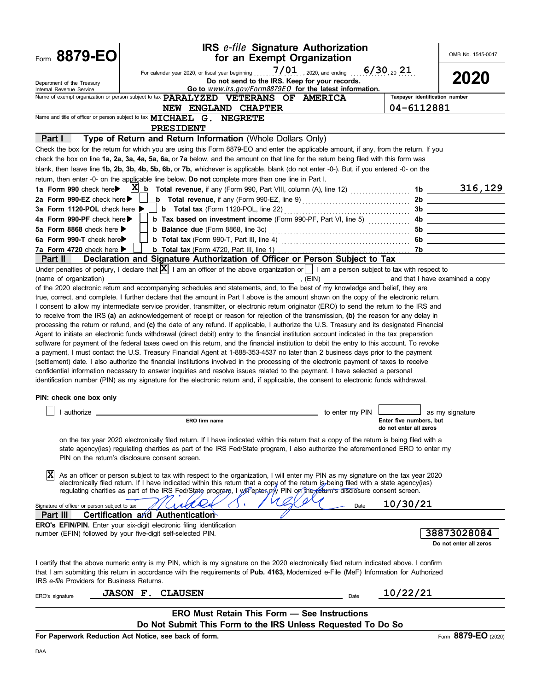| Form 8879-EO                                                            | <b>IRS e-file Signature Authorization</b><br>for an Exempt Organization                                                                                                                                                                                                                                                                                                                                                                                                                                                                                                                                                                                                                                                                                                                                                                                                                                                                                                                                                                                                                                                                                                                                                                                                                                                                                                                                                                                                                                                                                                                                                                                                                                                                                                                                                                                                                                   |                                                   | OMB No. 1545-0047                     |
|-------------------------------------------------------------------------|-----------------------------------------------------------------------------------------------------------------------------------------------------------------------------------------------------------------------------------------------------------------------------------------------------------------------------------------------------------------------------------------------------------------------------------------------------------------------------------------------------------------------------------------------------------------------------------------------------------------------------------------------------------------------------------------------------------------------------------------------------------------------------------------------------------------------------------------------------------------------------------------------------------------------------------------------------------------------------------------------------------------------------------------------------------------------------------------------------------------------------------------------------------------------------------------------------------------------------------------------------------------------------------------------------------------------------------------------------------------------------------------------------------------------------------------------------------------------------------------------------------------------------------------------------------------------------------------------------------------------------------------------------------------------------------------------------------------------------------------------------------------------------------------------------------------------------------------------------------------------------------------------------------|---------------------------------------------------|---------------------------------------|
| Department of the Treasury<br>Internal Revenue Service                  | For calendar year 2020, or fiscal year beginning $7/01$ , 2020, and ending<br>Do not send to the IRS. Keep for your records.<br>Go to www.irs.gov/Form8879EO for the latest information.                                                                                                                                                                                                                                                                                                                                                                                                                                                                                                                                                                                                                                                                                                                                                                                                                                                                                                                                                                                                                                                                                                                                                                                                                                                                                                                                                                                                                                                                                                                                                                                                                                                                                                                  | $6/30_{20}$ 21                                    | 2020                                  |
|                                                                         | Name of exempt organization or person subject to tax PARALYZED VETERANS OF AMERICA                                                                                                                                                                                                                                                                                                                                                                                                                                                                                                                                                                                                                                                                                                                                                                                                                                                                                                                                                                                                                                                                                                                                                                                                                                                                                                                                                                                                                                                                                                                                                                                                                                                                                                                                                                                                                        | Taxpayer identification number                    |                                       |
|                                                                         | NEW ENGLAND CHAPTER                                                                                                                                                                                                                                                                                                                                                                                                                                                                                                                                                                                                                                                                                                                                                                                                                                                                                                                                                                                                                                                                                                                                                                                                                                                                                                                                                                                                                                                                                                                                                                                                                                                                                                                                                                                                                                                                                       | 04-6112881                                        |                                       |
|                                                                         | Name and title of officer or person subject to tax MICHAEL G. NEGRETE                                                                                                                                                                                                                                                                                                                                                                                                                                                                                                                                                                                                                                                                                                                                                                                                                                                                                                                                                                                                                                                                                                                                                                                                                                                                                                                                                                                                                                                                                                                                                                                                                                                                                                                                                                                                                                     |                                                   |                                       |
|                                                                         | PRESIDENT                                                                                                                                                                                                                                                                                                                                                                                                                                                                                                                                                                                                                                                                                                                                                                                                                                                                                                                                                                                                                                                                                                                                                                                                                                                                                                                                                                                                                                                                                                                                                                                                                                                                                                                                                                                                                                                                                                 |                                                   |                                       |
| Part I                                                                  | Type of Return and Return Information (Whole Dollars Only)<br>Check the box for the return for which you are using this Form 8879-EO and enter the applicable amount, if any, from the return. If you                                                                                                                                                                                                                                                                                                                                                                                                                                                                                                                                                                                                                                                                                                                                                                                                                                                                                                                                                                                                                                                                                                                                                                                                                                                                                                                                                                                                                                                                                                                                                                                                                                                                                                     |                                                   |                                       |
|                                                                         | check the box on line 1a, 2a, 3a, 4a, 5a, 6a, or 7a below, and the amount on that line for the return being filed with this form was                                                                                                                                                                                                                                                                                                                                                                                                                                                                                                                                                                                                                                                                                                                                                                                                                                                                                                                                                                                                                                                                                                                                                                                                                                                                                                                                                                                                                                                                                                                                                                                                                                                                                                                                                                      |                                                   |                                       |
|                                                                         | blank, then leave line 1b, 2b, 3b, 4b, 5b, 6b, or 7b, whichever is applicable, blank (do not enter -0-). But, if you entered -0- on the                                                                                                                                                                                                                                                                                                                                                                                                                                                                                                                                                                                                                                                                                                                                                                                                                                                                                                                                                                                                                                                                                                                                                                                                                                                                                                                                                                                                                                                                                                                                                                                                                                                                                                                                                                   |                                                   |                                       |
|                                                                         | return, then enter -0- on the applicable line below. Do not complete more than one line in Part I.                                                                                                                                                                                                                                                                                                                                                                                                                                                                                                                                                                                                                                                                                                                                                                                                                                                                                                                                                                                                                                                                                                                                                                                                                                                                                                                                                                                                                                                                                                                                                                                                                                                                                                                                                                                                        |                                                   |                                       |
| 1a Form 990 check here                                                  | $X_{b}$ Total revenue, if any (Form 990, Part VIII, column (A), line 12) $\ldots$                                                                                                                                                                                                                                                                                                                                                                                                                                                                                                                                                                                                                                                                                                                                                                                                                                                                                                                                                                                                                                                                                                                                                                                                                                                                                                                                                                                                                                                                                                                                                                                                                                                                                                                                                                                                                         |                                                   | $1b$ 316, 129                         |
| 2a Form 990-EZ check here ▶                                             | <b>b</b> Total revenue, if any (Form 990-EZ, line 9) <b>Constant Constant Constant Constant</b>                                                                                                                                                                                                                                                                                                                                                                                                                                                                                                                                                                                                                                                                                                                                                                                                                                                                                                                                                                                                                                                                                                                                                                                                                                                                                                                                                                                                                                                                                                                                                                                                                                                                                                                                                                                                           |                                                   |                                       |
| 3a Form 1120-POL check here ▶                                           |                                                                                                                                                                                                                                                                                                                                                                                                                                                                                                                                                                                                                                                                                                                                                                                                                                                                                                                                                                                                                                                                                                                                                                                                                                                                                                                                                                                                                                                                                                                                                                                                                                                                                                                                                                                                                                                                                                           |                                                   |                                       |
| 4a Form 990-PF check here                                               | b Tax based on investment income (Form 990-PF, Part VI, line 5)                                                                                                                                                                                                                                                                                                                                                                                                                                                                                                                                                                                                                                                                                                                                                                                                                                                                                                                                                                                                                                                                                                                                                                                                                                                                                                                                                                                                                                                                                                                                                                                                                                                                                                                                                                                                                                           |                                                   |                                       |
| 5a Form 8868 check here ▶                                               |                                                                                                                                                                                                                                                                                                                                                                                                                                                                                                                                                                                                                                                                                                                                                                                                                                                                                                                                                                                                                                                                                                                                                                                                                                                                                                                                                                                                                                                                                                                                                                                                                                                                                                                                                                                                                                                                                                           | 5b                                                |                                       |
| 6a Form 990-T check here                                                |                                                                                                                                                                                                                                                                                                                                                                                                                                                                                                                                                                                                                                                                                                                                                                                                                                                                                                                                                                                                                                                                                                                                                                                                                                                                                                                                                                                                                                                                                                                                                                                                                                                                                                                                                                                                                                                                                                           | 6b                                                |                                       |
| 7a Form 4720 check here $\blacktriangleright$<br><b>Part II</b>         | Declaration and Signature Authorization of Officer or Person Subject to Tax                                                                                                                                                                                                                                                                                                                                                                                                                                                                                                                                                                                                                                                                                                                                                                                                                                                                                                                                                                                                                                                                                                                                                                                                                                                                                                                                                                                                                                                                                                                                                                                                                                                                                                                                                                                                                               |                                                   |                                       |
| (name of organization)<br>PIN: check one box only<br>$\Box$ I authorize | Under penalties of perjury, I declare that $ \mathbf{X} $ I am an officer of the above organization or $ $ I am a person subject to tax with respect to<br>, $(EIN)$<br>of the 2020 electronic return and accompanying schedules and statements, and, to the best of my knowledge and belief, they are<br>true, correct, and complete. I further declare that the amount in Part I above is the amount shown on the copy of the electronic return.<br>I consent to allow my intermediate service provider, transmitter, or electronic return originator (ERO) to send the return to the IRS and<br>to receive from the IRS (a) an acknowledgement of receipt or reason for rejection of the transmission, (b) the reason for any delay in<br>processing the return or refund, and (c) the date of any refund. If applicable, I authorize the U.S. Treasury and its designated Financial<br>Agent to initiate an electronic funds withdrawal (direct debit) entry to the financial institution account indicated in the tax preparation<br>software for payment of the federal taxes owed on this return, and the financial institution to debit the entry to this account. To revoke<br>a payment, I must contact the U.S. Treasury Financial Agent at 1-888-353-4537 no later than 2 business days prior to the payment<br>(settlement) date. I also authorize the financial institutions involved in the processing of the electronic payment of taxes to receive<br>confidential information necessary to answer inquiries and resolve issues related to the payment. I have selected a personal<br>identification number (PIN) as my signature for the electronic return and, if applicable, the consent to electronic funds withdrawal.<br>ERO firm name<br>on the tax year 2020 electronically filed return. If I have indicated within this return that a copy of the return is being filed with a | Enter five numbers, but<br>do not enter all zeros | and that I have examined a copy       |
| ΙX                                                                      | state agency(ies) regulating charities as part of the IRS Fed/State program, I also authorize the aforementioned ERO to enter my<br>PIN on the return's disclosure consent screen.<br>As an officer or person subject to tax with respect to the organization, I will enter my PIN as my signature on the tax year 2020<br>electronically filed return. If I have indicated within this return that a copy of the return is being filed with a state agency(ies)<br>regulating charities as part of the IRS Fed/State program, I will enter my PIN on the return's disclosure consent screen.                                                                                                                                                                                                                                                                                                                                                                                                                                                                                                                                                                                                                                                                                                                                                                                                                                                                                                                                                                                                                                                                                                                                                                                                                                                                                                             |                                                   |                                       |
| Signature of officer or person subject to tax                           | Date                                                                                                                                                                                                                                                                                                                                                                                                                                                                                                                                                                                                                                                                                                                                                                                                                                                                                                                                                                                                                                                                                                                                                                                                                                                                                                                                                                                                                                                                                                                                                                                                                                                                                                                                                                                                                                                                                                      | 10/30/21                                          |                                       |
| Part III                                                                | Certification and Authentication<br>ERO's EFIN/PIN. Enter your six-digit electronic filing identification                                                                                                                                                                                                                                                                                                                                                                                                                                                                                                                                                                                                                                                                                                                                                                                                                                                                                                                                                                                                                                                                                                                                                                                                                                                                                                                                                                                                                                                                                                                                                                                                                                                                                                                                                                                                 |                                                   |                                       |
|                                                                         | number (EFIN) followed by your five-digit self-selected PIN.                                                                                                                                                                                                                                                                                                                                                                                                                                                                                                                                                                                                                                                                                                                                                                                                                                                                                                                                                                                                                                                                                                                                                                                                                                                                                                                                                                                                                                                                                                                                                                                                                                                                                                                                                                                                                                              |                                                   | 38873028084<br>Do not enter all zeros |
| IRS e-file Providers for Business Returns.                              | I certify that the above numeric entry is my PIN, which is my signature on the 2020 electronically filed return indicated above. I confirm<br>that I am submitting this return in accordance with the requirements of Pub. 4163, Modernized e-File (MeF) Information for Authorized                                                                                                                                                                                                                                                                                                                                                                                                                                                                                                                                                                                                                                                                                                                                                                                                                                                                                                                                                                                                                                                                                                                                                                                                                                                                                                                                                                                                                                                                                                                                                                                                                       |                                                   |                                       |
| ERO's signature                                                         | <b>JASON F. CLAUSEN</b><br>Date                                                                                                                                                                                                                                                                                                                                                                                                                                                                                                                                                                                                                                                                                                                                                                                                                                                                                                                                                                                                                                                                                                                                                                                                                                                                                                                                                                                                                                                                                                                                                                                                                                                                                                                                                                                                                                                                           | 10/22/21                                          |                                       |
|                                                                         | <b>ERO Must Retain This Form - See Instructions</b>                                                                                                                                                                                                                                                                                                                                                                                                                                                                                                                                                                                                                                                                                                                                                                                                                                                                                                                                                                                                                                                                                                                                                                                                                                                                                                                                                                                                                                                                                                                                                                                                                                                                                                                                                                                                                                                       |                                                   |                                       |
|                                                                         | Do Not Submit This Form to the IRS Unless Requested To Do So                                                                                                                                                                                                                                                                                                                                                                                                                                                                                                                                                                                                                                                                                                                                                                                                                                                                                                                                                                                                                                                                                                                                                                                                                                                                                                                                                                                                                                                                                                                                                                                                                                                                                                                                                                                                                                              |                                                   |                                       |
|                                                                         | For Paperwork Reduction Act Notice, see back of form.                                                                                                                                                                                                                                                                                                                                                                                                                                                                                                                                                                                                                                                                                                                                                                                                                                                                                                                                                                                                                                                                                                                                                                                                                                                                                                                                                                                                                                                                                                                                                                                                                                                                                                                                                                                                                                                     |                                                   | Form 8879-EO (2020)                   |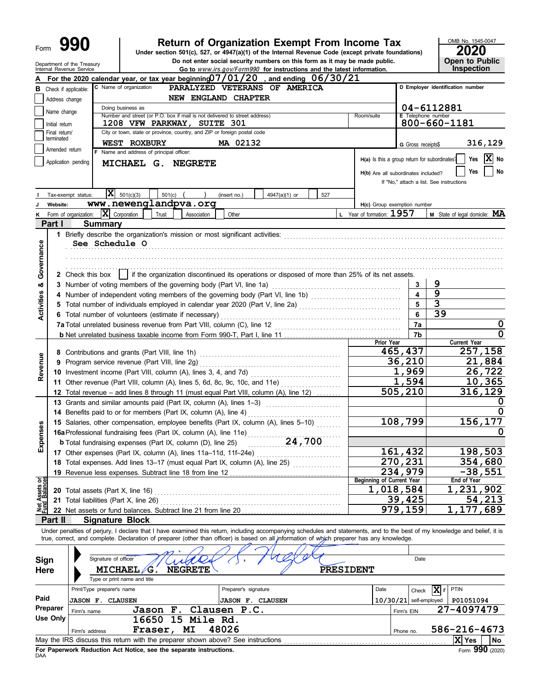# **990 200 2020**<br>
Under section 501(c), 527, or 4947(a)(1) of the Internal Revenue Code (except private foundations)

Department of the Treasury **Depentity Fig. 1.1 Consumer Social security numbers on this form as it may be made public. Copentity Public<br>Internal Revenue Service <b>Copentity Copen Consumer Copentity** Gotto www.irs.gov/Form99

OMB No. 1545-0047 **Inspection** 

|                                |                      |                         |                                                                                                                         |                                                 |          |                                                                    |  |                                                                                 | of the manufacture of the control of the control of the ratest information.<br>For the 2020 calendar year, or tax year beginning $07/01/20$ , and ending $06/30/21$                                                                                                                                                     |     |           |                                               |              |                          |                                          |                               |                |
|--------------------------------|----------------------|-------------------------|-------------------------------------------------------------------------------------------------------------------------|-------------------------------------------------|----------|--------------------------------------------------------------------|--|---------------------------------------------------------------------------------|-------------------------------------------------------------------------------------------------------------------------------------------------------------------------------------------------------------------------------------------------------------------------------------------------------------------------|-----|-----------|-----------------------------------------------|--------------|--------------------------|------------------------------------------|-------------------------------|----------------|
| в                              | Check if applicable: |                         | C Name of organization<br>D Employer identification number<br>PARALYZED VETERANS OF AMERICA                             |                                                 |          |                                                                    |  |                                                                                 |                                                                                                                                                                                                                                                                                                                         |     |           |                                               |              |                          |                                          |                               |                |
|                                | Address change       |                         | NEW ENGLAND CHAPTER                                                                                                     |                                                 |          |                                                                    |  |                                                                                 |                                                                                                                                                                                                                                                                                                                         |     |           |                                               |              |                          |                                          |                               |                |
|                                | Name change          |                         |                                                                                                                         | Doing business as                               |          |                                                                    |  |                                                                                 |                                                                                                                                                                                                                                                                                                                         |     |           |                                               |              |                          | 04-6112881                               |                               |                |
|                                | Initial return       |                         | Number and street (or P.O. box if mail is not delivered to street address)<br>Room/suite<br>1208 VFW PARKWAY, SUITE 301 |                                                 |          |                                                                    |  |                                                                                 |                                                                                                                                                                                                                                                                                                                         |     |           | <b>E</b> Telephone number                     | 800-660-1181 |                          |                                          |                               |                |
|                                | Final return/        |                         |                                                                                                                         |                                                 |          |                                                                    |  | City or town, state or province, country, and ZIP or foreign postal code        |                                                                                                                                                                                                                                                                                                                         |     |           |                                               |              |                          |                                          |                               |                |
|                                | terminated           |                         |                                                                                                                         | WEST ROXBURY                                    |          |                                                                    |  | MA 02132                                                                        |                                                                                                                                                                                                                                                                                                                         |     |           |                                               |              |                          |                                          |                               | 316,129        |
|                                | Amended return       |                         |                                                                                                                         | F Name and address of principal officer:        |          |                                                                    |  |                                                                                 |                                                                                                                                                                                                                                                                                                                         |     |           |                                               |              | G Gross receipts\$       |                                          |                               |                |
|                                |                      | Application pending     |                                                                                                                         |                                                 |          | MICHAEL G. NEGRETE                                                 |  |                                                                                 |                                                                                                                                                                                                                                                                                                                         |     |           | H(a) Is this a group return for subordinates? |              |                          |                                          | Yes                           | $ X $ No       |
|                                |                      |                         |                                                                                                                         |                                                 |          |                                                                    |  |                                                                                 |                                                                                                                                                                                                                                                                                                                         |     |           | H(b) Are all subordinates included?           |              |                          |                                          | Yes                           | No             |
|                                |                      |                         |                                                                                                                         |                                                 |          |                                                                    |  |                                                                                 |                                                                                                                                                                                                                                                                                                                         |     |           |                                               |              |                          | If "No," attach a list. See instructions |                               |                |
|                                |                      |                         |                                                                                                                         |                                                 |          |                                                                    |  |                                                                                 |                                                                                                                                                                                                                                                                                                                         |     |           |                                               |              |                          |                                          |                               |                |
|                                |                      | Tax-exempt status:      | ΙXΙ                                                                                                                     | 501(c)(3)                                       | 501(c)   |                                                                    |  | (insert no.)                                                                    | 4947(a)(1) or                                                                                                                                                                                                                                                                                                           | 527 |           |                                               |              |                          |                                          |                               |                |
|                                | Website:             |                         |                                                                                                                         |                                                 |          | www.newenglandpva.org                                              |  |                                                                                 |                                                                                                                                                                                                                                                                                                                         |     |           | H(c) Group exemption number                   |              |                          |                                          |                               |                |
|                                |                      | K Form of organization: |                                                                                                                         | $ \mathbf{X} $ Corporation                      | Trust    | Association                                                        |  | Other                                                                           |                                                                                                                                                                                                                                                                                                                         |     |           | L Year of formation: 1957                     |              |                          |                                          | M State of legal domicile: MA |                |
|                                | Part I               |                         | <b>Summary</b>                                                                                                          |                                                 |          |                                                                    |  |                                                                                 |                                                                                                                                                                                                                                                                                                                         |     |           |                                               |              |                          |                                          |                               |                |
|                                |                      |                         |                                                                                                                         |                                                 |          |                                                                    |  |                                                                                 |                                                                                                                                                                                                                                                                                                                         |     |           |                                               |              |                          |                                          |                               |                |
| Governance                     |                      |                         |                                                                                                                         | See Schedule O                                  |          |                                                                    |  |                                                                                 |                                                                                                                                                                                                                                                                                                                         |     |           |                                               |              |                          |                                          |                               |                |
|                                |                      |                         |                                                                                                                         |                                                 |          |                                                                    |  |                                                                                 |                                                                                                                                                                                                                                                                                                                         |     |           |                                               |              |                          |                                          |                               |                |
|                                |                      |                         |                                                                                                                         |                                                 |          |                                                                    |  |                                                                                 |                                                                                                                                                                                                                                                                                                                         |     |           |                                               |              |                          |                                          |                               |                |
|                                |                      | 2 Check this box        |                                                                                                                         |                                                 |          |                                                                    |  |                                                                                 | if the organization discontinued its operations or disposed of more than 25% of its net assets.                                                                                                                                                                                                                         |     |           |                                               |              |                          |                                          |                               |                |
| య                              |                      |                         |                                                                                                                         |                                                 |          |                                                                    |  | 3 Number of voting members of the governing body (Part VI, line 1a)             |                                                                                                                                                                                                                                                                                                                         |     |           |                                               |              | 3                        | 9                                        |                               |                |
|                                |                      |                         |                                                                                                                         |                                                 |          |                                                                    |  |                                                                                 | 4 Number of independent voting members of the governing body (Part VI, line 1b)                                                                                                                                                                                                                                         |     |           |                                               |              |                          | 9                                        |                               |                |
| <b>Activities</b>              |                      |                         |                                                                                                                         |                                                 |          |                                                                    |  |                                                                                 |                                                                                                                                                                                                                                                                                                                         |     |           |                                               |              |                          | 3                                        |                               |                |
|                                | 5                    |                         |                                                                                                                         |                                                 |          |                                                                    |  |                                                                                 | Total number of individuals employed in calendar year 2020 (Part V, line 2a) [[[[[[[[[[[[[[[[[[[[[[[[[[[[[[[[                                                                                                                                                                                                           |     |           |                                               |              |                          |                                          |                               |                |
|                                |                      |                         |                                                                                                                         |                                                 |          | 6 Total number of volunteers (estimate if necessary)               |  |                                                                                 |                                                                                                                                                                                                                                                                                                                         |     |           |                                               |              | 6                        | 39                                       |                               |                |
|                                |                      |                         |                                                                                                                         |                                                 |          |                                                                    |  |                                                                                 |                                                                                                                                                                                                                                                                                                                         |     |           |                                               |              | 7a                       |                                          |                               | 0              |
|                                |                      |                         |                                                                                                                         |                                                 |          |                                                                    |  |                                                                                 |                                                                                                                                                                                                                                                                                                                         |     |           |                                               |              | 7b                       |                                          |                               | 0              |
|                                |                      |                         |                                                                                                                         |                                                 |          |                                                                    |  |                                                                                 |                                                                                                                                                                                                                                                                                                                         |     |           | <b>Prior Year</b>                             |              |                          |                                          | <b>Current Year</b>           |                |
|                                |                      |                         |                                                                                                                         | 8 Contributions and grants (Part VIII, line 1h) |          |                                                                    |  |                                                                                 |                                                                                                                                                                                                                                                                                                                         |     |           |                                               |              | 465,437                  |                                          |                               | <u>257,158</u> |
| Revenue                        |                      |                         |                                                                                                                         |                                                 |          | 9 Program service revenue (Part VIII, line 2g)                     |  |                                                                                 |                                                                                                                                                                                                                                                                                                                         |     |           |                                               |              | 36,210                   |                                          |                               | 21,884         |
|                                |                      |                         |                                                                                                                         |                                                 |          | 10 Investment income (Part VIII, column (A), lines 3, 4, and 7d)   |  |                                                                                 |                                                                                                                                                                                                                                                                                                                         |     |           |                                               |              | 1,969                    |                                          |                               | 26,722         |
|                                |                      |                         |                                                                                                                         |                                                 |          |                                                                    |  |                                                                                 | 11 Other revenue (Part VIII, column (A), lines 5, 6d, 8c, 9c, 10c, and 11e)                                                                                                                                                                                                                                             |     |           |                                               |              | 1,594                    |                                          |                               | 10,365         |
|                                |                      |                         |                                                                                                                         |                                                 |          |                                                                    |  |                                                                                 | 12 Total revenue – add lines 8 through 11 (must equal Part VIII, column (A), line 12)                                                                                                                                                                                                                                   |     |           |                                               |              | 505,210                  |                                          |                               | 316,129        |
|                                |                      |                         |                                                                                                                         |                                                 |          |                                                                    |  | 13 Grants and similar amounts paid (Part IX, column (A), lines 1-3)             |                                                                                                                                                                                                                                                                                                                         |     |           |                                               |              |                          |                                          |                               | O              |
|                                |                      |                         |                                                                                                                         |                                                 |          | 14 Benefits paid to or for members (Part IX, column (A), line 4)   |  |                                                                                 |                                                                                                                                                                                                                                                                                                                         |     |           |                                               |              |                          |                                          |                               |                |
|                                |                      |                         |                                                                                                                         |                                                 |          |                                                                    |  |                                                                                 | 15 Salaries, other compensation, employee benefits (Part IX, column (A), lines 5-10)                                                                                                                                                                                                                                    |     |           |                                               |              | 108,799                  |                                          |                               | 156,177        |
| coenses                        |                      |                         |                                                                                                                         |                                                 |          | 16a Professional fundraising fees (Part IX, column (A), line 11e)  |  |                                                                                 |                                                                                                                                                                                                                                                                                                                         |     |           |                                               |              |                          |                                          |                               |                |
|                                |                      |                         |                                                                                                                         |                                                 |          | <b>b</b> Total fundraising expenses (Part IX, column (D), line 25) |  |                                                                                 | 24,700                                                                                                                                                                                                                                                                                                                  |     |           |                                               |              |                          |                                          |                               |                |
| шì                             |                      |                         |                                                                                                                         |                                                 |          |                                                                    |  | 17 Other expenses (Part IX, column (A), lines 11a-11d, 11f-24e)                 |                                                                                                                                                                                                                                                                                                                         |     |           |                                               |              | 161,432                  |                                          |                               | <u>198,503</u> |
|                                |                      |                         |                                                                                                                         |                                                 |          |                                                                    |  |                                                                                 | 18 Total expenses. Add lines 13-17 (must equal Part IX, column (A), line 25)                                                                                                                                                                                                                                            |     |           |                                               |              | 270,231                  |                                          |                               | 354,680        |
|                                |                      |                         |                                                                                                                         |                                                 |          |                                                                    |  |                                                                                 |                                                                                                                                                                                                                                                                                                                         |     |           |                                               |              | 234,979                  |                                          |                               | $-38,551$      |
|                                |                      |                         |                                                                                                                         |                                                 |          | 19 Revenue less expenses. Subtract line 18 from line 12            |  |                                                                                 |                                                                                                                                                                                                                                                                                                                         |     |           | <b>Beginning of Current Year</b>              |              |                          |                                          | End of Year                   |                |
| Net Assets or<br>Fund Balances |                      |                         |                                                                                                                         |                                                 |          |                                                                    |  |                                                                                 |                                                                                                                                                                                                                                                                                                                         |     |           | 1,018,584                                     |              |                          |                                          | 1,231,902                     |                |
|                                |                      |                         |                                                                                                                         | 21 Total liabilities (Part X, line 26)          |          |                                                                    |  |                                                                                 |                                                                                                                                                                                                                                                                                                                         |     |           |                                               |              | 39,425                   |                                          |                               | 54,213         |
|                                |                      |                         |                                                                                                                         |                                                 |          | 22 Net assets or fund balances. Subtract line 21 from line 20      |  |                                                                                 |                                                                                                                                                                                                                                                                                                                         |     |           |                                               |              | 979,159                  |                                          | 1,177,689                     |                |
|                                |                      |                         |                                                                                                                         |                                                 |          |                                                                    |  |                                                                                 |                                                                                                                                                                                                                                                                                                                         |     |           |                                               |              |                          |                                          |                               |                |
|                                | Part II              |                         |                                                                                                                         | <b>Signature Block</b>                          |          |                                                                    |  |                                                                                 |                                                                                                                                                                                                                                                                                                                         |     |           |                                               |              |                          |                                          |                               |                |
|                                |                      |                         |                                                                                                                         |                                                 |          |                                                                    |  |                                                                                 | Under penalties of perjury, I declare that I have examined this retum, including accompanying schedules and statements, and to the best of my knowledge and belief, it is<br>true, correct, and complete. Declaration of preparer (other than officer) is based on all information of which preparer has any knowledge. |     |           |                                               |              |                          |                                          |                               |                |
|                                |                      |                         |                                                                                                                         |                                                 |          |                                                                    |  |                                                                                 |                                                                                                                                                                                                                                                                                                                         |     |           |                                               |              |                          |                                          |                               |                |
|                                |                      |                         |                                                                                                                         |                                                 |          |                                                                    |  |                                                                                 |                                                                                                                                                                                                                                                                                                                         |     |           |                                               |              |                          |                                          |                               |                |
| Sign                           |                      |                         | Signature of officer                                                                                                    |                                                 |          |                                                                    |  |                                                                                 |                                                                                                                                                                                                                                                                                                                         |     |           |                                               |              | Date                     |                                          |                               |                |
| Here                           |                      |                         |                                                                                                                         | MICHAEL/G.                                      |          | <b>NEGRETE</b>                                                     |  |                                                                                 |                                                                                                                                                                                                                                                                                                                         |     | PRESIDENT |                                               |              |                          |                                          |                               |                |
|                                |                      |                         |                                                                                                                         | Type or print name and title                    |          |                                                                    |  |                                                                                 |                                                                                                                                                                                                                                                                                                                         |     |           |                                               |              |                          |                                          |                               |                |
|                                |                      |                         | Print/Type preparer's name                                                                                              |                                                 |          |                                                                    |  | Preparer's signature                                                            |                                                                                                                                                                                                                                                                                                                         |     |           | Date                                          |              | Check                    | $ \mathbf{X} $ if                        | <b>PTIN</b>                   |                |
| Paid                           |                      | <b>JASON F. CLAUSEN</b> |                                                                                                                         |                                                 |          |                                                                    |  | <b>JASON F. CLAUSEN</b>                                                         |                                                                                                                                                                                                                                                                                                                         |     |           |                                               |              | $10/30/21$ self-employed |                                          | P01051094                     |                |
|                                | Preparer             | Firm's name             |                                                                                                                         |                                                 | Jason F. |                                                                    |  | Clausen P.C.                                                                    |                                                                                                                                                                                                                                                                                                                         |     |           |                                               | Firm's EIN   |                          |                                          | 27-4097479                    |                |
|                                | <b>Use Only</b>      |                         |                                                                                                                         |                                                 |          | 16650 15 Mile Rd.                                                  |  |                                                                                 |                                                                                                                                                                                                                                                                                                                         |     |           |                                               |              |                          |                                          |                               |                |
|                                |                      | Firm's address          |                                                                                                                         |                                                 | Fraser,  | MI                                                                 |  | 48026                                                                           |                                                                                                                                                                                                                                                                                                                         |     |           |                                               | Phone no.    |                          |                                          | 586-216-4673                  |                |
|                                |                      |                         |                                                                                                                         |                                                 |          |                                                                    |  | May the IRS discuss this return with the preparer shown above? See instructions |                                                                                                                                                                                                                                                                                                                         |     |           |                                               |              |                          |                                          | X Yes                         | No             |

|                                                                                                      | $\frac{1}{2}$ into $\frac{1}{2}$ ypc properties the indirection | r roparci o cigriataro            | pui | $\cup$ leck $\Delta$     | .            |  |  |
|------------------------------------------------------------------------------------------------------|-----------------------------------------------------------------|-----------------------------------|-----|--------------------------|--------------|--|--|
| Paid                                                                                                 | <b>JASON F.</b><br><b>CLAUSEN</b>                               | <b>CLAUSEN</b><br><b>JASON F.</b> |     | $10/30/21$ self-employed | P01051094    |  |  |
| Preparer                                                                                             | Jason F.<br>Firm's name                                         | Clausen P.C.                      |     | Firm's EIN               | 27-4097479   |  |  |
| Use Only                                                                                             | 16650 15 Mile Rd.                                               |                                   |     |                          |              |  |  |
|                                                                                                      | МI<br>Fraser,<br>Firm's address                                 | 48026                             |     | Phone no.                | 586-216-4673 |  |  |
| May the IRS discuss this return with the preparer shown above? See instructions<br>$ X $ Yes<br>l No |                                                                 |                                   |     |                          |              |  |  |
| Form 990 (2020)<br>For Paperwork Reduction Act Notice, see the separate instructions.<br>DAA         |                                                                 |                                   |     |                          |              |  |  |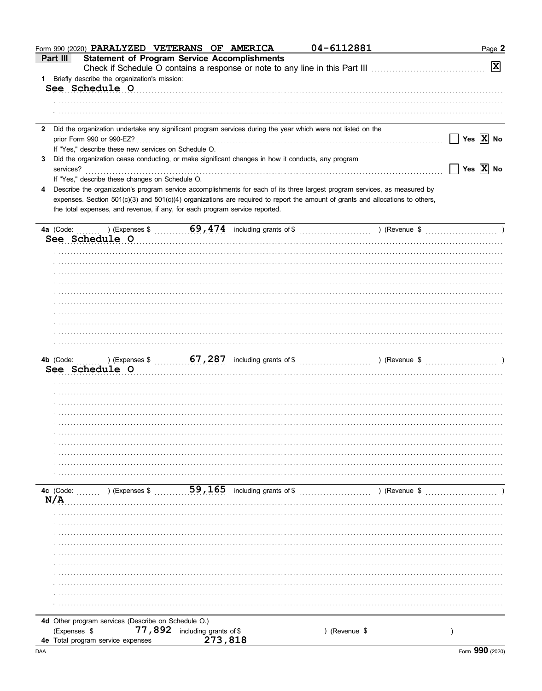|              | Form 990 (2020) PARALYZED VETERANS OF AMERICA                                                                |                                   | 04-6112881                                                                                                                     | Page 2                      |
|--------------|--------------------------------------------------------------------------------------------------------------|-----------------------------------|--------------------------------------------------------------------------------------------------------------------------------|-----------------------------|
| Part III     | <b>Statement of Program Service Accomplishments</b>                                                          |                                   |                                                                                                                                | $\mathbf{x}$                |
|              | 1 Briefly describe the organization's mission:                                                               |                                   |                                                                                                                                |                             |
|              | See Schedule O                                                                                               |                                   |                                                                                                                                |                             |
|              |                                                                                                              |                                   |                                                                                                                                |                             |
|              |                                                                                                              |                                   |                                                                                                                                |                             |
| $\mathbf{2}$ | Did the organization undertake any significant program services during the year which were not listed on the |                                   |                                                                                                                                |                             |
|              | prior Form 990 or 990-EZ?                                                                                    |                                   |                                                                                                                                | Yes $\boxed{\mathbf{X}}$ No |
|              | If "Yes," describe these new services on Schedule O.                                                         |                                   |                                                                                                                                |                             |
| 3            | Did the organization cease conducting, or make significant changes in how it conducts, any program           |                                   |                                                                                                                                |                             |
| services?    |                                                                                                              |                                   |                                                                                                                                | Yes $\boxed{\mathbf{X}}$ No |
|              | If "Yes," describe these changes on Schedule O.                                                              |                                   |                                                                                                                                |                             |
| 4            |                                                                                                              |                                   | Describe the organization's program service accomplishments for each of its three largest program services, as measured by     |                             |
|              |                                                                                                              |                                   | expenses. Section 501(c)(3) and 501(c)(4) organizations are required to report the amount of grants and allocations to others, |                             |
|              | the total expenses, and revenue, if any, for each program service reported.                                  |                                   |                                                                                                                                |                             |
|              |                                                                                                              |                                   |                                                                                                                                |                             |
|              | See Schedule O                                                                                               |                                   |                                                                                                                                |                             |
|              |                                                                                                              |                                   |                                                                                                                                |                             |
|              |                                                                                                              |                                   |                                                                                                                                |                             |
|              |                                                                                                              |                                   |                                                                                                                                |                             |
|              |                                                                                                              |                                   |                                                                                                                                |                             |
|              |                                                                                                              |                                   |                                                                                                                                |                             |
|              |                                                                                                              |                                   |                                                                                                                                |                             |
|              |                                                                                                              |                                   |                                                                                                                                |                             |
|              |                                                                                                              |                                   |                                                                                                                                |                             |
|              |                                                                                                              |                                   |                                                                                                                                |                             |
|              |                                                                                                              |                                   |                                                                                                                                |                             |
|              |                                                                                                              |                                   |                                                                                                                                |                             |
|              |                                                                                                              |                                   |                                                                                                                                |                             |
|              | See Schedule O                                                                                               |                                   |                                                                                                                                |                             |
|              |                                                                                                              |                                   |                                                                                                                                |                             |
|              |                                                                                                              |                                   |                                                                                                                                |                             |
|              |                                                                                                              |                                   |                                                                                                                                |                             |
|              |                                                                                                              |                                   |                                                                                                                                |                             |
|              |                                                                                                              |                                   |                                                                                                                                |                             |
|              |                                                                                                              |                                   |                                                                                                                                |                             |
|              |                                                                                                              |                                   |                                                                                                                                |                             |
|              |                                                                                                              |                                   |                                                                                                                                |                             |
|              |                                                                                                              |                                   |                                                                                                                                |                             |
|              |                                                                                                              |                                   |                                                                                                                                |                             |
|              |                                                                                                              |                                   |                                                                                                                                |                             |
|              |                                                                                                              |                                   |                                                                                                                                |                             |
|              | 4c $(Code:$ $\ldots$ $)$ $(Expenses \$                                                                       |                                   | ) (Revenue \$                                                                                                                  |                             |
| N/A          |                                                                                                              |                                   |                                                                                                                                |                             |
|              |                                                                                                              |                                   |                                                                                                                                |                             |
|              |                                                                                                              |                                   |                                                                                                                                |                             |
|              |                                                                                                              |                                   |                                                                                                                                |                             |
|              |                                                                                                              |                                   |                                                                                                                                |                             |
|              |                                                                                                              |                                   |                                                                                                                                |                             |
|              |                                                                                                              |                                   |                                                                                                                                |                             |
|              |                                                                                                              |                                   |                                                                                                                                |                             |
|              |                                                                                                              |                                   |                                                                                                                                |                             |
|              |                                                                                                              |                                   |                                                                                                                                |                             |
|              |                                                                                                              |                                   |                                                                                                                                |                             |
|              | 4d Other program services (Describe on Schedule O.)                                                          |                                   |                                                                                                                                |                             |
| (Expenses \$ | 77,892                                                                                                       | including grants of \$<br>273,818 | (Revenue \$                                                                                                                    |                             |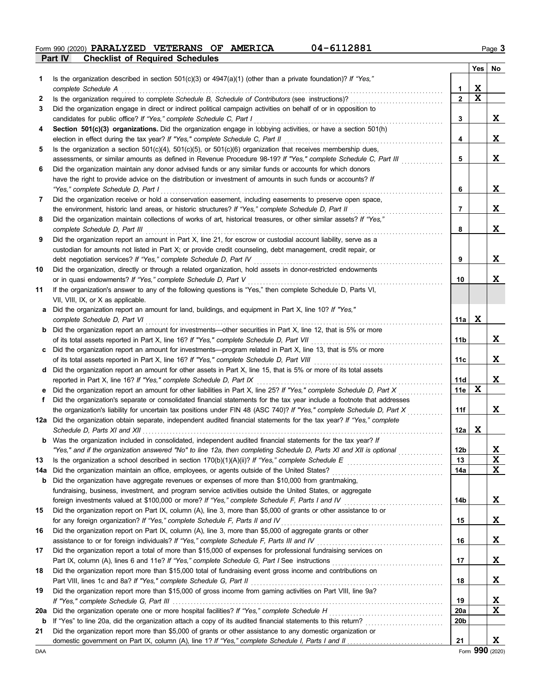**Part IV Checklist of Required Schedules Form 990 (2020) PARALYZED VETERANS OF AMERICA** 04-6112881 Page 3

|     |                                                                                                                                                                                                        |                  | Yes         | No          |
|-----|--------------------------------------------------------------------------------------------------------------------------------------------------------------------------------------------------------|------------------|-------------|-------------|
| 1   | Is the organization described in section $501(c)(3)$ or $4947(a)(1)$ (other than a private foundation)? If "Yes,"                                                                                      |                  |             |             |
|     | complete Schedule A                                                                                                                                                                                    | 1                | X           |             |
| 2   | Is the organization required to complete Schedule B, Schedule of Contributors (see instructions)?                                                                                                      | $\overline{2}$   | $\mathbf x$ |             |
| 3   | Did the organization engage in direct or indirect political campaign activities on behalf of or in opposition to                                                                                       |                  |             |             |
|     | candidates for public office? If "Yes," complete Schedule C, Part I                                                                                                                                    | 3                |             | X           |
| 4   | Section 501(c)(3) organizations. Did the organization engage in lobbying activities, or have a section 501(h)                                                                                          | 4                |             | X           |
| 5   | election in effect during the tax year? If "Yes," complete Schedule C, Part II<br>Is the organization a section $501(c)(4)$ , $501(c)(5)$ , or $501(c)(6)$ organization that receives membership dues, |                  |             |             |
|     | assessments, or similar amounts as defined in Revenue Procedure 98-19? If "Yes," complete Schedule C, Part III                                                                                         | 5                |             | X           |
| 6   | Did the organization maintain any donor advised funds or any similar funds or accounts for which donors                                                                                                |                  |             |             |
|     | have the right to provide advice on the distribution or investment of amounts in such funds or accounts? If                                                                                            |                  |             |             |
|     | "Yes," complete Schedule D, Part I                                                                                                                                                                     | 6                |             | X           |
| 7   | Did the organization receive or hold a conservation easement, including easements to preserve open space,                                                                                              |                  |             |             |
|     | the environment, historic land areas, or historic structures? If "Yes," complete Schedule D, Part II                                                                                                   | 7                |             | X           |
| 8   | Did the organization maintain collections of works of art, historical treasures, or other similar assets? If "Yes,"                                                                                    |                  |             |             |
|     | complete Schedule D, Part III                                                                                                                                                                          | 8                |             | X           |
| 9   | Did the organization report an amount in Part X, line 21, for escrow or custodial account liability, serve as a                                                                                        |                  |             |             |
|     | custodian for amounts not listed in Part X; or provide credit counseling, debt management, credit repair, or                                                                                           |                  |             |             |
|     | debt negotiation services? If "Yes," complete Schedule D, Part IV                                                                                                                                      | 9                |             | X           |
| 10  | Did the organization, directly or through a related organization, hold assets in donor-restricted endowments                                                                                           |                  |             |             |
|     | or in quasi endowments? If "Yes," complete Schedule D, Part V                                                                                                                                          | 10               |             | X           |
| 11  | If the organization's answer to any of the following questions is "Yes," then complete Schedule D, Parts VI,                                                                                           |                  |             |             |
|     | VII, VIII, IX, or X as applicable.                                                                                                                                                                     |                  |             |             |
| а   | Did the organization report an amount for land, buildings, and equipment in Part X, line 10? If "Yes,"                                                                                                 |                  |             |             |
|     | complete Schedule D, Part VI                                                                                                                                                                           | 11a              | X           |             |
| b   | Did the organization report an amount for investments—other securities in Part X, line 12, that is 5% or more                                                                                          |                  |             |             |
|     | of its total assets reported in Part X, line 16? If "Yes," complete Schedule D, Part VII                                                                                                               | 11b              |             | X           |
| c   | Did the organization report an amount for investments—program related in Part X, line 13, that is 5% or more                                                                                           |                  |             | X           |
|     | of its total assets reported in Part X, line 16? If "Yes," complete Schedule D, Part VIII                                                                                                              | 11c              |             |             |
| d   | Did the organization report an amount for other assets in Part X, line 15, that is 5% or more of its total assets<br>reported in Part X, line 16? If "Yes," complete Schedule D, Part IX               | 11d              |             | X           |
|     | Did the organization report an amount for other liabilities in Part X, line 25? If "Yes," complete Schedule D, Part X                                                                                  | 11e              | X           |             |
| f   | Did the organization's separate or consolidated financial statements for the tax year include a footnote that addresses                                                                                |                  |             |             |
|     | the organization's liability for uncertain tax positions under FIN 48 (ASC 740)? If "Yes," complete Schedule D, Part X                                                                                 | 11f              |             | X           |
|     | 12a Did the organization obtain separate, independent audited financial statements for the tax year? If "Yes," complete                                                                                |                  |             |             |
|     | Schedule D, Parts XI and XII $\ldots$ $\ldots$ $\ldots$ $\ldots$ $\ldots$                                                                                                                              | 12a              | X           |             |
|     | Was the organization included in consolidated, independent audited financial statements for the tax year? If                                                                                           |                  |             |             |
|     | "Yes," and if the organization answered "No" to line 12a, then completing Schedule D, Parts XI and XII is optional                                                                                     | 12 <sub>b</sub>  |             | $\mathbf x$ |
| 13  |                                                                                                                                                                                                        | 13               |             | X           |
| 14a | Did the organization maintain an office, employees, or agents outside of the United States?                                                                                                            | 14a              |             | X           |
| b   | Did the organization have aggregate revenues or expenses of more than \$10,000 from grantmaking,                                                                                                       |                  |             |             |
|     | fundraising, business, investment, and program service activities outside the United States, or aggregate                                                                                              |                  |             |             |
|     | foreign investments valued at \$100,000 or more? If "Yes," complete Schedule F, Parts I and IV [[[[[[[[[[[[[[[[                                                                                        | 14b              |             | X           |
| 15  | Did the organization report on Part IX, column (A), line 3, more than \$5,000 of grants or other assistance to or                                                                                      |                  |             |             |
|     | for any foreign organization? If "Yes," complete Schedule F, Parts II and IV                                                                                                                           | 15               |             | X           |
| 16  | Did the organization report on Part IX, column (A), line 3, more than \$5,000 of aggregate grants or other                                                                                             |                  |             |             |
|     |                                                                                                                                                                                                        | 16               |             | X           |
| 17  | Did the organization report a total of more than \$15,000 of expenses for professional fundraising services on                                                                                         |                  |             |             |
|     |                                                                                                                                                                                                        | 17               |             | X           |
| 18  | Did the organization report more than \$15,000 total of fundraising event gross income and contributions on                                                                                            |                  |             |             |
|     | Part VIII, lines 1c and 8a? If "Yes," complete Schedule G, Part II                                                                                                                                     | 18               |             | X           |
| 19  | Did the organization report more than \$15,000 of gross income from gaming activities on Part VIII, line 9a?                                                                                           |                  |             | X           |
| 20a | Did the organization operate one or more hospital facilities? If "Yes," complete Schedule H                                                                                                            | 19<br><b>20a</b> |             | X           |
| b   | If "Yes" to line 20a, did the organization attach a copy of its audited financial statements to this return?                                                                                           | 20 <sub>b</sub>  |             |             |
| 21  | Did the organization report more than \$5,000 of grants or other assistance to any domestic organization or                                                                                            |                  |             |             |
|     |                                                                                                                                                                                                        | 21               |             | X           |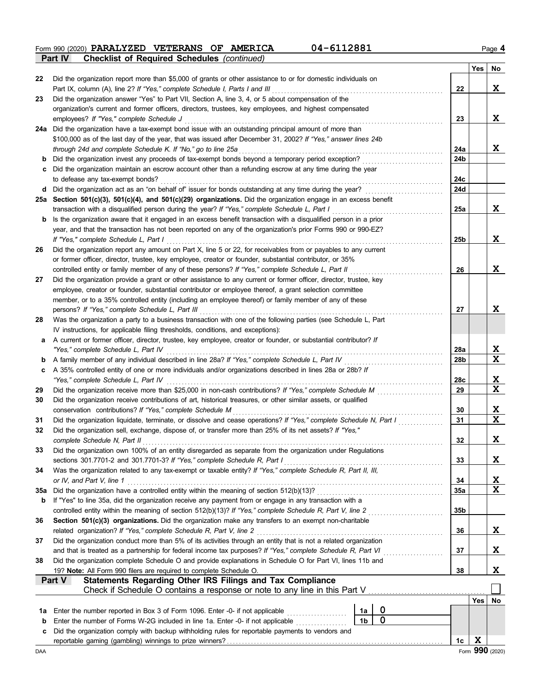**Form 990 (2020) PARALYZED VETERANS OF AMERICA** 04-6112881 Page 4 **Part IV Checklist of Required Schedules** *(continued)*

|     | oncentral of required ochedules (committed)                                                                                                                                                                                   |                 |             |                 |
|-----|-------------------------------------------------------------------------------------------------------------------------------------------------------------------------------------------------------------------------------|-----------------|-------------|-----------------|
| 22  | Did the organization report more than \$5,000 of grants or other assistance to or for domestic individuals on                                                                                                                 |                 | <b>Yes</b>  | No              |
|     | Part IX, column (A), line 2? If "Yes," complete Schedule I, Parts I and III                                                                                                                                                   | 22              |             | X               |
| 23  | Did the organization answer "Yes" to Part VII, Section A, line 3, 4, or 5 about compensation of the                                                                                                                           |                 |             |                 |
|     | organization's current and former officers, directors, trustees, key employees, and highest compensated                                                                                                                       |                 |             |                 |
|     | employees? If "Yes," complete Schedule J                                                                                                                                                                                      | 23              |             | X               |
|     | 24a Did the organization have a tax-exempt bond issue with an outstanding principal amount of more than                                                                                                                       |                 |             |                 |
|     | \$100,000 as of the last day of the year, that was issued after December 31, 2002? If "Yes," answer lines 24b                                                                                                                 |                 |             |                 |
|     | through 24d and complete Schedule K. If "No," go to line 25a                                                                                                                                                                  | 24a             |             | X               |
| b   | Did the organization invest any proceeds of tax-exempt bonds beyond a temporary period exception?                                                                                                                             | 24b             |             |                 |
| С   | Did the organization maintain an escrow account other than a refunding escrow at any time during the year                                                                                                                     |                 |             |                 |
|     | to defease any tax-exempt bonds?<br>d Did the organization act as an "on behalf of" issuer for bonds outstanding at any time during the year?                                                                                 | 24с<br>24d      |             |                 |
|     | 25a Section 501(c)(3), 501(c)(4), and 501(c)(29) organizations. Did the organization engage in an excess benefit                                                                                                              |                 |             |                 |
|     | transaction with a disqualified person during the year? If "Yes," complete Schedule L, Part I                                                                                                                                 | 25a             |             | X               |
|     | Is the organization aware that it engaged in an excess benefit transaction with a disqualified person in a prior                                                                                                              |                 |             |                 |
|     | year, and that the transaction has not been reported on any of the organization's prior Forms 990 or 990-EZ?                                                                                                                  |                 |             |                 |
|     | If "Yes," complete Schedule L, Part I                                                                                                                                                                                         | 25 <sub>b</sub> |             | X               |
| 26  | Did the organization report any amount on Part X, line 5 or 22, for receivables from or payables to any current                                                                                                               |                 |             |                 |
|     | or former officer, director, trustee, key employee, creator or founder, substantial contributor, or 35%                                                                                                                       |                 |             |                 |
|     | controlled entity or family member of any of these persons? If "Yes," complete Schedule L, Part II                                                                                                                            | 26              |             | X               |
| 27  | Did the organization provide a grant or other assistance to any current or former officer, director, trustee, key                                                                                                             |                 |             |                 |
|     | employee, creator or founder, substantial contributor or employee thereof, a grant selection committee                                                                                                                        |                 |             |                 |
|     | member, or to a 35% controlled entity (including an employee thereof) or family member of any of these                                                                                                                        |                 |             |                 |
|     | persons? If "Yes," complete Schedule L, Part III                                                                                                                                                                              | 27              |             | X               |
| 28  | Was the organization a party to a business transaction with one of the following parties (see Schedule L, Part                                                                                                                |                 |             |                 |
|     | IV instructions, for applicable filing thresholds, conditions, and exceptions):                                                                                                                                               |                 |             |                 |
| а   | A current or former officer, director, trustee, key employee, creator or founder, or substantial contributor? If                                                                                                              |                 |             |                 |
|     | "Yes," complete Schedule L, Part IV                                                                                                                                                                                           | 28a             |             | X               |
| b   | A family member of any individual described in line 28a? If "Yes," complete Schedule L, Part IV                                                                                                                               | 28b             |             | X               |
| c   | A 35% controlled entity of one or more individuals and/or organizations described in lines 28a or 28b? If                                                                                                                     |                 |             |                 |
|     | "Yes," complete Schedule L, Part IV                                                                                                                                                                                           | 28c             |             | X               |
| 29  | Did the organization receive more than \$25,000 in non-cash contributions? If "Yes," complete Schedule M                                                                                                                      | 29              |             | X               |
| 30  | Did the organization receive contributions of art, historical treasures, or other similar assets, or qualified                                                                                                                |                 |             |                 |
|     | conservation contributions? If "Yes," complete Schedule M                                                                                                                                                                     | 30              |             | X<br>X          |
| 31  | Did the organization liquidate, terminate, or dissolve and cease operations? If "Yes," complete Schedule N, Part I<br>Did the organization sell, exchange, dispose of, or transfer more than 25% of its net assets? If "Yes," | 31              |             |                 |
| 32  | complete Schedule N, Part II                                                                                                                                                                                                  | 32              |             | X               |
| 33  | Did the organization own 100% of an entity disregarded as separate from the organization under Regulations                                                                                                                    |                 |             |                 |
|     | sections 301.7701-2 and 301.7701-3? If "Yes," complete Schedule R, Part I                                                                                                                                                     | 33              |             | X               |
| 34  | Was the organization related to any tax-exempt or taxable entity? If "Yes," complete Schedule R, Part II, III,                                                                                                                |                 |             |                 |
|     | or IV, and Part V, line 1                                                                                                                                                                                                     | 34              |             | $\mathbf{x}$    |
| 35a |                                                                                                                                                                                                                               | 35a             |             | X               |
| b   | If "Yes" to line 35a, did the organization receive any payment from or engage in any transaction with a                                                                                                                       |                 |             |                 |
|     |                                                                                                                                                                                                                               | 35b             |             |                 |
| 36  | Section 501(c)(3) organizations. Did the organization make any transfers to an exempt non-charitable                                                                                                                          |                 |             |                 |
|     | related organization? If "Yes," complete Schedule R, Part V, line 2                                                                                                                                                           | 36              |             | X               |
| 37  | Did the organization conduct more than 5% of its activities through an entity that is not a related organization                                                                                                              |                 |             |                 |
|     | and that is treated as a partnership for federal income tax purposes? If "Yes," complete Schedule R, Part VI<br>.                                                                                                             | 37              |             | X               |
| 38  | Did the organization complete Schedule O and provide explanations in Schedule O for Part VI, lines 11b and                                                                                                                    |                 |             |                 |
|     | 19? Note: All Form 990 filers are required to complete Schedule O.                                                                                                                                                            | 38              |             | X               |
|     | <b>Statements Regarding Other IRS Filings and Tax Compliance</b><br>Part V                                                                                                                                                    |                 |             |                 |
|     | Check if Schedule O contains a response or note to any line in this Part V.                                                                                                                                                   |                 |             |                 |
|     |                                                                                                                                                                                                                               |                 |             | Yes No          |
| 1a  | 0<br>Enter the number reported in Box 3 of Form 1096. Enter -0- if not applicable<br>1a<br>$\mathbf 0$<br>1 <sub>b</sub>                                                                                                      |                 |             |                 |
| b   | Enter the number of Forms W-2G included in line 1a. Enter -0- if not applicable<br>Did the organization comply with backup withholding rules for reportable payments to vendors and                                           |                 |             |                 |
| c   |                                                                                                                                                                                                                               | 1c              | $\mathbf X$ |                 |
| DAA |                                                                                                                                                                                                                               |                 |             | Form 990 (2020) |
|     |                                                                                                                                                                                                                               |                 |             |                 |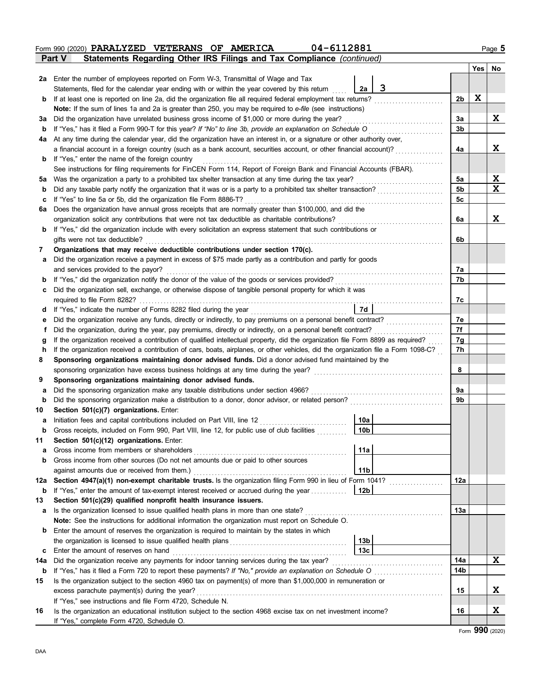|              | 04-6112881<br>Form 990 (2020) PARALYZED VETERANS OF AMERICA                                                                        |                |   | Page 5   |
|--------------|------------------------------------------------------------------------------------------------------------------------------------|----------------|---|----------|
|              | Statements Regarding Other IRS Filings and Tax Compliance (continued)<br><b>Part V</b>                                             |                |   |          |
|              |                                                                                                                                    |                |   | Yes   No |
|              | <b>2a</b> Enter the number of employees reported on Form W-3, Transmittal of Wage and Tax                                          |                |   |          |
|              | 3<br>2a<br>Statements, filed for the calendar year ending with or within the year covered by this return                           |                |   |          |
| $\mathbf{p}$ | If at least one is reported on line 2a, did the organization file all required federal employment tax returns?                     | 2b             | X |          |
|              | Note: If the sum of lines 1a and 2a is greater than 250, you may be required to e-file (see instructions)                          |                |   |          |
| За           | Did the organization have unrelated business gross income of \$1,000 or more during the year?                                      | За             |   | X        |
| b            | If "Yes," has it filed a Form 990-T for this year? If "No" to line 3b, provide an explanation on Schedule O                        | 3b             |   |          |
| 4a           | At any time during the calendar year, did the organization have an interest in, or a signature or other authority over,            |                |   |          |
|              | a financial account in a foreign country (such as a bank account, securities account, or other financial account)?                 | 4a             |   | X        |
| $\mathbf{p}$ | If "Yes," enter the name of the foreign country                                                                                    |                |   |          |
|              | See instructions for filing requirements for FinCEN Form 114, Report of Foreign Bank and Financial Accounts (FBAR).                |                |   |          |
| 5a           | Was the organization a party to a prohibited tax shelter transaction at any time during the tax year?<br>.                         | 5a             |   | X        |
| b            | Did any taxable party notify the organization that it was or is a party to a prohibited tax shelter transaction?                   | 5 <sub>b</sub> |   | X        |
| c            | If "Yes" to line 5a or 5b, did the organization file Form 8886-T?<br>.                                                             | 5c             |   |          |
| 6a           | Does the organization have annual gross receipts that are normally greater than \$100,000, and did the                             |                |   |          |
|              | organization solicit any contributions that were not tax deductible as charitable contributions?                                   | 6a             |   | X        |
| b            | If "Yes," did the organization include with every solicitation an express statement that such contributions or                     |                |   |          |
|              | gifts were not tax deductible?                                                                                                     | 6b             |   |          |
| 7            | Organizations that may receive deductible contributions under section 170(c).                                                      |                |   |          |
| а            | Did the organization receive a payment in excess of \$75 made partly as a contribution and partly for goods                        |                |   |          |
|              | and services provided to the payor?                                                                                                | 7a             |   |          |
| b            | If "Yes," did the organization notify the donor of the value of the goods or services provided?                                    | 7b             |   |          |
| c            | Did the organization sell, exchange, or otherwise dispose of tangible personal property for which it was                           |                |   |          |
|              | required to file Form 8282?                                                                                                        | 7c             |   |          |
| a            | 7d<br>If "Yes," indicate the number of Forms 8282 filed during the year<br>[[[CODERET]                                             |                |   |          |
| е            | Did the organization receive any funds, directly or indirectly, to pay premiums on a personal benefit contract?                    | 7e             |   |          |
| f            | Did the organization, during the year, pay premiums, directly or indirectly, on a personal benefit contract?                       | 7f             |   |          |
|              | If the organization received a contribution of qualified intellectual property, did the organization file Form 8899 as required?   | 7g             |   |          |
| h            | If the organization received a contribution of cars, boats, airplanes, or other vehicles, did the organization file a Form 1098-C? | 7h             |   |          |
| 8            | Sponsoring organizations maintaining donor advised funds. Did a donor advised fund maintained by the                               |                |   |          |
|              | sponsoring organization have excess business holdings at any time during the year?                                                 | 8              |   |          |
| 9            | Sponsoring organizations maintaining donor advised funds.                                                                          |                |   |          |
| а            | Did the sponsoring organization make any taxable distributions under section 4966?                                                 | 9a             |   |          |
| $\mathbf b$  | Did the sponsoring organization make a distribution to a donor, donor advisor, or related person?                                  | 9b             |   |          |
| 10           | Section 501(c)(7) organizations. Enter:<br> 10a <br>Initiation fees and capital contributions included on Part VIII, line 12       |                |   |          |
|              | 10 <sub>b</sub><br>Gross receipts, included on Form 990, Part VIII, line 12, for public use of club facilities                     |                |   |          |
| b            |                                                                                                                                    |                |   |          |
| 11<br>а      | Section 501(c)(12) organizations. Enter:<br>11a<br>Gross income from members or shareholders                                       |                |   |          |
| b            | Gross income from other sources (Do not net amounts due or paid to other sources                                                   |                |   |          |
|              | 11 <sub>b</sub><br>against amounts due or received from them.)                                                                     |                |   |          |
| 12a          | Section 4947(a)(1) non-exempt charitable trusts. Is the organization filing Form 990 in lieu of Form 1041?                         | 12a            |   |          |
| b            | If "Yes," enter the amount of tax-exempt interest received or accrued during the year<br>12b                                       |                |   |          |
| 13           | Section 501(c)(29) qualified nonprofit health insurance issuers.                                                                   |                |   |          |
| a            | Is the organization licensed to issue qualified health plans in more than one state?                                               | 13а            |   |          |
|              | Note: See the instructions for additional information the organization must report on Schedule O.                                  |                |   |          |
| b            | Enter the amount of reserves the organization is required to maintain by the states in which                                       |                |   |          |
|              | 13b                                                                                                                                |                |   |          |
| c            | 13 <sub>c</sub><br>Enter the amount of reserves on hand                                                                            |                |   |          |
| 14a          | Did the organization receive any payments for indoor tanning services during the tax year?                                         | 14a            |   | X        |
| b            |                                                                                                                                    | 14b            |   |          |
| 15           | Is the organization subject to the section 4960 tax on payment(s) of more than \$1,000,000 in remuneration or                      |                |   |          |
|              | excess parachute payment(s) during the year?                                                                                       | 15             |   | X        |
|              | If "Yes," see instructions and file Form 4720, Schedule N.                                                                         |                |   |          |
| 16           | Is the organization an educational institution subject to the section 4968 excise tax on net investment income?                    | 16             |   | X        |
|              | If "Yes," complete Form 4720, Schedule O.                                                                                          |                |   |          |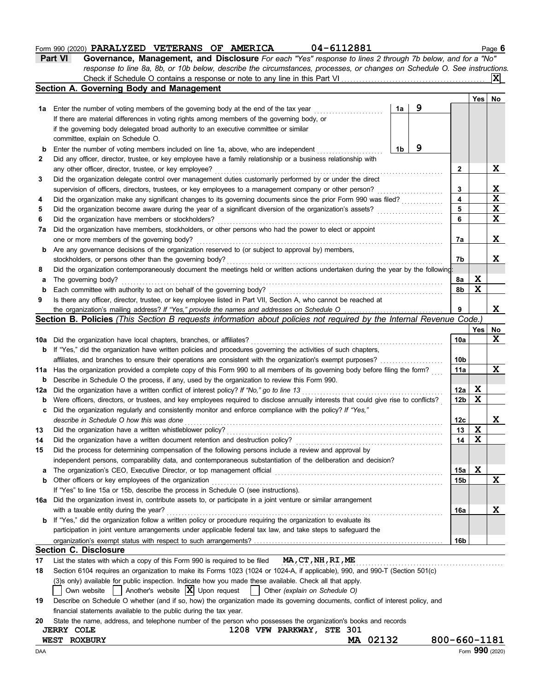### **Form 990 (2020) PARALYZED VETERANS OF AMERICA** 04-6112881 Page 6

| <b>Part VI</b> | Governance, Management, and Disclosure For each "Yes" response to lines 2 through 7b below, and for a "No"                |
|----------------|---------------------------------------------------------------------------------------------------------------------------|
|                | response to line 8a, 8b, or 10b below, describe the circumstances, processes, or changes on Schedule O. See instructions. |
|                | Check if Schedule O contains a response or note to any line in this Part VI                                               |

|              | Section A. Governing Body and Management                                                                                            |    |   |                 | Yes         | No          |
|--------------|-------------------------------------------------------------------------------------------------------------------------------------|----|---|-----------------|-------------|-------------|
| 1а           | Enter the number of voting members of the governing body at the end of the tax year                                                 | 1a | 9 |                 |             |             |
|              | If there are material differences in voting rights among members of the governing body, or                                          |    |   |                 |             |             |
|              | if the governing body delegated broad authority to an executive committee or similar                                                |    |   |                 |             |             |
|              | committee, explain on Schedule O.                                                                                                   |    |   |                 |             |             |
| b            | Enter the number of voting members included on line 1a, above, who are independent                                                  | 1b | 9 |                 |             |             |
| $\mathbf{2}$ | Did any officer, director, trustee, or key employee have a family relationship or a business relationship with                      |    |   |                 |             |             |
|              | any other officer, director, trustee, or key employee?                                                                              |    |   | 2               |             | X           |
| 3            | Did the organization delegate control over management duties customarily performed by or under the direct                           |    |   |                 |             |             |
|              | supervision of officers, directors, trustees, or key employees to a management company or other person?                             |    |   | 3               |             | X           |
| 4            | Did the organization make any significant changes to its governing documents since the prior Form 990 was filed?                    |    |   | 4               |             | X           |
| 5            | Did the organization become aware during the year of a significant diversion of the organization's assets?                          |    |   | 5               |             | $\mathbf X$ |
| 6            | Did the organization have members or stockholders?                                                                                  |    |   | 6               |             | $\mathbf x$ |
| 7a           | Did the organization have members, stockholders, or other persons who had the power to elect or appoint                             |    |   |                 |             |             |
|              | one or more members of the governing body?                                                                                          |    |   | 7a              |             | X           |
| b            | Are any governance decisions of the organization reserved to (or subject to approval by) members,                                   |    |   |                 |             |             |
|              | stockholders, or persons other than the governing body?                                                                             |    |   | 7b              |             | X           |
| 8            | Did the organization contemporaneously document the meetings held or written actions undertaken during the year by the following:   |    |   |                 |             |             |
| а            | The governing body?                                                                                                                 |    |   | 8a              | X           |             |
| b            | Each committee with authority to act on behalf of the governing body?                                                               |    |   | 8b              | $\mathbf x$ |             |
| 9            | Is there any officer, director, trustee, or key employee listed in Part VII, Section A, who cannot be reached at                    |    |   |                 |             |             |
|              | the organization's mailing address? If "Yes," provide the names and addresses on Schedule O                                         |    |   | 9               |             | X           |
|              | Section B. Policies (This Section B requests information about policies not required by the Internal Revenue Code.)                 |    |   |                 |             |             |
|              |                                                                                                                                     |    |   |                 | Yes         | No          |
| 10a          | Did the organization have local chapters, branches, or affiliates?                                                                  |    |   | 10a             |             | X           |
| b            | If "Yes," did the organization have written policies and procedures governing the activities of such chapters,                      |    |   |                 |             |             |
|              | affiliates, and branches to ensure their operations are consistent with the organization's exempt purposes?                         |    |   | 10b             |             |             |
| 11a          | Has the organization provided a complete copy of this Form 990 to all members of its governing body before filing the form?         |    |   | 11a             |             | X           |
| b            | Describe in Schedule O the process, if any, used by the organization to review this Form 990.                                       |    |   |                 |             |             |
| 12a          | Did the organization have a written conflict of interest policy? If "No," go to line 13                                             |    |   | 12a             | X           |             |
| b            | Were officers, directors, or trustees, and key employees required to disclose annually interests that could give rise to conflicts? |    |   | 12 <sub>b</sub> | X           |             |
| c            | Did the organization regularly and consistently monitor and enforce compliance with the policy? If "Yes,"                           |    |   |                 |             |             |
|              | describe in Schedule O how this was done                                                                                            |    |   | 12c             |             | X           |
| 13           | Did the organization have a written whistleblower policy?                                                                           |    |   | 13              | X           |             |
| 14           | Did the organization have a written document retention and destruction policy?                                                      |    |   | 14              | X           |             |
| 15           | Did the process for determining compensation of the following persons include a review and approval by                              |    |   |                 |             |             |
|              | independent persons, comparability data, and contemporaneous substantiation of the deliberation and decision?                       |    |   |                 |             |             |
| a            | The organization's CEO, Executive Director, or top management official                                                              |    |   | 15a             | X           |             |
| b            | Other officers or key employees of the organization                                                                                 |    |   | 15b             |             | X           |
|              | If "Yes" to line 15a or 15b, describe the process in Schedule O (see instructions).                                                 |    |   |                 |             |             |
| 16a          | Did the organization invest in, contribute assets to, or participate in a joint venture or similar arrangement                      |    |   |                 |             |             |
|              | with a taxable entity during the year?                                                                                              |    |   | 16a             |             | X           |
|              | If "Yes," did the organization follow a written policy or procedure requiring the organization to evaluate its                      |    |   |                 |             |             |
|              | participation in joint venture arrangements under applicable federal tax law, and take steps to safeguard the                       |    |   |                 |             |             |
|              |                                                                                                                                     |    |   | 16b             |             |             |
|              | <b>Section C. Disclosure</b>                                                                                                        |    |   |                 |             |             |
| 17           | MA, CT, NH, RI, ME<br>List the states with which a copy of this Form 990 is required to be filed                                    |    |   |                 |             |             |
| 18           | Section 6104 requires an organization to make its Forms 1023 (1024 or 1024-A, if applicable), 990, and 990-T (Section 501(c)        |    |   |                 |             |             |
|              | (3) sonly) available for public inspection. Indicate how you made these available. Check all that apply.                            |    |   |                 |             |             |
|              | Another's website $ X $ Upon request<br>Other (explain on Schedule O)<br>Own website                                                |    |   |                 |             |             |
| 19           | Describe on Schedule O whether (and if so, how) the organization made its governing documents, conflict of interest policy, and     |    |   |                 |             |             |
|              | financial statements available to the public during the tax year.                                                                   |    |   |                 |             |             |

| <b>COLE</b><br><b>JERRY</b>   | 1208<br>301<br><b>VFW PARKWAY</b><br><b>STE</b> |              |
|-------------------------------|-------------------------------------------------|--------------|
| <b>ROXBURY</b><br><b>WEST</b> | 02132<br>ΜA                                     | 800-660-1181 |

**<sup>20</sup>** State the name, address, and telephone number of the person who possesses the organization's books and records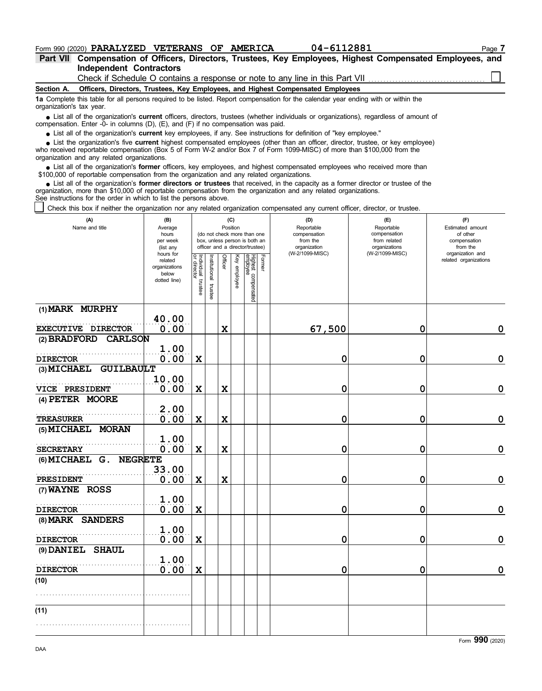### **Form 990 (2020) PARALYZED VETERANS OF AMERICA** 04-6112881 Page 7

**Independent Contractors Part VII Compensation of Officers, Directors, Trustees, Key Employees, Highest Compensated Employees, and**

Check if Schedule O contains a response or note to any line in this Part VII

#### **Section A. Officers, Directors, Trustees, Key Employees, and Highest Compensated Employees**

**1a** Complete this table for all persons required to be listed. Report compensation for the calendar year ending with or within the organization's tax year.

■ List all of the organization's **current** officers, directors, trustees (whether individuals or organizations), regardless of amount of compensation. Enter - $0$ - in columns (D), (E), and (F) if no compensation was paid.

List all of the organization's **current** key employees, if any. See instructions for definition of "key employee."

who received reportable compensation (Box 5 of Form W-2 and/or Box 7 of Form 1099-MISC) of more than \$100,000 from the organization and any related organizations. ■ List all of the organization's **current** key employees, if any. See instructions for definition of "key employee."<br>■ List the organization's five **current** highest compensated employees (other than an officer, director,

• List all of the organization's **former** officers, key employees, and highest compensated employees who received more than<br>00,000 of reportable compensation from the organization and any related emanizations \$100,000 of reportable compensation from the organization and any related organizations.

• List all of the organization's **former directors or trustees** that received, in the capacity as a former director or trustee of the prization more than \$10,000 of reportable compensation from the organization and any rel organization, more than \$10,000 of reportable compensation from the organization and any related organizations. See instructions for the order in which to list the persons above.

Check this box if neither the organization nor any related organization compensated any current officer, director, or trustee.

| (A)<br>Name and title                              | (B)<br>Average<br>hours<br>per week<br>(list any               |                                   |                       |             | (C)<br>Position | (do not check more than one<br>box, unless person is both an<br>officer and a director/trustee) |        | (D)<br>Reportable<br>compensation<br>from the<br>organization | (E)<br>Reportable<br>compensation<br>from related<br>organizations | (F)<br>Estimated amount<br>of other<br>compensation<br>from the |
|----------------------------------------------------|----------------------------------------------------------------|-----------------------------------|-----------------------|-------------|-----------------|-------------------------------------------------------------------------------------------------|--------|---------------------------------------------------------------|--------------------------------------------------------------------|-----------------------------------------------------------------|
|                                                    | hours for<br>related<br>organizations<br>below<br>dotted line) | Individual trustee<br>or director | Institutional trustee | Officer     | Key employee    | Highest compensated<br>employee                                                                 | Former | (W-2/1099-MISC)                                               | (W-2/1099-MISC)                                                    | organization and<br>related organizations                       |
| (1) MARK MURPHY                                    |                                                                |                                   |                       |             |                 |                                                                                                 |        |                                                               |                                                                    |                                                                 |
| EXECUTIVE DIRECTOR                                 | 40.00<br>0.00                                                  |                                   |                       | $\mathbf x$ |                 |                                                                                                 |        | 67,500                                                        | $\mathbf 0$                                                        | 0                                                               |
| (2) BRADFORD<br><b>CARLSON</b>                     |                                                                |                                   |                       |             |                 |                                                                                                 |        |                                                               |                                                                    |                                                                 |
|                                                    | 1.00                                                           |                                   |                       |             |                 |                                                                                                 |        |                                                               |                                                                    |                                                                 |
| <b>DIRECTOR</b><br>(3) MICHAEL<br><b>GUILBAULT</b> | 0.00                                                           | $\mathbf x$                       |                       |             |                 |                                                                                                 |        | 0                                                             | 0                                                                  | $\mathbf 0$                                                     |
| VICE PRESIDENT                                     | 10.00<br>0.00                                                  | $\mathbf x$                       |                       | X           |                 |                                                                                                 |        | 0                                                             | 0                                                                  | $\mathbf 0$                                                     |
| (4) PETER MOORE                                    |                                                                |                                   |                       |             |                 |                                                                                                 |        |                                                               |                                                                    |                                                                 |
|                                                    | 2.00                                                           |                                   |                       |             |                 |                                                                                                 |        |                                                               |                                                                    |                                                                 |
| TREASURER                                          | 0.00                                                           | $\mathbf x$                       |                       | $\mathbf x$ |                 |                                                                                                 |        | 0                                                             | 0                                                                  | $\mathbf 0$                                                     |
| (5) MICHAEL MORAN                                  | 1.00                                                           |                                   |                       |             |                 |                                                                                                 |        |                                                               |                                                                    |                                                                 |
| <b>SECRETARY</b>                                   | 0.00                                                           | $\mathbf x$                       |                       | $\mathbf x$ |                 |                                                                                                 |        | 0                                                             | 0                                                                  | $\mathbf 0$                                                     |
| $(6)$ MICHAEL $G$ .<br><b>NEGRETE</b>              |                                                                |                                   |                       |             |                 |                                                                                                 |        |                                                               |                                                                    |                                                                 |
| <b>PRESIDENT</b>                                   | 33.00<br>0.00                                                  | $\mathbf x$                       |                       | $\mathbf x$ |                 |                                                                                                 |        | 0                                                             | 0                                                                  | $\mathbf 0$                                                     |
| (7) WAYNE ROSS                                     |                                                                |                                   |                       |             |                 |                                                                                                 |        |                                                               |                                                                    |                                                                 |
|                                                    | 1.00                                                           |                                   |                       |             |                 |                                                                                                 |        |                                                               |                                                                    |                                                                 |
| <b>DIRECTOR</b><br>(8) MARK SANDERS                | 0.00                                                           | X                                 |                       |             |                 |                                                                                                 |        | 0                                                             | 0                                                                  | $\mathbf 0$                                                     |
|                                                    | 1.00                                                           |                                   |                       |             |                 |                                                                                                 |        |                                                               |                                                                    |                                                                 |
| <b>DIRECTOR</b><br>(9) DANIEL SHAUL                | 0.00                                                           | $\mathbf X$                       |                       |             |                 |                                                                                                 |        | 0                                                             | 0                                                                  | $\mathbf 0$                                                     |
|                                                    | 1.00                                                           |                                   |                       |             |                 |                                                                                                 |        |                                                               |                                                                    |                                                                 |
| <b>DIRECTOR</b>                                    | 0.00                                                           | $\mathbf x$                       |                       |             |                 |                                                                                                 |        | 0                                                             | 0                                                                  | $\mathbf 0$                                                     |
| (10)                                               |                                                                |                                   |                       |             |                 |                                                                                                 |        |                                                               |                                                                    |                                                                 |
|                                                    |                                                                |                                   |                       |             |                 |                                                                                                 |        |                                                               |                                                                    |                                                                 |
| (11)                                               |                                                                |                                   |                       |             |                 |                                                                                                 |        |                                                               |                                                                    |                                                                 |
|                                                    |                                                                |                                   |                       |             |                 |                                                                                                 |        |                                                               |                                                                    |                                                                 |
|                                                    |                                                                |                                   |                       |             |                 |                                                                                                 |        |                                                               |                                                                    |                                                                 |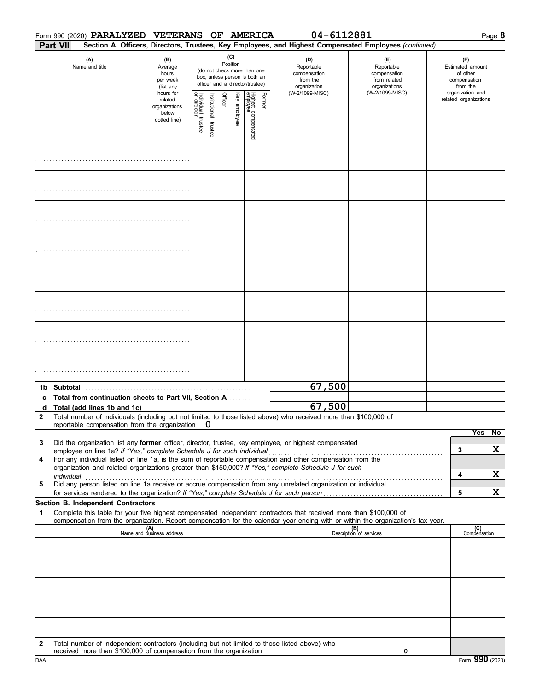|   |            | Form 990 (2020) PARALYZED          | VETERANS OF AMERICA                                                    |                                        |                       |          |              |                                                                                                 |        | 04-6112881                                                                                                                  |                                                                                                                                                                    |                                                                 |                       | Page 8 |
|---|------------|------------------------------------|------------------------------------------------------------------------|----------------------------------------|-----------------------|----------|--------------|-------------------------------------------------------------------------------------------------|--------|-----------------------------------------------------------------------------------------------------------------------------|--------------------------------------------------------------------------------------------------------------------------------------------------------------------|-----------------------------------------------------------------|-----------------------|--------|
|   | Part VII   |                                    |                                                                        |                                        |                       |          |              |                                                                                                 |        |                                                                                                                             | Section A. Officers, Directors, Trustees, Key Employees, and Highest Compensated Employees (continued)                                                             |                                                                 |                       |        |
|   |            | (A)<br>Name and title              | (B)<br>Average<br>hours<br>per week<br>(list any                       |                                        |                       | Position | (C)          | (do not check more than one<br>box, unless person is both an<br>officer and a director/trustee) |        | (D)<br>Reportable<br>compensation<br>from the<br>organization                                                               | (E)<br>Reportable<br>compensation<br>from related<br>organizations                                                                                                 | (F)<br>Estimated amount<br>of other<br>compensation<br>from the |                       |        |
|   |            |                                    | hours for<br>related<br>organizations<br>below<br>dotted line)         | Individual 1<br>or director<br>trustee | Institutional trustee | Officer  | Key employee | Highest compensated<br>employee                                                                 | Former | (W-2/1099-MISC)                                                                                                             | (W-2/1099-MISC)                                                                                                                                                    | organization and                                                | related organizations |        |
|   |            |                                    |                                                                        |                                        |                       |          |              |                                                                                                 |        |                                                                                                                             |                                                                                                                                                                    |                                                                 |                       |        |
|   |            |                                    |                                                                        |                                        |                       |          |              |                                                                                                 |        |                                                                                                                             |                                                                                                                                                                    |                                                                 |                       |        |
|   |            |                                    |                                                                        |                                        |                       |          |              |                                                                                                 |        |                                                                                                                             |                                                                                                                                                                    |                                                                 |                       |        |
|   |            |                                    |                                                                        |                                        |                       |          |              |                                                                                                 |        |                                                                                                                             |                                                                                                                                                                    |                                                                 |                       |        |
|   |            |                                    |                                                                        |                                        |                       |          |              |                                                                                                 |        |                                                                                                                             |                                                                                                                                                                    |                                                                 |                       |        |
|   |            |                                    |                                                                        |                                        |                       |          |              |                                                                                                 |        |                                                                                                                             |                                                                                                                                                                    |                                                                 |                       |        |
|   |            |                                    |                                                                        |                                        |                       |          |              |                                                                                                 |        |                                                                                                                             |                                                                                                                                                                    |                                                                 |                       |        |
|   |            |                                    |                                                                        |                                        |                       |          |              |                                                                                                 |        |                                                                                                                             |                                                                                                                                                                    |                                                                 |                       |        |
| c |            | 1b Subtotal                        | Total from continuation sheets to Part VII, Section A                  |                                        |                       |          |              |                                                                                                 |        | 67,500                                                                                                                      |                                                                                                                                                                    |                                                                 |                       |        |
| 2 |            |                                    | reportable compensation from the organization $\mathbf 0$              |                                        |                       |          |              |                                                                                                 |        | 67,500<br>Total number of individuals (including but not limited to those listed above) who received more than \$100,000 of |                                                                                                                                                                    |                                                                 |                       |        |
| 3 |            |                                    |                                                                        |                                        |                       |          |              |                                                                                                 |        | Did the organization list any former officer, director, trustee, key employee, or highest compensated                       |                                                                                                                                                                    |                                                                 | Yes                   | No     |
| 4 |            |                                    | employee on line 1a? If "Yes," complete Schedule J for such individual |                                        |                       |          |              |                                                                                                 |        | For any individual listed on line 1a, is the sum of reportable compensation and other compensation from the                 |                                                                                                                                                                    | 3                                                               |                       | X      |
|   |            |                                    |                                                                        |                                        |                       |          |              |                                                                                                 |        | organization and related organizations greater than \$150,000? If "Yes," complete Schedule J for such                       |                                                                                                                                                                    |                                                                 |                       | X      |
| 5 | individual |                                    |                                                                        |                                        |                       |          |              |                                                                                                 |        | Did any person listed on line 1a receive or accrue compensation from any unrelated organization or individual               |                                                                                                                                                                    | 4                                                               |                       |        |
|   |            | Section B. Independent Contractors |                                                                        |                                        |                       |          |              |                                                                                                 |        |                                                                                                                             |                                                                                                                                                                    | 5                                                               |                       | X      |
| 1 |            |                                    |                                                                        |                                        |                       |          |              |                                                                                                 |        | Complete this table for your five highest compensated independent contractors that received more than \$100,000 of          |                                                                                                                                                                    |                                                                 |                       |        |
|   |            |                                    | (A)<br>Name and business address                                       |                                        |                       |          |              |                                                                                                 |        |                                                                                                                             | compensation from the organization. Report compensation for the calendar year ending with or within the organization's tax year.<br>(B)<br>Description of services |                                                                 | (C)<br>Compensation   |        |
|   |            |                                    |                                                                        |                                        |                       |          |              |                                                                                                 |        |                                                                                                                             |                                                                                                                                                                    |                                                                 |                       |        |
|   |            |                                    |                                                                        |                                        |                       |          |              |                                                                                                 |        |                                                                                                                             |                                                                                                                                                                    |                                                                 |                       |        |
|   |            |                                    |                                                                        |                                        |                       |          |              |                                                                                                 |        |                                                                                                                             |                                                                                                                                                                    |                                                                 |                       |        |
|   |            |                                    |                                                                        |                                        |                       |          |              |                                                                                                 |        |                                                                                                                             |                                                                                                                                                                    |                                                                 |                       |        |
| 2 |            |                                    | received more than \$100,000 of compensation from the organization     |                                        |                       |          |              |                                                                                                 |        | Total number of independent contractors (including but not limited to those listed above) who                               | 0                                                                                                                                                                  |                                                                 |                       |        |

Technical more than whoo,ood or compensation non-true organization<br>DAA Form 990 (2020)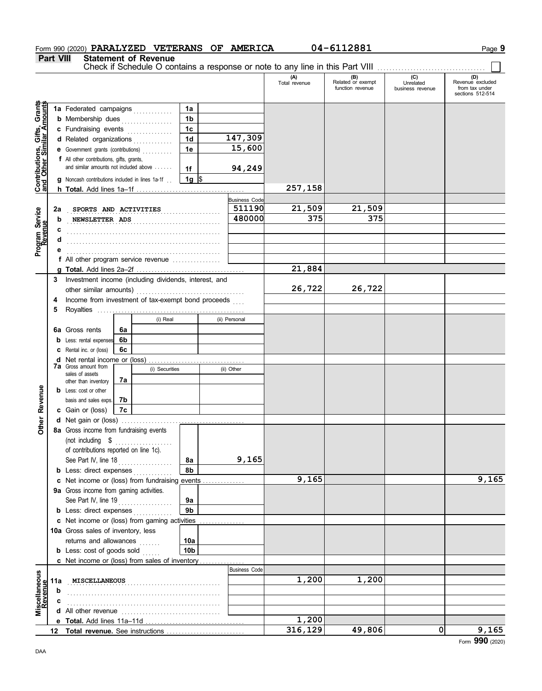### **Form 990 (2020) PARALYZED VETERANS OF AMERICA** 04-6112881 Page 9

**Part VIII Statement of Revenue**

Check if Schedule O contains a response or note to any line in this Part VIII ................................

|                                                           |         |                                                                                                                                      |                |                                | (A)<br>Total revenue | (B)<br>Related or exempt | (C)<br>Unrelated | (D)<br>Revenue excluded            |
|-----------------------------------------------------------|---------|--------------------------------------------------------------------------------------------------------------------------------------|----------------|--------------------------------|----------------------|--------------------------|------------------|------------------------------------|
|                                                           |         |                                                                                                                                      |                |                                |                      | function revenue         | business revenue | from tax under<br>sections 512-514 |
| Contributions, Gifts, Grants<br>and Other Similar Amounts |         | 1a Federated campaigns                                                                                                               | 1a             |                                |                      |                          |                  |                                    |
|                                                           |         | <b>b</b> Membership dues                                                                                                             | 1 <sub>b</sub> |                                |                      |                          |                  |                                    |
|                                                           |         | c Fundraising events                                                                                                                 | 1c             |                                |                      |                          |                  |                                    |
|                                                           |         | d Related organizations                                                                                                              | 1 <sub>d</sub> | 147,309                        |                      |                          |                  |                                    |
|                                                           |         | e Government grants (contributions)                                                                                                  | 1e             | 15,600                         |                      |                          |                  |                                    |
|                                                           |         | <b>f</b> All other contributions, gifts, grants,                                                                                     |                |                                |                      |                          |                  |                                    |
|                                                           |         | and similar amounts not included above                                                                                               | 1f             | 94,249                         |                      |                          |                  |                                    |
|                                                           |         | <b>g</b> Noncash contributions included in lines 1a-1f                                                                               | 1g $\sqrt{3}$  |                                |                      |                          |                  |                                    |
|                                                           |         |                                                                                                                                      |                |                                | 257,158              |                          |                  |                                    |
|                                                           |         |                                                                                                                                      |                | <b>Business Code</b><br>511190 | 21,509               | 21,509                   |                  |                                    |
|                                                           | 2a<br>b | SPORTS AND ACTIVITIES                                                                                                                |                | 480000                         | 375                  | 375                      |                  |                                    |
|                                                           | с       | NEWSLETTER ADS                                                                                                                       |                |                                |                      |                          |                  |                                    |
| Program Service<br>Revenue                                | d       |                                                                                                                                      |                |                                |                      |                          |                  |                                    |
|                                                           |         |                                                                                                                                      |                |                                |                      |                          |                  |                                    |
|                                                           |         | f All other program service revenue                                                                                                  |                |                                |                      |                          |                  |                                    |
|                                                           |         |                                                                                                                                      |                |                                | 21,884               |                          |                  |                                    |
|                                                           | 3       | Investment income (including dividends, interest, and                                                                                |                |                                |                      |                          |                  |                                    |
|                                                           |         | other similar amounts)                                                                                                               |                |                                | 26,722               | 26,722                   |                  |                                    |
|                                                           | 4       | Income from investment of tax-exempt bond proceeds                                                                                   |                |                                |                      |                          |                  |                                    |
|                                                           | 5       |                                                                                                                                      |                |                                |                      |                          |                  |                                    |
|                                                           |         | (i) Real                                                                                                                             |                | (ii) Personal                  |                      |                          |                  |                                    |
|                                                           |         | 6a Gross rents<br>6a                                                                                                                 |                |                                |                      |                          |                  |                                    |
|                                                           |         | 6b<br><b>b</b> Less: rental expenses                                                                                                 |                |                                |                      |                          |                  |                                    |
|                                                           | c<br>d  | 6c<br>Rental inc. or (loss)<br>Net rental income or (loss)                                                                           |                |                                |                      |                          |                  |                                    |
|                                                           |         | <b>7a</b> Gross amount from<br>(i) Securities                                                                                        |                | (ii) Other                     |                      |                          |                  |                                    |
|                                                           |         | sales of assets<br>7a<br>other than inventory                                                                                        |                |                                |                      |                          |                  |                                    |
|                                                           |         | <b>b</b> Less: cost or other                                                                                                         |                |                                |                      |                          |                  |                                    |
| Revenue                                                   |         | 7b<br>basis and sales exps.                                                                                                          |                |                                |                      |                          |                  |                                    |
|                                                           |         | c Gain or (loss)<br>7с                                                                                                               |                |                                |                      |                          |                  |                                    |
| Other                                                     |         |                                                                                                                                      |                |                                |                      |                          |                  |                                    |
|                                                           |         | 8a Gross income from fundraising events                                                                                              |                |                                |                      |                          |                  |                                    |
|                                                           |         | (not including \$<br>.                                                                                                               |                |                                |                      |                          |                  |                                    |
|                                                           |         | of contributions reported on line 1c).                                                                                               |                |                                |                      |                          |                  |                                    |
|                                                           |         | See Part IV, line 18<br><u> 1966 - Johann Stoff, Amerikaansk kanton om de Frysk kanton om de ferske kanton om de ferske foarmen.</u> | 8a             | 9,165                          |                      |                          |                  |                                    |
|                                                           |         | <b>b</b> Less: direct expenses                                                                                                       | 8b             |                                | 9,165                |                          |                  | 9,165                              |
|                                                           |         | c Net income or (loss) from fundraising events<br>9a Gross income from gaming activities.                                            |                |                                |                      |                          |                  |                                    |
|                                                           |         | See Part IV, line 19                                                                                                                 | 9a             |                                |                      |                          |                  |                                    |
|                                                           |         | <b>b</b> Less: direct expenses                                                                                                       | 9b             |                                |                      |                          |                  |                                    |
|                                                           |         | c Net income or (loss) from gaming activities                                                                                        |                |                                |                      |                          |                  |                                    |
|                                                           |         | 10a Gross sales of inventory, less                                                                                                   |                |                                |                      |                          |                  |                                    |
|                                                           |         | returns and allowances                                                                                                               | 10a            |                                |                      |                          |                  |                                    |
|                                                           |         | <b>b</b> Less: cost of goods sold                                                                                                    | 10b            |                                |                      |                          |                  |                                    |
|                                                           |         | <b>c</b> Net income or (loss) from sales of inventory                                                                                |                |                                |                      |                          |                  |                                    |
|                                                           |         |                                                                                                                                      |                | <b>Business Code</b>           |                      |                          |                  |                                    |
|                                                           | 11a     | MISCELLANEOUS                                                                                                                        |                |                                | 1,200                | 1,200                    |                  |                                    |
|                                                           | b       |                                                                                                                                      |                |                                |                      |                          |                  |                                    |
| Miscellaneous<br>Revenue                                  |         |                                                                                                                                      |                |                                |                      |                          |                  |                                    |
|                                                           |         |                                                                                                                                      |                |                                | 1,200                |                          |                  |                                    |
|                                                           |         |                                                                                                                                      |                |                                | 316,129              | 49,806                   | 0                | 9,165                              |
|                                                           |         |                                                                                                                                      |                |                                |                      |                          |                  | Form 990 (2020)                    |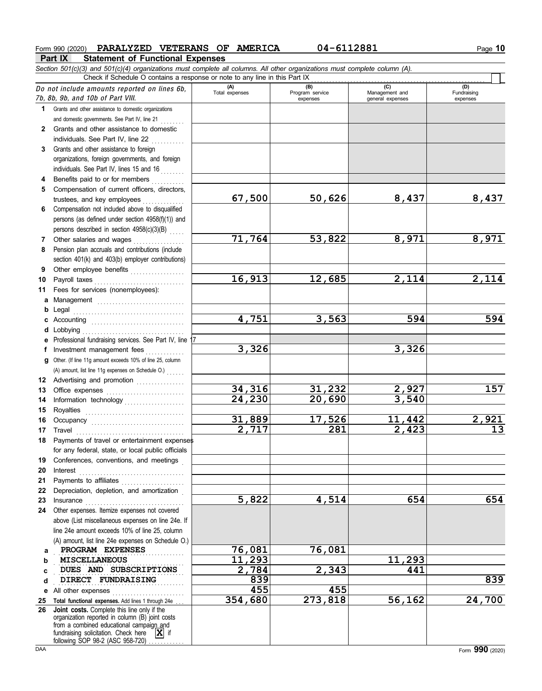**Part IX Statement of Functional Expenses Form 990 (2020) PARALYZED VETERANS OF AMERICA** 04-6112881 10 Page 10 *Section 501(c)(3) and 501(c)(4) organizations must complete all columns. All other organizations must complete column (A).* Do not include amount<sup>s</sup> reported on lines 6b, 7b, 8b, 9b, and 10b <sup>o</sup>f Part VIII. **1 2 3 4 5 6** Compensation not included above to disqualified **7 8 9 10** Payroll taxes . . . . . . . . . . . . . . . . . . . . . . . . . . . . . . **11 a** Management . . . . . . . . . . . . . . . . . . . . . . . . . . . . . **b** Legal . . . . . . . . . . . . . . . . . . . . . . . . . . . . . . . . . . . . . **c** Accounting . . . . . . . . . . . . . . . . . . . . . . . . . . . . . . . **d** Lobbying . . . . . . . . . . . . . . . . . . . . . . . . . . . . . . . . . . **e** Professional fundraising services. See Part IV, line 17 **f g** Other. (If line 11g amount exceeds 10% of line 25, column **12** Advertising and promotion . . . . . . . . . . . . . . **13** Office expenses **.......................**... **14 15 16 17** Travel . . . . . . . . . . . . . . . . . . . . . . . . . . . . . . . . . . . . **18 19 20 21 22** Depreciation, depletion, and amortization . **23** Insurance . . . . . . . . . . . . . . . . . . . . . . . . . . . . . . . . . **24** Other expenses. Itemize expenses not covered **a** PROGRAM EXPENSES 2001 26,081 **b** Grants and other assistance to domestic organizations and domestic governments. See Part IV, line 21 Grants and other assistance to domestic individuals. See Part IV, line 22 Grants and other assistance to foreign organizations, foreign governments, and foreign individuals. See Part IV, lines 15 and 16 Benefits paid to or for members . . . . . . . . . . Compensation of current officers, directors, trustees, and key employees persons (as defined under section 4958(f)(1)) and persons described in section 4958(c)(3)(B) Other salaries and wages .................. Pension plan accruals and contributions (include section 401(k) and 403(b) employer contributions) Other employee benefits . . . . . . . . . . . . . . . . . . Fees for services (nonemployees): Investment management fees Information technology Royalties . . . . . . . . . . . . . . . . . . . . . . . . . . . . . . . . . Occupancy . . . . . . . . . . . . . . . . . . . . . . . . . . . . . . . Payments of travel or entertainment expenses for any federal, state, or local public officials Conferences, conventions, and meetings . Interest . . . . . . . . . . . . . . . . . . . . . . . . . . . . . . . . . . . Payments to affiliates ...................... above (List miscellaneous expenses on line 24e. If line 24e amount exceeds 10% of line 25, column (A) amount, list line 24e expenses on Schedule O.) **(A) (B) (C) (D)** Total expenses Program service Management and expenses and general expenses (D)<br>Fundraising expenses . . . . . . . . . . . . . . . . . . . . . . . . . . . . . . . . . . . . . . . . . . . **MISCELLANEOUS 11,293 11,293** Check if Schedule O contains a response or note to any line in this Part IX (A) amount, list line 11g expenses on Schedule O.) **67,500 50,626 8,437 8,437 71,764 53,822 8,971 8,971 16,913 12,685 2,114 2,114 4,751 3,563 594 594 3,326 3,326 34,316 31,232 2,927 157 24,230 20,690 3,540 31,889 17,526 11,442 2,921 2,717 281 2,423 13 5,822 4,514 654 654**

**455 455**

**354,680 273,818 56,162 24,700**

**d DIRECT FUNDRAISING** 239

**e** All other expenses **. . . . . . . . . . . . . . . . . .** . . . . . . . . . . .

25 Total functional expenses. Add lines 1 through 24e ... **26 Joint costs.** Complete this line only if the fundraising solicitation. Check here  $\overline{\mathbf{X}}$  if organization reported in column (B) joint costs from a combined educational campaign and following SOP 98-2 (ASC 958-720)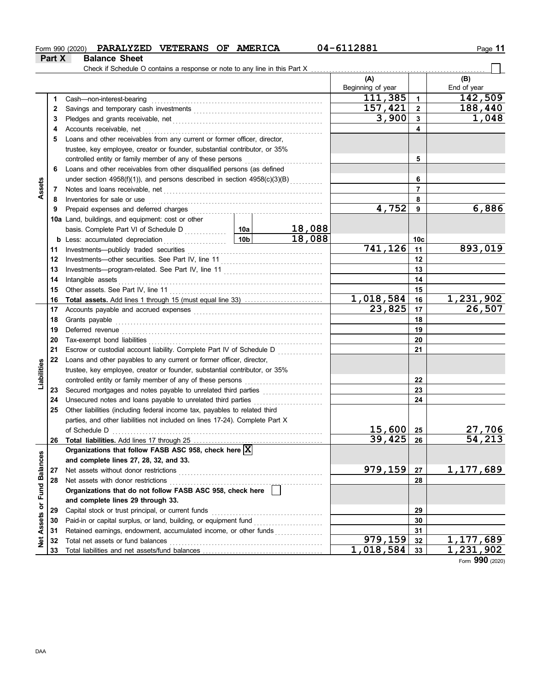### **Form 990 (2020) PARALYZED VETERANS OF AMERICA** 04-6112881 11

 $\Box$ 

**Part X Balance Sheet**

Check if Schedule O contains a response or note to any line in this Part X

| 111,385<br>$\mathbf{1}$<br>Cash-non-interest-bearing<br>1<br>157,421<br>$\overline{2}$<br>2<br>3,900<br>$\mathbf{3}$<br>3<br>Accounts receivable, net<br>4<br>4<br>Loans and other receivables from any current or former officer, director,<br>5<br>trustee, key employee, creator or founder, substantial contributor, or 35%<br>5<br>controlled entity or family member of any of these persons<br>Loans and other receivables from other disqualified persons (as defined<br>6<br>under section 4958(f)(1)), and persons described in section 4958(c)(3)(B)<br>6<br>Assets<br>$\overline{7}$<br>Notes and loans receivable, net <b>consider the constant of the constant of the constant of the constant of the constant of the constant of the constant of the constant of the constant of the constant of the constant of the </b><br>7<br>8<br>Inventories for sale or use<br>8<br>4,752<br>9<br>9<br>10a Land, buildings, and equipment: cost or other<br>18,088<br>10a<br>basis. Complete Part VI of Schedule D<br>18,088<br>10 <sub>b</sub><br>Less: accumulated depreciation<br>10c<br>b<br>.<br>741,126<br>11<br>11<br>12<br>12<br>13<br>13<br>14<br>Intangible assets<br>14<br>15<br>15<br>Other assets. See Part IV, line 11<br><u>1,018,584</u><br>16<br><b>Total assets.</b> Add lines 1 through 15 (must equal line 33)<br>16<br>23,825<br>17<br>17<br>18<br>18<br>Grants payable<br>19<br>19<br>20<br>20<br>21<br>21<br>Escrow or custodial account liability. Complete Part IV of Schedule D<br><u> 1999 - Johann John Stone</u><br>22<br>Loans and other payables to any current or former officer, director,<br>Liabilities<br>trustee, key employee, creator or founder, substantial contributor, or 35%<br>22<br>controlled entity or family member of any of these persons<br>23<br>23<br>Unsecured notes and loans payable to unrelated third parties<br>24<br>24<br>Other liabilities (including federal income tax, payables to related third<br>25<br>parties, and other liabilities not included on lines 17-24). Complete Part X<br>15,600<br>of Schedule D<br>25<br>39,425<br>26<br>26<br>Organizations that follow FASB ASC 958, check here $\boxed{\text{X}}$<br>or Fund Balances<br>and complete lines 27, 28, 32, and 33.<br>979,159<br>27<br>Net assets without donor restrictions<br>27<br>Net assets with donor restrictions<br>28<br>28<br>Organizations that do not follow FASB ASC 958, check here<br>and complete lines 29 through 33.<br>29<br>Capital stock or trust principal, or current funds<br>29<br>Assets<br>30<br>30<br>Retained earnings, endowment, accumulated income, or other funds<br>31<br>31 |            |    |  |  |  | (A)               |    | (B)               |
|----------------------------------------------------------------------------------------------------------------------------------------------------------------------------------------------------------------------------------------------------------------------------------------------------------------------------------------------------------------------------------------------------------------------------------------------------------------------------------------------------------------------------------------------------------------------------------------------------------------------------------------------------------------------------------------------------------------------------------------------------------------------------------------------------------------------------------------------------------------------------------------------------------------------------------------------------------------------------------------------------------------------------------------------------------------------------------------------------------------------------------------------------------------------------------------------------------------------------------------------------------------------------------------------------------------------------------------------------------------------------------------------------------------------------------------------------------------------------------------------------------------------------------------------------------------------------------------------------------------------------------------------------------------------------------------------------------------------------------------------------------------------------------------------------------------------------------------------------------------------------------------------------------------------------------------------------------------------------------------------------------------------------------------------------------------------------------------------------------------------------------------------------------------------------------------------------------------------------------------------------------------------------------------------------------------------------------------------------------------------------------------------------------------------------------------------------------------------------------------------------------------------------------------------------------------------------------------------------------------------------------------------------------|------------|----|--|--|--|-------------------|----|-------------------|
|                                                                                                                                                                                                                                                                                                                                                                                                                                                                                                                                                                                                                                                                                                                                                                                                                                                                                                                                                                                                                                                                                                                                                                                                                                                                                                                                                                                                                                                                                                                                                                                                                                                                                                                                                                                                                                                                                                                                                                                                                                                                                                                                                                                                                                                                                                                                                                                                                                                                                                                                                                                                                                                          |            |    |  |  |  | Beginning of year |    | End of year       |
|                                                                                                                                                                                                                                                                                                                                                                                                                                                                                                                                                                                                                                                                                                                                                                                                                                                                                                                                                                                                                                                                                                                                                                                                                                                                                                                                                                                                                                                                                                                                                                                                                                                                                                                                                                                                                                                                                                                                                                                                                                                                                                                                                                                                                                                                                                                                                                                                                                                                                                                                                                                                                                                          |            |    |  |  |  |                   |    | 142,509           |
|                                                                                                                                                                                                                                                                                                                                                                                                                                                                                                                                                                                                                                                                                                                                                                                                                                                                                                                                                                                                                                                                                                                                                                                                                                                                                                                                                                                                                                                                                                                                                                                                                                                                                                                                                                                                                                                                                                                                                                                                                                                                                                                                                                                                                                                                                                                                                                                                                                                                                                                                                                                                                                                          |            |    |  |  |  |                   |    | 188,440           |
|                                                                                                                                                                                                                                                                                                                                                                                                                                                                                                                                                                                                                                                                                                                                                                                                                                                                                                                                                                                                                                                                                                                                                                                                                                                                                                                                                                                                                                                                                                                                                                                                                                                                                                                                                                                                                                                                                                                                                                                                                                                                                                                                                                                                                                                                                                                                                                                                                                                                                                                                                                                                                                                          |            |    |  |  |  |                   |    | 1,048             |
|                                                                                                                                                                                                                                                                                                                                                                                                                                                                                                                                                                                                                                                                                                                                                                                                                                                                                                                                                                                                                                                                                                                                                                                                                                                                                                                                                                                                                                                                                                                                                                                                                                                                                                                                                                                                                                                                                                                                                                                                                                                                                                                                                                                                                                                                                                                                                                                                                                                                                                                                                                                                                                                          |            |    |  |  |  |                   |    |                   |
|                                                                                                                                                                                                                                                                                                                                                                                                                                                                                                                                                                                                                                                                                                                                                                                                                                                                                                                                                                                                                                                                                                                                                                                                                                                                                                                                                                                                                                                                                                                                                                                                                                                                                                                                                                                                                                                                                                                                                                                                                                                                                                                                                                                                                                                                                                                                                                                                                                                                                                                                                                                                                                                          |            |    |  |  |  |                   |    |                   |
|                                                                                                                                                                                                                                                                                                                                                                                                                                                                                                                                                                                                                                                                                                                                                                                                                                                                                                                                                                                                                                                                                                                                                                                                                                                                                                                                                                                                                                                                                                                                                                                                                                                                                                                                                                                                                                                                                                                                                                                                                                                                                                                                                                                                                                                                                                                                                                                                                                                                                                                                                                                                                                                          |            |    |  |  |  |                   |    |                   |
|                                                                                                                                                                                                                                                                                                                                                                                                                                                                                                                                                                                                                                                                                                                                                                                                                                                                                                                                                                                                                                                                                                                                                                                                                                                                                                                                                                                                                                                                                                                                                                                                                                                                                                                                                                                                                                                                                                                                                                                                                                                                                                                                                                                                                                                                                                                                                                                                                                                                                                                                                                                                                                                          |            |    |  |  |  |                   |    |                   |
|                                                                                                                                                                                                                                                                                                                                                                                                                                                                                                                                                                                                                                                                                                                                                                                                                                                                                                                                                                                                                                                                                                                                                                                                                                                                                                                                                                                                                                                                                                                                                                                                                                                                                                                                                                                                                                                                                                                                                                                                                                                                                                                                                                                                                                                                                                                                                                                                                                                                                                                                                                                                                                                          |            |    |  |  |  |                   |    |                   |
|                                                                                                                                                                                                                                                                                                                                                                                                                                                                                                                                                                                                                                                                                                                                                                                                                                                                                                                                                                                                                                                                                                                                                                                                                                                                                                                                                                                                                                                                                                                                                                                                                                                                                                                                                                                                                                                                                                                                                                                                                                                                                                                                                                                                                                                                                                                                                                                                                                                                                                                                                                                                                                                          |            |    |  |  |  |                   |    |                   |
|                                                                                                                                                                                                                                                                                                                                                                                                                                                                                                                                                                                                                                                                                                                                                                                                                                                                                                                                                                                                                                                                                                                                                                                                                                                                                                                                                                                                                                                                                                                                                                                                                                                                                                                                                                                                                                                                                                                                                                                                                                                                                                                                                                                                                                                                                                                                                                                                                                                                                                                                                                                                                                                          |            |    |  |  |  |                   |    |                   |
|                                                                                                                                                                                                                                                                                                                                                                                                                                                                                                                                                                                                                                                                                                                                                                                                                                                                                                                                                                                                                                                                                                                                                                                                                                                                                                                                                                                                                                                                                                                                                                                                                                                                                                                                                                                                                                                                                                                                                                                                                                                                                                                                                                                                                                                                                                                                                                                                                                                                                                                                                                                                                                                          |            |    |  |  |  |                   |    |                   |
|                                                                                                                                                                                                                                                                                                                                                                                                                                                                                                                                                                                                                                                                                                                                                                                                                                                                                                                                                                                                                                                                                                                                                                                                                                                                                                                                                                                                                                                                                                                                                                                                                                                                                                                                                                                                                                                                                                                                                                                                                                                                                                                                                                                                                                                                                                                                                                                                                                                                                                                                                                                                                                                          |            |    |  |  |  |                   |    | 6,886             |
|                                                                                                                                                                                                                                                                                                                                                                                                                                                                                                                                                                                                                                                                                                                                                                                                                                                                                                                                                                                                                                                                                                                                                                                                                                                                                                                                                                                                                                                                                                                                                                                                                                                                                                                                                                                                                                                                                                                                                                                                                                                                                                                                                                                                                                                                                                                                                                                                                                                                                                                                                                                                                                                          |            |    |  |  |  |                   |    |                   |
|                                                                                                                                                                                                                                                                                                                                                                                                                                                                                                                                                                                                                                                                                                                                                                                                                                                                                                                                                                                                                                                                                                                                                                                                                                                                                                                                                                                                                                                                                                                                                                                                                                                                                                                                                                                                                                                                                                                                                                                                                                                                                                                                                                                                                                                                                                                                                                                                                                                                                                                                                                                                                                                          |            |    |  |  |  |                   |    |                   |
|                                                                                                                                                                                                                                                                                                                                                                                                                                                                                                                                                                                                                                                                                                                                                                                                                                                                                                                                                                                                                                                                                                                                                                                                                                                                                                                                                                                                                                                                                                                                                                                                                                                                                                                                                                                                                                                                                                                                                                                                                                                                                                                                                                                                                                                                                                                                                                                                                                                                                                                                                                                                                                                          |            |    |  |  |  |                   |    |                   |
|                                                                                                                                                                                                                                                                                                                                                                                                                                                                                                                                                                                                                                                                                                                                                                                                                                                                                                                                                                                                                                                                                                                                                                                                                                                                                                                                                                                                                                                                                                                                                                                                                                                                                                                                                                                                                                                                                                                                                                                                                                                                                                                                                                                                                                                                                                                                                                                                                                                                                                                                                                                                                                                          |            |    |  |  |  |                   |    | 893,019           |
|                                                                                                                                                                                                                                                                                                                                                                                                                                                                                                                                                                                                                                                                                                                                                                                                                                                                                                                                                                                                                                                                                                                                                                                                                                                                                                                                                                                                                                                                                                                                                                                                                                                                                                                                                                                                                                                                                                                                                                                                                                                                                                                                                                                                                                                                                                                                                                                                                                                                                                                                                                                                                                                          |            |    |  |  |  |                   |    |                   |
|                                                                                                                                                                                                                                                                                                                                                                                                                                                                                                                                                                                                                                                                                                                                                                                                                                                                                                                                                                                                                                                                                                                                                                                                                                                                                                                                                                                                                                                                                                                                                                                                                                                                                                                                                                                                                                                                                                                                                                                                                                                                                                                                                                                                                                                                                                                                                                                                                                                                                                                                                                                                                                                          |            |    |  |  |  |                   |    |                   |
|                                                                                                                                                                                                                                                                                                                                                                                                                                                                                                                                                                                                                                                                                                                                                                                                                                                                                                                                                                                                                                                                                                                                                                                                                                                                                                                                                                                                                                                                                                                                                                                                                                                                                                                                                                                                                                                                                                                                                                                                                                                                                                                                                                                                                                                                                                                                                                                                                                                                                                                                                                                                                                                          |            |    |  |  |  |                   |    |                   |
|                                                                                                                                                                                                                                                                                                                                                                                                                                                                                                                                                                                                                                                                                                                                                                                                                                                                                                                                                                                                                                                                                                                                                                                                                                                                                                                                                                                                                                                                                                                                                                                                                                                                                                                                                                                                                                                                                                                                                                                                                                                                                                                                                                                                                                                                                                                                                                                                                                                                                                                                                                                                                                                          |            |    |  |  |  |                   |    |                   |
|                                                                                                                                                                                                                                                                                                                                                                                                                                                                                                                                                                                                                                                                                                                                                                                                                                                                                                                                                                                                                                                                                                                                                                                                                                                                                                                                                                                                                                                                                                                                                                                                                                                                                                                                                                                                                                                                                                                                                                                                                                                                                                                                                                                                                                                                                                                                                                                                                                                                                                                                                                                                                                                          |            |    |  |  |  |                   |    | <u>1,231,902</u>  |
|                                                                                                                                                                                                                                                                                                                                                                                                                                                                                                                                                                                                                                                                                                                                                                                                                                                                                                                                                                                                                                                                                                                                                                                                                                                                                                                                                                                                                                                                                                                                                                                                                                                                                                                                                                                                                                                                                                                                                                                                                                                                                                                                                                                                                                                                                                                                                                                                                                                                                                                                                                                                                                                          |            |    |  |  |  |                   |    | 26,507            |
|                                                                                                                                                                                                                                                                                                                                                                                                                                                                                                                                                                                                                                                                                                                                                                                                                                                                                                                                                                                                                                                                                                                                                                                                                                                                                                                                                                                                                                                                                                                                                                                                                                                                                                                                                                                                                                                                                                                                                                                                                                                                                                                                                                                                                                                                                                                                                                                                                                                                                                                                                                                                                                                          |            |    |  |  |  |                   |    |                   |
|                                                                                                                                                                                                                                                                                                                                                                                                                                                                                                                                                                                                                                                                                                                                                                                                                                                                                                                                                                                                                                                                                                                                                                                                                                                                                                                                                                                                                                                                                                                                                                                                                                                                                                                                                                                                                                                                                                                                                                                                                                                                                                                                                                                                                                                                                                                                                                                                                                                                                                                                                                                                                                                          |            |    |  |  |  |                   |    |                   |
|                                                                                                                                                                                                                                                                                                                                                                                                                                                                                                                                                                                                                                                                                                                                                                                                                                                                                                                                                                                                                                                                                                                                                                                                                                                                                                                                                                                                                                                                                                                                                                                                                                                                                                                                                                                                                                                                                                                                                                                                                                                                                                                                                                                                                                                                                                                                                                                                                                                                                                                                                                                                                                                          |            |    |  |  |  |                   |    |                   |
|                                                                                                                                                                                                                                                                                                                                                                                                                                                                                                                                                                                                                                                                                                                                                                                                                                                                                                                                                                                                                                                                                                                                                                                                                                                                                                                                                                                                                                                                                                                                                                                                                                                                                                                                                                                                                                                                                                                                                                                                                                                                                                                                                                                                                                                                                                                                                                                                                                                                                                                                                                                                                                                          |            |    |  |  |  |                   |    |                   |
|                                                                                                                                                                                                                                                                                                                                                                                                                                                                                                                                                                                                                                                                                                                                                                                                                                                                                                                                                                                                                                                                                                                                                                                                                                                                                                                                                                                                                                                                                                                                                                                                                                                                                                                                                                                                                                                                                                                                                                                                                                                                                                                                                                                                                                                                                                                                                                                                                                                                                                                                                                                                                                                          |            |    |  |  |  |                   |    |                   |
|                                                                                                                                                                                                                                                                                                                                                                                                                                                                                                                                                                                                                                                                                                                                                                                                                                                                                                                                                                                                                                                                                                                                                                                                                                                                                                                                                                                                                                                                                                                                                                                                                                                                                                                                                                                                                                                                                                                                                                                                                                                                                                                                                                                                                                                                                                                                                                                                                                                                                                                                                                                                                                                          |            |    |  |  |  |                   |    |                   |
|                                                                                                                                                                                                                                                                                                                                                                                                                                                                                                                                                                                                                                                                                                                                                                                                                                                                                                                                                                                                                                                                                                                                                                                                                                                                                                                                                                                                                                                                                                                                                                                                                                                                                                                                                                                                                                                                                                                                                                                                                                                                                                                                                                                                                                                                                                                                                                                                                                                                                                                                                                                                                                                          |            |    |  |  |  |                   |    |                   |
|                                                                                                                                                                                                                                                                                                                                                                                                                                                                                                                                                                                                                                                                                                                                                                                                                                                                                                                                                                                                                                                                                                                                                                                                                                                                                                                                                                                                                                                                                                                                                                                                                                                                                                                                                                                                                                                                                                                                                                                                                                                                                                                                                                                                                                                                                                                                                                                                                                                                                                                                                                                                                                                          |            |    |  |  |  |                   |    |                   |
|                                                                                                                                                                                                                                                                                                                                                                                                                                                                                                                                                                                                                                                                                                                                                                                                                                                                                                                                                                                                                                                                                                                                                                                                                                                                                                                                                                                                                                                                                                                                                                                                                                                                                                                                                                                                                                                                                                                                                                                                                                                                                                                                                                                                                                                                                                                                                                                                                                                                                                                                                                                                                                                          |            |    |  |  |  |                   |    |                   |
|                                                                                                                                                                                                                                                                                                                                                                                                                                                                                                                                                                                                                                                                                                                                                                                                                                                                                                                                                                                                                                                                                                                                                                                                                                                                                                                                                                                                                                                                                                                                                                                                                                                                                                                                                                                                                                                                                                                                                                                                                                                                                                                                                                                                                                                                                                                                                                                                                                                                                                                                                                                                                                                          |            |    |  |  |  |                   |    |                   |
|                                                                                                                                                                                                                                                                                                                                                                                                                                                                                                                                                                                                                                                                                                                                                                                                                                                                                                                                                                                                                                                                                                                                                                                                                                                                                                                                                                                                                                                                                                                                                                                                                                                                                                                                                                                                                                                                                                                                                                                                                                                                                                                                                                                                                                                                                                                                                                                                                                                                                                                                                                                                                                                          |            |    |  |  |  |                   |    |                   |
|                                                                                                                                                                                                                                                                                                                                                                                                                                                                                                                                                                                                                                                                                                                                                                                                                                                                                                                                                                                                                                                                                                                                                                                                                                                                                                                                                                                                                                                                                                                                                                                                                                                                                                                                                                                                                                                                                                                                                                                                                                                                                                                                                                                                                                                                                                                                                                                                                                                                                                                                                                                                                                                          |            |    |  |  |  |                   |    | 27,706            |
|                                                                                                                                                                                                                                                                                                                                                                                                                                                                                                                                                                                                                                                                                                                                                                                                                                                                                                                                                                                                                                                                                                                                                                                                                                                                                                                                                                                                                                                                                                                                                                                                                                                                                                                                                                                                                                                                                                                                                                                                                                                                                                                                                                                                                                                                                                                                                                                                                                                                                                                                                                                                                                                          |            |    |  |  |  |                   |    | 54,213            |
|                                                                                                                                                                                                                                                                                                                                                                                                                                                                                                                                                                                                                                                                                                                                                                                                                                                                                                                                                                                                                                                                                                                                                                                                                                                                                                                                                                                                                                                                                                                                                                                                                                                                                                                                                                                                                                                                                                                                                                                                                                                                                                                                                                                                                                                                                                                                                                                                                                                                                                                                                                                                                                                          |            |    |  |  |  |                   |    |                   |
|                                                                                                                                                                                                                                                                                                                                                                                                                                                                                                                                                                                                                                                                                                                                                                                                                                                                                                                                                                                                                                                                                                                                                                                                                                                                                                                                                                                                                                                                                                                                                                                                                                                                                                                                                                                                                                                                                                                                                                                                                                                                                                                                                                                                                                                                                                                                                                                                                                                                                                                                                                                                                                                          |            |    |  |  |  |                   |    |                   |
|                                                                                                                                                                                                                                                                                                                                                                                                                                                                                                                                                                                                                                                                                                                                                                                                                                                                                                                                                                                                                                                                                                                                                                                                                                                                                                                                                                                                                                                                                                                                                                                                                                                                                                                                                                                                                                                                                                                                                                                                                                                                                                                                                                                                                                                                                                                                                                                                                                                                                                                                                                                                                                                          |            |    |  |  |  |                   |    | 1,177,689         |
|                                                                                                                                                                                                                                                                                                                                                                                                                                                                                                                                                                                                                                                                                                                                                                                                                                                                                                                                                                                                                                                                                                                                                                                                                                                                                                                                                                                                                                                                                                                                                                                                                                                                                                                                                                                                                                                                                                                                                                                                                                                                                                                                                                                                                                                                                                                                                                                                                                                                                                                                                                                                                                                          |            |    |  |  |  |                   |    |                   |
|                                                                                                                                                                                                                                                                                                                                                                                                                                                                                                                                                                                                                                                                                                                                                                                                                                                                                                                                                                                                                                                                                                                                                                                                                                                                                                                                                                                                                                                                                                                                                                                                                                                                                                                                                                                                                                                                                                                                                                                                                                                                                                                                                                                                                                                                                                                                                                                                                                                                                                                                                                                                                                                          |            |    |  |  |  |                   |    |                   |
|                                                                                                                                                                                                                                                                                                                                                                                                                                                                                                                                                                                                                                                                                                                                                                                                                                                                                                                                                                                                                                                                                                                                                                                                                                                                                                                                                                                                                                                                                                                                                                                                                                                                                                                                                                                                                                                                                                                                                                                                                                                                                                                                                                                                                                                                                                                                                                                                                                                                                                                                                                                                                                                          |            |    |  |  |  |                   |    |                   |
|                                                                                                                                                                                                                                                                                                                                                                                                                                                                                                                                                                                                                                                                                                                                                                                                                                                                                                                                                                                                                                                                                                                                                                                                                                                                                                                                                                                                                                                                                                                                                                                                                                                                                                                                                                                                                                                                                                                                                                                                                                                                                                                                                                                                                                                                                                                                                                                                                                                                                                                                                                                                                                                          |            |    |  |  |  |                   |    |                   |
|                                                                                                                                                                                                                                                                                                                                                                                                                                                                                                                                                                                                                                                                                                                                                                                                                                                                                                                                                                                                                                                                                                                                                                                                                                                                                                                                                                                                                                                                                                                                                                                                                                                                                                                                                                                                                                                                                                                                                                                                                                                                                                                                                                                                                                                                                                                                                                                                                                                                                                                                                                                                                                                          |            |    |  |  |  |                   |    |                   |
|                                                                                                                                                                                                                                                                                                                                                                                                                                                                                                                                                                                                                                                                                                                                                                                                                                                                                                                                                                                                                                                                                                                                                                                                                                                                                                                                                                                                                                                                                                                                                                                                                                                                                                                                                                                                                                                                                                                                                                                                                                                                                                                                                                                                                                                                                                                                                                                                                                                                                                                                                                                                                                                          |            |    |  |  |  |                   |    |                   |
|                                                                                                                                                                                                                                                                                                                                                                                                                                                                                                                                                                                                                                                                                                                                                                                                                                                                                                                                                                                                                                                                                                                                                                                                                                                                                                                                                                                                                                                                                                                                                                                                                                                                                                                                                                                                                                                                                                                                                                                                                                                                                                                                                                                                                                                                                                                                                                                                                                                                                                                                                                                                                                                          | <b>Net</b> | 32 |  |  |  | 979,159           | 32 | 1,177,689         |
| 1,018,584<br>33<br>33                                                                                                                                                                                                                                                                                                                                                                                                                                                                                                                                                                                                                                                                                                                                                                                                                                                                                                                                                                                                                                                                                                                                                                                                                                                                                                                                                                                                                                                                                                                                                                                                                                                                                                                                                                                                                                                                                                                                                                                                                                                                                                                                                                                                                                                                                                                                                                                                                                                                                                                                                                                                                                    |            |    |  |  |  |                   |    | 1,231,902<br>0.00 |

Form **990** (2020)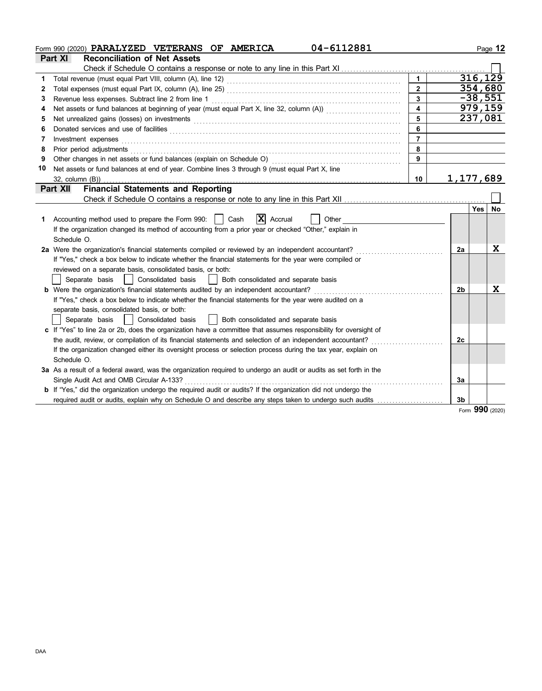|    | 04-6112881<br>Form 990 (2020) PARALYZED VETERANS OF AMERICA                                                                                                                                                                    |                         |           |           | Page 12 |
|----|--------------------------------------------------------------------------------------------------------------------------------------------------------------------------------------------------------------------------------|-------------------------|-----------|-----------|---------|
|    | <b>Reconciliation of Net Assets</b><br>Part XI                                                                                                                                                                                 |                         |           |           |         |
|    |                                                                                                                                                                                                                                |                         |           |           |         |
| 1  | Total revenue (must equal Part VIII, column (A), line 12) [[20] [[20] [[20] [[20] [[30] [[30] [[30] [[30] [[30] [[30] [[30] [[30] [[30] [[30] [[30] [[30] [[30] [[30] [[30] [[30] [[30] [[30] [[30] [[30] [[30] [[30] [[30] [[ | $\blacktriangleleft$    |           | 316, 129  |         |
| 2  |                                                                                                                                                                                                                                | $\overline{2}$          |           | 354,680   |         |
| 3  | Revenue less expenses. Subtract line 2 from line 1                                                                                                                                                                             | $\overline{3}$          |           | $-38,551$ |         |
|    | Net assets or fund balances at beginning of year (must equal Part X, line 32, column (A)) contains the matrice of                                                                                                              | $\overline{\mathbf{A}}$ |           | 979,159   |         |
| 5  |                                                                                                                                                                                                                                | 5                       |           | 237,081   |         |
| 6  | Donated services and use of facilities <b>constructs</b> and the service of the service of the service of facilities                                                                                                           | 6                       |           |           |         |
| 7  | Investment expenses                                                                                                                                                                                                            | $\overline{7}$          |           |           |         |
| 8  |                                                                                                                                                                                                                                | 8                       |           |           |         |
| 9  | Other changes in net assets or fund balances (explain on Schedule O) [[[[[[[[[[[[[[[[[[[[[[]]]]]]]]]                                                                                                                           | 9                       |           |           |         |
| 10 | Net assets or fund balances at end of year. Combine lines 3 through 9 (must equal Part X, line                                                                                                                                 |                         |           |           |         |
|    | $32$ , column $(B)$ )                                                                                                                                                                                                          | 10                      | 1,177,689 |           |         |
|    | <b>Financial Statements and Reporting</b><br><b>Part XII</b>                                                                                                                                                                   |                         |           |           |         |
|    |                                                                                                                                                                                                                                |                         |           |           |         |
|    |                                                                                                                                                                                                                                |                         |           | Yes   No  |         |
| 1. | $X$ Accrual<br>Accounting method used to prepare the Form 990:     Cash<br>Other                                                                                                                                               |                         |           |           |         |
|    | If the organization changed its method of accounting from a prior year or checked "Other," explain in                                                                                                                          |                         |           |           |         |
|    | Schedule O.                                                                                                                                                                                                                    |                         |           |           |         |
|    | 2a Were the organization's financial statements compiled or reviewed by an independent accountant?                                                                                                                             |                         | 2a        |           | X       |
|    | If "Yes," check a box below to indicate whether the financial statements for the year were compiled or                                                                                                                         |                         |           |           |         |
|    | reviewed on a separate basis, consolidated basis, or both:                                                                                                                                                                     |                         |           |           |         |
|    | Separate basis<br>Consolidated basis<br>Both consolidated and separate basis                                                                                                                                                   |                         |           |           |         |
|    | <b>b</b> Were the organization's financial statements audited by an independent accountant?                                                                                                                                    |                         | 2b        |           | X       |
|    | If "Yes," check a box below to indicate whether the financial statements for the year were audited on a                                                                                                                        |                         |           |           |         |
|    | separate basis, consolidated basis, or both:                                                                                                                                                                                   |                         |           |           |         |
|    | Both consolidated and separate basis<br>Separate basis<br>Consolidated basis                                                                                                                                                   |                         |           |           |         |
|    | c If "Yes" to line 2a or 2b, does the organization have a committee that assumes responsibility for oversight of                                                                                                               |                         |           |           |         |
|    | the audit, review, or compilation of its financial statements and selection of an independent accountant?                                                                                                                      |                         | 2c        |           |         |
|    | If the organization changed either its oversight process or selection process during the tax year, explain on                                                                                                                  |                         |           |           |         |
|    | Schedule O.                                                                                                                                                                                                                    |                         |           |           |         |
|    | 3a As a result of a federal award, was the organization required to undergo an audit or audits as set forth in the                                                                                                             |                         |           |           |         |
|    | Single Audit Act and OMB Circular A-133?                                                                                                                                                                                       |                         | 3a        |           |         |
|    | <b>b</b> If "Yes," did the organization undergo the required audit or audits? If the organization did not undergo the                                                                                                          |                         |           |           |         |
|    |                                                                                                                                                                                                                                |                         | 3b        |           |         |
|    |                                                                                                                                                                                                                                |                         |           | aan       |         |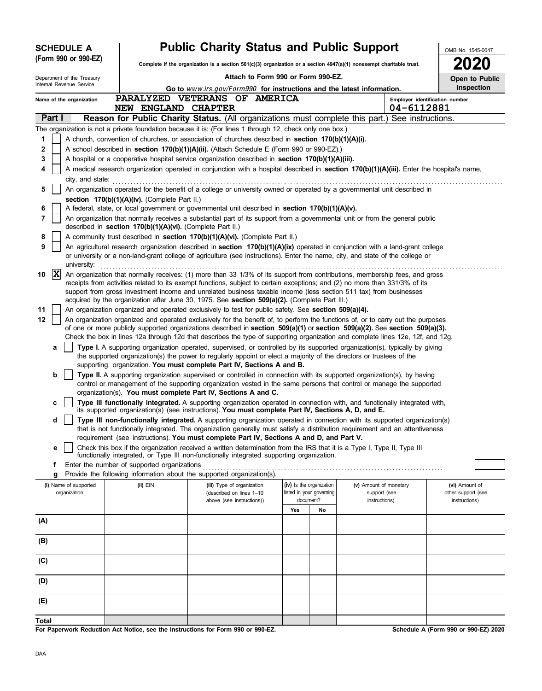|        |                                                                                                                                                  | <b>SCHEDULE A</b>                     |  |                                                            | <b>Public Charity Status and Public Support</b>                                                                                                                                                                                                                |     |                                                      |                                        | OMB No. 1545-0047                    |
|--------|--------------------------------------------------------------------------------------------------------------------------------------------------|---------------------------------------|--|------------------------------------------------------------|----------------------------------------------------------------------------------------------------------------------------------------------------------------------------------------------------------------------------------------------------------------|-----|------------------------------------------------------|----------------------------------------|--------------------------------------|
|        | (Form 990 or 990-EZ)<br>Complete if the organization is a section $501(c)(3)$ organization or a section $4947(a)(1)$ nonexempt charitable trust. |                                       |  |                                                            |                                                                                                                                                                                                                                                                |     |                                                      |                                        |                                      |
|        |                                                                                                                                                  | Department of the Treasury            |  |                                                            | Attach to Form 990 or Form 990-EZ.                                                                                                                                                                                                                             |     |                                                      |                                        | Open to Public                       |
|        |                                                                                                                                                  | Internal Revenue Service              |  |                                                            | Go to www.irs.gov/Form990 for instructions and the latest information.                                                                                                                                                                                         |     |                                                      |                                        | <b>Inspection</b>                    |
|        |                                                                                                                                                  | Name of the organization              |  | <b>NEW ENGLAND</b>                                         | PARALYZED VETERANS OF AMERICA<br><b>CHAPTER</b>                                                                                                                                                                                                                |     |                                                      | 04-6112881                             | Employer identification number       |
|        | Part I                                                                                                                                           |                                       |  |                                                            | Reason for Public Charity Status. (All organizations must complete this part.) See instructions.                                                                                                                                                               |     |                                                      |                                        |                                      |
|        |                                                                                                                                                  |                                       |  |                                                            | The organization is not a private foundation because it is: (For lines 1 through 12, check only one box.)                                                                                                                                                      |     |                                                      |                                        |                                      |
| 1      |                                                                                                                                                  |                                       |  |                                                            | A church, convention of churches, or association of churches described in section 170(b)(1)(A)(i).                                                                                                                                                             |     |                                                      |                                        |                                      |
| 2      |                                                                                                                                                  |                                       |  |                                                            | A school described in section 170(b)(1)(A)(ii). (Attach Schedule E (Form 990 or 990-EZ).)                                                                                                                                                                      |     |                                                      |                                        |                                      |
| 3      |                                                                                                                                                  |                                       |  |                                                            | A hospital or a cooperative hospital service organization described in section 170(b)(1)(A)(iii).                                                                                                                                                              |     |                                                      |                                        |                                      |
| 4      |                                                                                                                                                  |                                       |  |                                                            | A medical research organization operated in conjunction with a hospital described in section 170(b)(1)(A)(iii). Enter the hospital's name,                                                                                                                     |     |                                                      |                                        |                                      |
|        |                                                                                                                                                  | city, and state:                      |  |                                                            |                                                                                                                                                                                                                                                                |     |                                                      |                                        |                                      |
| 5      |                                                                                                                                                  |                                       |  |                                                            | An organization operated for the benefit of a college or university owned or operated by a governmental unit described in                                                                                                                                      |     |                                                      |                                        |                                      |
|        |                                                                                                                                                  |                                       |  | section 170(b)(1)(A)(iv). (Complete Part II.)              |                                                                                                                                                                                                                                                                |     |                                                      |                                        |                                      |
| 6<br>7 |                                                                                                                                                  |                                       |  |                                                            | A federal, state, or local government or governmental unit described in section $170(b)(1)(A)(v)$ .<br>An organization that normally receives a substantial part of its support from a governmental unit or from the general public                            |     |                                                      |                                        |                                      |
|        |                                                                                                                                                  |                                       |  | described in section 170(b)(1)(A)(vi). (Complete Part II.) |                                                                                                                                                                                                                                                                |     |                                                      |                                        |                                      |
| 8      |                                                                                                                                                  |                                       |  |                                                            | A community trust described in section 170(b)(1)(A)(vi). (Complete Part II.)                                                                                                                                                                                   |     |                                                      |                                        |                                      |
| 9      |                                                                                                                                                  |                                       |  |                                                            | An agricultural research organization described in section 170(b)(1)(A)(ix) operated in conjunction with a land-grant college                                                                                                                                  |     |                                                      |                                        |                                      |
|        |                                                                                                                                                  | university:                           |  |                                                            | or university or a non-land-grant college of agriculture (see instructions). Enter the name, city, and state of the college or                                                                                                                                 |     |                                                      |                                        |                                      |
| 10     | $ {\bf X} $                                                                                                                                      |                                       |  |                                                            | An organization that normally receives: (1) more than 33 1/3% of its support from contributions, membership fees, and gross                                                                                                                                    |     |                                                      |                                        |                                      |
|        |                                                                                                                                                  |                                       |  |                                                            | receipts from activities related to its exempt functions, subject to certain exceptions; and (2) no more than 331/3% of its<br>support from gross investment income and unrelated business taxable income (less section 511 tax) from businesses               |     |                                                      |                                        |                                      |
|        |                                                                                                                                                  |                                       |  |                                                            | acquired by the organization after June 30, 1975. See section 509(a)(2). (Complete Part III.)                                                                                                                                                                  |     |                                                      |                                        |                                      |
| 11     |                                                                                                                                                  |                                       |  |                                                            | An organization organized and operated exclusively to test for public safety. See section 509(a)(4).                                                                                                                                                           |     |                                                      |                                        |                                      |
| 12     |                                                                                                                                                  |                                       |  |                                                            | An organization organized and operated exclusively for the benefit of, to perform the functions of, or to carry out the purposes                                                                                                                               |     |                                                      |                                        |                                      |
|        |                                                                                                                                                  |                                       |  |                                                            | of one or more publicly supported organizations described in section 509(a)(1) or section 509(a)(2). See section 509(a)(3).                                                                                                                                    |     |                                                      |                                        |                                      |
|        |                                                                                                                                                  |                                       |  |                                                            | Check the box in lines 12a through 12d that describes the type of supporting organization and complete lines 12e, 12f, and 12g.<br>Type I. A supporting organization operated, supervised, or controlled by its supported organization(s), typically by giving |     |                                                      |                                        |                                      |
|        | а                                                                                                                                                |                                       |  |                                                            | the supported organization(s) the power to regularly appoint or elect a majority of the directors or trustees of the<br>supporting organization. You must complete Part IV, Sections A and B.                                                                  |     |                                                      |                                        |                                      |
|        | b                                                                                                                                                |                                       |  |                                                            | Type II. A supporting organization supervised or controlled in connection with its supported organization(s), by having                                                                                                                                        |     |                                                      |                                        |                                      |
|        |                                                                                                                                                  |                                       |  |                                                            | control or management of the supporting organization vested in the same persons that control or manage the supported<br>organization(s). You must complete Part IV, Sections A and C.                                                                          |     |                                                      |                                        |                                      |
|        | c                                                                                                                                                |                                       |  |                                                            | Type III functionally integrated. A supporting organization operated in connection with, and functionally integrated with,<br>its supported organization(s) (see instructions). You must complete Part IV, Sections A, D, and E.                               |     |                                                      |                                        |                                      |
|        | d                                                                                                                                                |                                       |  |                                                            | Type III non-functionally integrated. A supporting organization operated in connection with its supported organization(s)                                                                                                                                      |     |                                                      |                                        |                                      |
|        |                                                                                                                                                  |                                       |  |                                                            | that is not functionally integrated. The organization generally must satisfy a distribution requirement and an attentiveness                                                                                                                                   |     |                                                      |                                        |                                      |
|        | е                                                                                                                                                |                                       |  |                                                            | requirement (see instructions). You must complete Part IV, Sections A and D, and Part V.<br>Check this box if the organization received a written determination from the IRS that it is a Type I, Type II, Type III                                            |     |                                                      |                                        |                                      |
|        |                                                                                                                                                  |                                       |  |                                                            | functionally integrated, or Type III non-functionally integrated supporting organization.                                                                                                                                                                      |     |                                                      |                                        |                                      |
|        | f.                                                                                                                                               |                                       |  | Enter the number of supported organizations                |                                                                                                                                                                                                                                                                |     |                                                      |                                        |                                      |
|        | g                                                                                                                                                |                                       |  |                                                            | Provide the following information about the supported organization(s).                                                                                                                                                                                         |     |                                                      |                                        |                                      |
|        |                                                                                                                                                  | (i) Name of supported<br>organization |  | (ii) EIN                                                   | (iii) Type of organization<br>(described on lines 1-10                                                                                                                                                                                                         |     | (iv) Is the organization<br>listed in your governing | (v) Amount of monetary<br>support (see | (vi) Amount of<br>other support (see |
|        |                                                                                                                                                  |                                       |  |                                                            | above (see instructions))                                                                                                                                                                                                                                      |     | document?                                            | instructions)                          | instructions)                        |
|        |                                                                                                                                                  |                                       |  |                                                            |                                                                                                                                                                                                                                                                | Yes | No                                                   |                                        |                                      |
| (A)    |                                                                                                                                                  |                                       |  |                                                            |                                                                                                                                                                                                                                                                |     |                                                      |                                        |                                      |
| (B)    |                                                                                                                                                  |                                       |  |                                                            |                                                                                                                                                                                                                                                                |     |                                                      |                                        |                                      |
|        |                                                                                                                                                  |                                       |  |                                                            |                                                                                                                                                                                                                                                                |     |                                                      |                                        |                                      |
| (C)    |                                                                                                                                                  |                                       |  |                                                            |                                                                                                                                                                                                                                                                |     |                                                      |                                        |                                      |
| (D)    |                                                                                                                                                  |                                       |  |                                                            |                                                                                                                                                                                                                                                                |     |                                                      |                                        |                                      |
| (E)    |                                                                                                                                                  |                                       |  |                                                            |                                                                                                                                                                                                                                                                |     |                                                      |                                        |                                      |
|        |                                                                                                                                                  |                                       |  |                                                            |                                                                                                                                                                                                                                                                |     |                                                      |                                        |                                      |
| Total  |                                                                                                                                                  |                                       |  |                                                            | For Paperwork Reduction Act Notice, see the Instructions for Form 990 or 990-EZ.                                                                                                                                                                               |     |                                                      |                                        | Schedule A (Form 990 or 990-EZ) 2020 |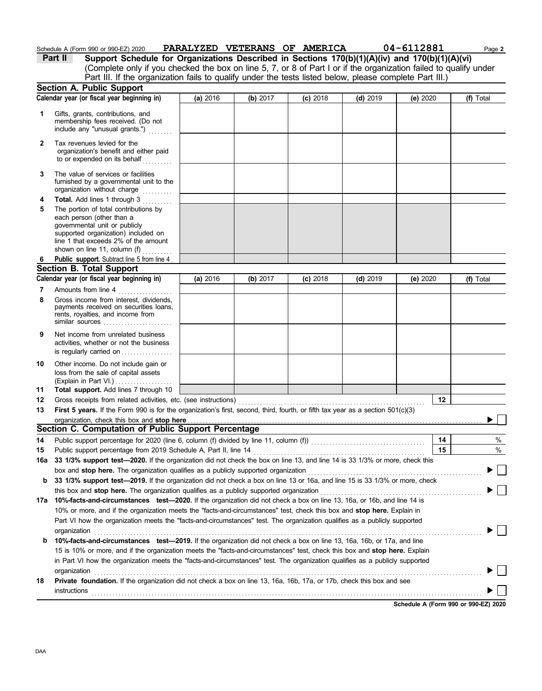|          | Schedule A (Form 990 or 990-EZ) 2020                                                                                                                                                                                                                                                                                                                                                                                |          |          | PARALYZED VETERANS OF AMERICA |            | 04-6112881 | Page 2    |
|----------|---------------------------------------------------------------------------------------------------------------------------------------------------------------------------------------------------------------------------------------------------------------------------------------------------------------------------------------------------------------------------------------------------------------------|----------|----------|-------------------------------|------------|------------|-----------|
|          | Support Schedule for Organizations Described in Sections 170(b)(1)(A)(iv) and 170(b)(1)(A)(vi)<br><b>Part II</b>                                                                                                                                                                                                                                                                                                    |          |          |                               |            |            |           |
|          | (Complete only if you checked the box on line 5, 7, or 8 of Part I or if the organization failed to qualify under                                                                                                                                                                                                                                                                                                   |          |          |                               |            |            |           |
|          | Part III. If the organization fails to qualify under the tests listed below, please complete Part III.)                                                                                                                                                                                                                                                                                                             |          |          |                               |            |            |           |
|          | <b>Section A. Public Support</b>                                                                                                                                                                                                                                                                                                                                                                                    |          |          |                               |            |            |           |
|          | Calendar year (or fiscal year beginning in)                                                                                                                                                                                                                                                                                                                                                                         | (a) 2016 | (b) 2017 | $(c)$ 2018                    | $(d)$ 2019 | (e) 2020   | (f) Total |
| 1        | Gifts, grants, contributions, and<br>membership fees received. (Do not<br>include any "unusual grants.")                                                                                                                                                                                                                                                                                                            |          |          |                               |            |            |           |
| 2        | Tax revenues levied for the<br>organization's benefit and either paid<br>to or expended on its behalf                                                                                                                                                                                                                                                                                                               |          |          |                               |            |            |           |
| 3        | The value of services or facilities<br>furnished by a governmental unit to the<br>organization without charge                                                                                                                                                                                                                                                                                                       |          |          |                               |            |            |           |
| 4        | Total. Add lines 1 through 3                                                                                                                                                                                                                                                                                                                                                                                        |          |          |                               |            |            |           |
| 5        | The portion of total contributions by<br>each person (other than a<br>governmental unit or publicly<br>supported organization) included on<br>line 1 that exceeds 2% of the amount<br>shown on line 11, column (f)                                                                                                                                                                                                  |          |          |                               |            |            |           |
| 6        | Public support. Subtract line 5 from line 4                                                                                                                                                                                                                                                                                                                                                                         |          |          |                               |            |            |           |
|          | <b>Section B. Total Support</b>                                                                                                                                                                                                                                                                                                                                                                                     |          |          |                               |            |            |           |
|          | Calendar year (or fiscal year beginning in)                                                                                                                                                                                                                                                                                                                                                                         | (a) 2016 | (b) 2017 | $(c)$ 2018                    | $(d)$ 2019 | (e) 2020   | (f) Total |
| 7<br>8   | Amounts from line 4<br>Gross income from interest, dividends,<br>payments received on securities loans,<br>rents, royalties, and income from<br>similar sources                                                                                                                                                                                                                                                     |          |          |                               |            |            |           |
| 9        | Net income from unrelated business<br>activities, whether or not the business<br>is regularly carried on                                                                                                                                                                                                                                                                                                            |          |          |                               |            |            |           |
| 10       | Other income. Do not include gain or<br>loss from the sale of capital assets<br>(Explain in Part VI.)                                                                                                                                                                                                                                                                                                               |          |          |                               |            |            |           |
| 11       | Total support. Add lines 7 through 10                                                                                                                                                                                                                                                                                                                                                                               |          |          |                               |            | 12         |           |
| 12<br>13 | Gross receipts from related activities, etc. (see instructions)<br>First 5 years. If the Form 990 is for the organization's first, second, third, fourth, or fifth tax year as a section 501(c)(3)                                                                                                                                                                                                                  |          |          |                               |            |            |           |
|          | Section C. Computation of Public Support Percentage                                                                                                                                                                                                                                                                                                                                                                 |          |          |                               |            |            |           |
| 14       |                                                                                                                                                                                                                                                                                                                                                                                                                     |          |          |                               |            | 14         | $\%$      |
| 15       | Public support percentage from 2019 Schedule A, Part II, line 14                                                                                                                                                                                                                                                                                                                                                    |          |          |                               |            | 15         | $\%$      |
| 16a      | 33 1/3% support test-2020. If the organization did not check the box on line 13, and line 14 is 33 1/3% or more, check this                                                                                                                                                                                                                                                                                         |          |          |                               |            |            |           |
|          | box and stop here. The organization qualifies as a publicly supported organization                                                                                                                                                                                                                                                                                                                                  |          |          |                               |            |            |           |
| b        | 33 1/3% support test-2019. If the organization did not check a box on line 13 or 16a, and line 15 is 33 1/3% or more, check                                                                                                                                                                                                                                                                                         |          |          |                               |            |            |           |
|          | this box and stop here. The organization qualifies as a publicly supported organization                                                                                                                                                                                                                                                                                                                             |          |          |                               |            |            |           |
|          | 17a 10%-facts-and-circumstances test-2020. If the organization did not check a box on line 13, 16a, or 16b, and line 14 is<br>10% or more, and if the organization meets the "facts-and-circumstances" test, check this box and stop here. Explain in<br>Part VI how the organization meets the "facts-and-circumstances" test. The organization qualifies as a publicly supported                                  |          |          |                               |            |            |           |
| b        | organization<br>10%-facts-and-circumstances test-2019. If the organization did not check a box on line 13, 16a, 16b, or 17a, and line<br>15 is 10% or more, and if the organization meets the "facts-and-circumstances" test, check this box and stop here. Explain<br>in Part VI how the organization meets the "facts-and-circumstances" test. The organization qualifies as a publicly supported<br>organization |          |          |                               |            |            |           |
| 18       | Private foundation. If the organization did not check a box on line 13, 16a, 16b, 17a, or 17b, check this box and see                                                                                                                                                                                                                                                                                               |          |          |                               |            |            |           |
|          | instructions                                                                                                                                                                                                                                                                                                                                                                                                        |          |          |                               |            |            |           |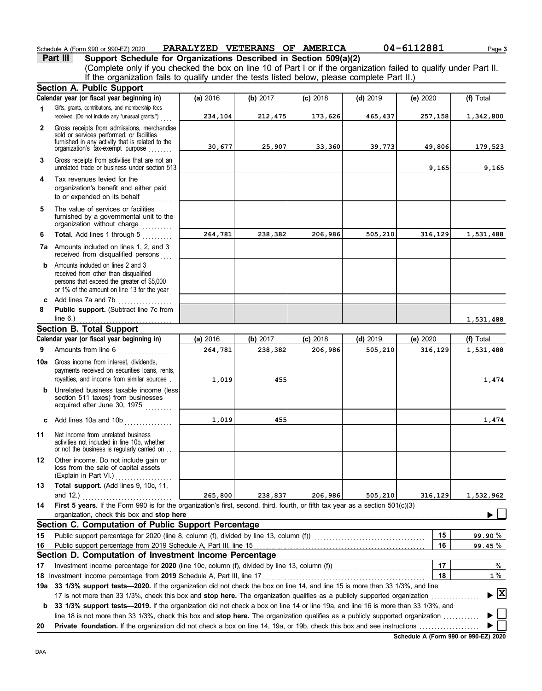### Schedule A (Form 990 or 990-EZ) 2020 **PARALYZED VETERANS OF AMERICA** 04-6112881 Page 3

**Part III Support Schedule for Organizations Described in Section 509(a)(2)** (Complete only if you checked the box on line 10 of Part I or if the organization failed to qualify under Part II. If the organization fails to qualify under the tests listed below, please complete Part II.)

|              | <b>Section A. Public Support</b>                                                                                                                                              |          |          |            |            |          |                                    |
|--------------|-------------------------------------------------------------------------------------------------------------------------------------------------------------------------------|----------|----------|------------|------------|----------|------------------------------------|
|              | Calendar year (or fiscal year beginning in)                                                                                                                                   | (a) 2016 | (b) 2017 | $(c)$ 2018 | $(d)$ 2019 | (e) 2020 | (f) Total                          |
| 1            | Gifts, grants, contributions, and membership fees<br>received. (Do not include any "unusual grants.")                                                                         | 234,104  | 212,475  | 173,626    | 465,437    | 257,158  | 1,342,800                          |
| $\mathbf{2}$ | Gross receipts from admissions, merchandise<br>sold or services performed, or facilities<br>furnished in any activity that is related to the                                  | 30,677   | 25,907   | 33,360     | 39,773     | 49,806   | 179,523                            |
| 3            | organization's tax-exempt purpose<br>Gross receipts from activities that are not an                                                                                           |          |          |            |            |          |                                    |
|              | unrelated trade or business under section 513                                                                                                                                 |          |          |            |            | 9,165    | 9,165                              |
| 4            | Tax revenues levied for the<br>organization's benefit and either paid<br>to or expended on its behalf<br>.                                                                    |          |          |            |            |          |                                    |
| 5            | The value of services or facilities<br>furnished by a governmental unit to the<br>organization without charge                                                                 |          |          |            |            |          |                                    |
| 6            | Total. Add lines 1 through 5                                                                                                                                                  | 264,781  | 238,382  | 206,986    | 505,210    | 316,129  | 1,531,488                          |
|              | <b>7a</b> Amounts included on lines 1, 2, and 3<br>received from disqualified persons                                                                                         |          |          |            |            |          |                                    |
| b            | Amounts included on lines 2 and 3<br>received from other than disqualified<br>persons that exceed the greater of \$5,000<br>or 1% of the amount on line 13 for the year       |          |          |            |            |          |                                    |
| c            | Add lines 7a and 7b                                                                                                                                                           |          |          |            |            |          |                                    |
| 8            | Public support. (Subtract line 7c from                                                                                                                                        |          |          |            |            |          |                                    |
|              | line $6.$ )                                                                                                                                                                   |          |          |            |            |          | 1,531,488                          |
|              | <b>Section B. Total Support</b><br>Calendar year (or fiscal year beginning in)                                                                                                |          |          |            |            |          |                                    |
|              |                                                                                                                                                                               | (a) 2016 | (b) 2017 | $(c)$ 2018 | $(d)$ 2019 | (e) 2020 | (f) Total                          |
| 9            | Amounts from line 6<br>.                                                                                                                                                      | 264,781  | 238,382  | 206,986    | 505,210    | 316,129  | 1,531,488                          |
| 10a          | Gross income from interest, dividends,<br>payments received on securities loans, rents,<br>royalties, and income from similar sources                                         | 1,019    | 455      |            |            |          | 1,474                              |
| b            | Unrelated business taxable income (less)<br>section 511 taxes) from businesses<br>acquired after June 30, 1975                                                                |          |          |            |            |          |                                    |
|              | c Add lines 10a and 10b $\ldots$                                                                                                                                              | 1,019    | 455      |            |            |          | 1,474                              |
| 11           | Net income from unrelated business<br>activities not included in line 10b, whether<br>or not the business is regularly carried on                                             |          |          |            |            |          |                                    |
| 12           | Other income. Do not include gain or<br>loss from the sale of capital assets<br>(Explain in Part VI.)                                                                         |          |          |            |            |          |                                    |
| 13           | Total support. (Add lines 9, 10c, 11,<br>and 12.)                                                                                                                             | 265,800  | 238,837  | 206,986    | 505,210    | 316,129  | 1,532,962                          |
| 14           | First 5 years. If the Form 990 is for the organization's first, second, third, fourth, or fifth tax year as a section 501(c)(3)<br>organization, check this box and stop here |          |          |            |            |          |                                    |
|              | Section C. Computation of Public Support Percentage                                                                                                                           |          |          |            |            |          |                                    |
| 15           | Public support percentage for 2020 (line 8, column (f), divided by line 13, column (f)) [[[[[[[[[[[[[[[[[[[[[                                                                 |          |          |            |            | 15       | 99.90%                             |
| 16           |                                                                                                                                                                               |          |          |            |            | 16       | 99.45%                             |
|              | Section D. Computation of Investment Income Percentage                                                                                                                        |          |          |            |            |          |                                    |
| 17           |                                                                                                                                                                               |          |          |            |            | 17       | %                                  |
| 18           | Investment income percentage from 2019 Schedule A, Part III, line 17                                                                                                          |          |          |            |            | 18       | $1\%$                              |
| 19a          | 33 1/3% support tests-2020. If the organization did not check the box on line 14, and line 15 is more than 33 1/3%, and line                                                  |          |          |            |            |          |                                    |
|              | 17 is not more than 33 1/3%, check this box and stop here. The organization qualifies as a publicly supported organization.                                                   |          |          |            |            |          | $\blacktriangleright$ $\mathbf{X}$ |
| b            | 33 1/3% support tests-2019. If the organization did not check a box on line 14 or line 19a, and line 16 is more than 33 1/3%, and                                             |          |          |            |            |          |                                    |
|              | line 18 is not more than 33 1/3%, check this box and stop here. The organization qualifies as a publicly supported organization                                               |          |          |            |            |          |                                    |
| 20           |                                                                                                                                                                               |          |          |            |            |          |                                    |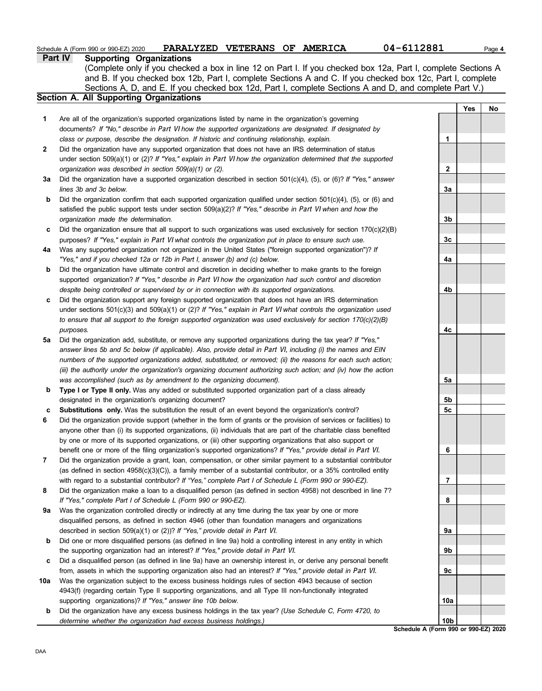#### **Part IV Supporting Organizations**

Sections A, D, and E. If you checked box 12d, Part I, complete Sections A and D, and complete Part V.) (Complete only if you checked a box in line 12 on Part I. If you checked box 12a, Part I, complete Sections A and B. If you checked box 12b, Part I, complete Sections A and C. If you checked box 12c, Part I, complete

### **Section A. All Supporting Organizations**

- Are all of the organization's supported organizations listed by name in the organization's governing documents? *If "No," describe in* Part VI *how the supported organizations are designated. If designated by class or purpose, describe the designation. If historic and continuing relationship, explain.* **1**
- Did the organization have any supported organization that does not have an IRS determination of status under section 509(a)(1) or (2)? *If "Yes," explain in* Part VI *how the organization determined that the supported organization was described in section 509(a)(1) or (2).* **2**
- **3a** Did the organization have a supported organization described in section 501(c)(4), (5), or (6)? *If "Yes," answer lines 3b and 3c below.*
- **b** Did the organization confirm that each supported organization qualified under section 501(c)(4), (5), or (6) and satisfied the public support tests under section 509(a)(2)? *If "Yes," describe in* Part VI *when and how the organization made the determination.*
- **c** Did the organization ensure that all support to such organizations was used exclusively for section 170(c)(2)(B) purposes? *If "Yes," explain in* Part VI *what controls the organization put in place to ensure such use.*
- **4a** Was any supported organization not organized in the United States ("foreign supported organization")? *If "Yes," and if you checked 12a or 12b in Part I, answer (b) and (c) below.*
- **b** Did the organization have ultimate control and discretion in deciding whether to make grants to the foreign supported organization? *If "Yes," describe in* Part VI *how the organization had such control and discretion despite being controlled or supervised by or in connection with its supported organizations.*
- **c** Did the organization support any foreign supported organization that does not have an IRS determination under sections 501(c)(3) and 509(a)(1) or (2)? *If "Yes," explain in* Part VI *what controls the organization used to ensure that all support to the foreign supported organization was used exclusively for section 170(c)(2)(B) purposes.*
- **5a** Did the organization add, substitute, or remove any supported organizations during the tax year? *If "Yes," answer lines 5b and 5c below (if applicable). Also, provide detail in* Part VI, *including (i) the names and EIN numbers of the supported organizations added, substituted, or removed; (ii) the reasons for each such action; (iii) the authority under the organization's organizing document authorizing such action; and (iv) how the action was accomplished (such as by amendment to the organizing document).*
- **b** Type I or Type II only. Was any added or substituted supported organization part of a class already designated in the organization's organizing document?
- **c Substitutions only.** Was the substitution the result of an event beyond the organization's control?
- **6** Did the organization provide support (whether in the form of grants or the provision of services or facilities) to anyone other than (i) its supported organizations, (ii) individuals that are part of the charitable class benefited by one or more of its supported organizations, or (iii) other supporting organizations that also support or benefit one or more of the filing organization's supported organizations? *If "Yes," provide detail in* Part VI.
- **7** Did the organization provide a grant, loan, compensation, or other similar payment to a substantial contributor (as defined in section  $4958(c)(3)(C)$ ), a family member of a substantial contributor, or a 35% controlled entity with regard to a substantial contributor? *If "Yes," complete Part I of Schedule L (Form 990 or 990-EZ)*.
- **8** Did the organization make a loan to a disqualified person (as defined in section 4958) not described in line 7? *If "Yes," complete Part I of Schedule L (Form 990 or 990-EZ).*
- **9a** Was the organization controlled directly or indirectly at any time during the tax year by one or more disqualified persons, as defined in section 4946 (other than foundation managers and organizations described in section 509(a)(1) or (2))? *If "Yes," provide detail in* Part VI.
- **b** Did one or more disqualified persons (as defined in line 9a) hold a controlling interest in any entity in which the supporting organization had an interest? *If "Yes," provide detail in* Part VI.
- **c** Did a disqualified person (as defined in line 9a) have an ownership interest in, or derive any personal benefit from, assets in which the supporting organization also had an interest? *If "Yes," provide detail in* Part VI.
- **10a** Was the organization subject to the excess business holdings rules of section 4943 because of section 4943(f) (regarding certain Type II supporting organizations, and all Type III non-functionally integrated supporting organizations)? *If "Yes," answer line 10b below.*
	- **b** Did the organization have any excess business holdings in the tax year? *(Use Schedule C, Form 4720, to determine whether the organization had excess business holdings.)*

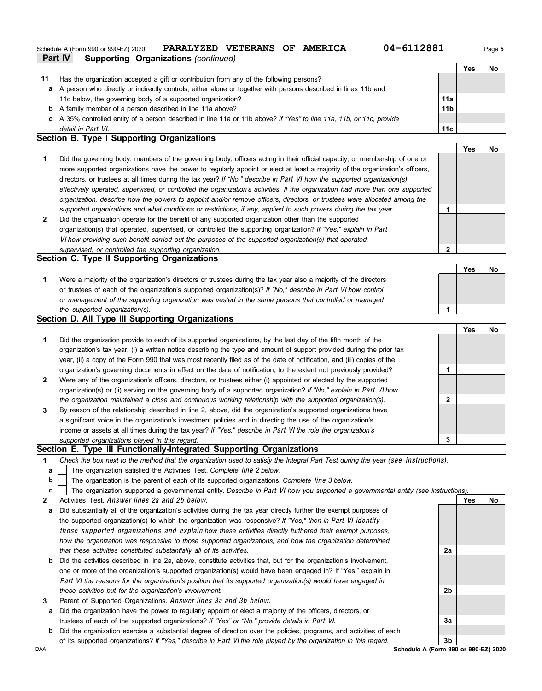#### **Part IV Supporting Organizations** *(continued)* Schedule A (Form 990 or 990-EZ) 2020 **PARALYZED VETERANS OF AMERICA** 04-6112881 Page 5

|    |                                                                                                                      |                 | Yes | No |
|----|----------------------------------------------------------------------------------------------------------------------|-----------------|-----|----|
| 11 | Has the organization accepted a gift or contribution from any of the following persons?                              |                 |     |    |
|    | a A person who directly or indirectly controls, either alone or together with persons described in lines 11b and     |                 |     |    |
|    | 11c below, the governing body of a supported organization?                                                           | 11a             |     |    |
| b  | A family member of a person described in line 11a above?                                                             | 11 <sub>b</sub> |     |    |
|    | c A 35% controlled entity of a person described in line 11a or 11b above? If "Yes" to line 11a, 11b, or 11c, provide |                 |     |    |
|    | detail in Part VI.                                                                                                   | 11c             |     |    |
|    | Section B. Type I Supporting Organizations                                                                           |                 |     |    |

|   |                                                                                                                                                                                                                                                                                                                                                                                                                                                                                                                                                                                                                                                      |   | Yes | <b>No</b> |
|---|------------------------------------------------------------------------------------------------------------------------------------------------------------------------------------------------------------------------------------------------------------------------------------------------------------------------------------------------------------------------------------------------------------------------------------------------------------------------------------------------------------------------------------------------------------------------------------------------------------------------------------------------------|---|-----|-----------|
|   | Did the governing body, members of the governing body, officers acting in their official capacity, or membership of one or<br>more supported organizations have the power to regularly appoint or elect at least a majority of the organization's officers,<br>directors, or trustees at all times during the tax year? If "No," describe in Part VI how the supported organization(s)<br>effectively operated, supervised, or controlled the organization's activities. If the organization had more than one supported<br>organization, describe how the powers to appoint and/or remove officers, directors, or trustees were allocated among the |   |     |           |
|   | supported organizations and what conditions or restrictions, if any, applied to such powers during the tax year.                                                                                                                                                                                                                                                                                                                                                                                                                                                                                                                                     |   |     |           |
| 2 | Did the organization operate for the benefit of any supported organization other than the supported<br>organization(s) that operated, supervised, or controlled the supporting organization? If "Yes," explain in Part<br>VI how providing such benefit carried out the purposes of the supported organization(s) that operated,                                                                                                                                                                                                                                                                                                                     |   |     |           |
|   | supervised, or controlled the supporting organization.                                                                                                                                                                                                                                                                                                                                                                                                                                                                                                                                                                                               | າ |     |           |
|   | Section C. Type II Supporting Organizations                                                                                                                                                                                                                                                                                                                                                                                                                                                                                                                                                                                                          |   |     |           |

|                                                                                                                  | $v_{es}$ | N |
|------------------------------------------------------------------------------------------------------------------|----------|---|
| Were a majority of the organization's directors or trustees during the tax year also a majority of the directors |          |   |
| or trustees of each of the organization's supported organization(s)? If "No," describe in Part VI how control    |          |   |
| or management of the supporting organization was vested in the same persons that controlled or managed           |          |   |
| the supported organization(s).                                                                                   |          |   |

#### **Section D. All Type III Supporting Organizations**

|              |                                                                                                                        |   | Yes | No |
|--------------|------------------------------------------------------------------------------------------------------------------------|---|-----|----|
| 1            | Did the organization provide to each of its supported organizations, by the last day of the fifth month of the         |   |     |    |
|              | organization's tax year, (i) a written notice describing the type and amount of support provided during the prior tax  |   |     |    |
|              | year, (ii) a copy of the Form 990 that was most recently filed as of the date of notification, and (iii) copies of the |   |     |    |
|              | organization's governing documents in effect on the date of notification, to the extent not previously provided?       |   |     |    |
| $\mathbf{2}$ | Were any of the organization's officers, directors, or trustees either (i) appointed or elected by the supported       |   |     |    |
|              | organization(s) or (ii) serving on the governing body of a supported organization? If "No," explain in Part VI how     |   |     |    |
|              | the organization maintained a close and continuous working relationship with the supported organization(s).            | 2 |     |    |
| $\mathbf{3}$ | By reason of the relationship described in line 2, above, did the organization's supported organizations have          |   |     |    |
|              | a significant voice in the organization's investment policies and in directing the use of the organization's           |   |     |    |
|              | income or assets at all times during the tax year? If "Yes," describe in Part VI the role the organization's           |   |     |    |
|              | supported organizations played in this regard.                                                                         | 3 |     |    |

#### **Section E. Type III Functionally-Integrated Supporting Organizations**

- **1** *Check the box next to the method that the organization used to satisfy the Integral Part Test during the year (*see instructions*).*
	- The organization satisfied the Activities Test. *Complete* line 2 *below.* **a**
- The organization is the parent of each of its supported organizations. *Complete* line 3 *below.* **b**
- The organization supported a governmental entity. *Describe in* Part VI *how you supported a governmental entity (see instructions).* **c**
- **2** Activities Test. Answer lines 2a and 2b below.
- **a** Did substantially all of the organization's activities during the tax year directly further the exempt purposes of the supported organization(s) to which the organization was responsive? *If "Yes," then in* Part VI identify those supported organizations and explain *how these activities directly furthered their exempt purposes, how the organization was responsive to those supported organizations, and how the organization determined that these activities constituted substantially all of its activities.*
- **b** Did the activities described in line 2a, above, constitute activities that, but for the organization's involvement, one or more of the organization's supported organization(s) would have been engaged in? If "Yes," explain in Part VI *the reasons for the organization's position that its supported organization(s) would have engaged in these activities but for the organization's involvement.*
- **3** Parent of Supported Organizations. Answer lines 3a and 3b below.
	- **a** Did the organization have the power to regularly appoint or elect a majority of the officers, directors, or trustees of each of the supported organizations? *If "Yes" or "No," provide details in* Part VI.
- **b** Did the organization exercise a substantial degree of direction over the policies, programs, and activities of each of its supported organizations? *If "Yes," describe in* Part VI *the role played by the organization in this regard.*

**Yes No 2a 2b 3a 3b**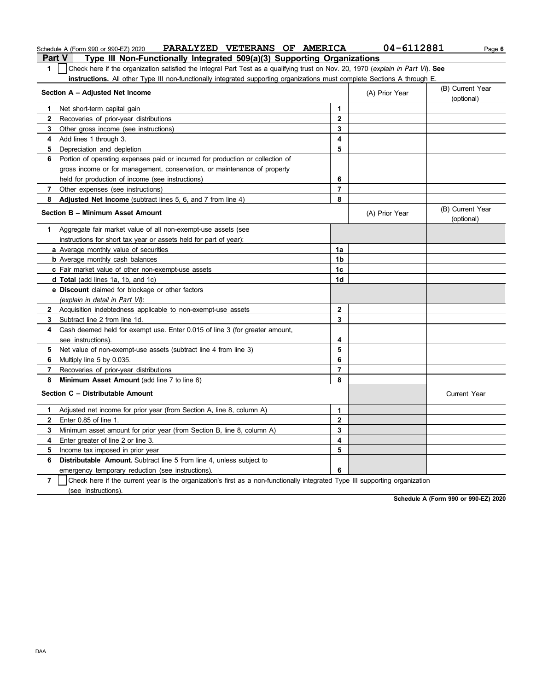|                | PARALYZED VETERANS OF AMERICA<br>Schedule A (Form 990 or 990-EZ) 2020                                                            |                         | 04-6112881     | Page 6                         |
|----------------|----------------------------------------------------------------------------------------------------------------------------------|-------------------------|----------------|--------------------------------|
|                | <b>Part V</b><br>Type III Non-Functionally Integrated 509(a)(3) Supporting Organizations                                         |                         |                |                                |
| 1              | Check here if the organization satisfied the Integral Part Test as a qualifying trust on Nov. 20, 1970 (explain in Part VI). See |                         |                |                                |
|                | instructions. All other Type III non-functionally integrated supporting organizations must complete Sections A through E.        |                         |                |                                |
|                | Section A - Adjusted Net Income                                                                                                  |                         | (A) Prior Year | (B) Current Year<br>(optional) |
| 1              | Net short-term capital gain                                                                                                      | 1                       |                |                                |
| 2              | Recoveries of prior-year distributions                                                                                           | $\overline{2}$          |                |                                |
| 3              | Other gross income (see instructions)                                                                                            | 3                       |                |                                |
| 4              | Add lines 1 through 3.                                                                                                           | 4                       |                |                                |
| 5              | Depreciation and depletion                                                                                                       | 5                       |                |                                |
| 6              | Portion of operating expenses paid or incurred for production or collection of                                                   |                         |                |                                |
|                | gross income or for management, conservation, or maintenance of property                                                         |                         |                |                                |
|                | held for production of income (see instructions)                                                                                 | 6                       |                |                                |
| 7              | Other expenses (see instructions)                                                                                                | $\overline{7}$          |                |                                |
| 8              | Adjusted Net Income (subtract lines 5, 6, and 7 from line 4)                                                                     | 8                       |                |                                |
|                | Section B - Minimum Asset Amount                                                                                                 |                         | (A) Prior Year | (B) Current Year<br>(optional) |
| 1.             | Aggregate fair market value of all non-exempt-use assets (see                                                                    |                         |                |                                |
|                | instructions for short tax year or assets held for part of year):                                                                |                         |                |                                |
|                | a Average monthly value of securities                                                                                            | 1a                      |                |                                |
|                | <b>b</b> Average monthly cash balances                                                                                           | 1b                      |                |                                |
|                | c Fair market value of other non-exempt-use assets                                                                               | 1 <sub>c</sub>          |                |                                |
|                | d Total (add lines 1a, 1b, and 1c)                                                                                               | 1d                      |                |                                |
|                | e Discount claimed for blockage or other factors                                                                                 |                         |                |                                |
|                | (explain in detail in Part VI):                                                                                                  |                         |                |                                |
| 2              | Acquisition indebtedness applicable to non-exempt-use assets                                                                     | $\mathbf{2}$            |                |                                |
| 3              | Subtract line 2 from line 1d.                                                                                                    | 3                       |                |                                |
| 4              | Cash deemed held for exempt use. Enter 0.015 of line 3 (for greater amount,                                                      |                         |                |                                |
|                | see instructions).                                                                                                               | 4                       |                |                                |
| 5              | Net value of non-exempt-use assets (subtract line 4 from line 3)                                                                 | 5                       |                |                                |
| 6              | Multiply line 5 by 0.035.                                                                                                        | 6                       |                |                                |
| 7              | Recoveries of prior-year distributions                                                                                           | 7                       |                |                                |
| 8              | Minimum Asset Amount (add line 7 to line 6)                                                                                      | 8                       |                |                                |
|                | Section C - Distributable Amount                                                                                                 |                         |                | <b>Current Year</b>            |
|                | Adjusted net income for prior year (from Section A, line 8, column A)                                                            | 1                       |                |                                |
|                | Enter 0.85 of line 1.                                                                                                            | $\overline{\mathbf{2}}$ |                |                                |
| 3.             | Minimum asset amount for prior year (from Section B, line 8, column A)                                                           | 3                       |                |                                |
| 4              | Enter greater of line 2 or line 3.                                                                                               | 4                       |                |                                |
| 5              | Income tax imposed in prior year                                                                                                 | 5                       |                |                                |
| 6              | Distributable Amount. Subtract line 5 from line 4, unless subject to                                                             |                         |                |                                |
|                | emergency temporary reduction (see instructions)                                                                                 | 6                       |                |                                |
| $\overline{7}$ | Check here if the current year is the organization's first as a non-functionally integrated Type III supporting organization     |                         |                |                                |
|                | (see instructions).                                                                                                              |                         |                |                                |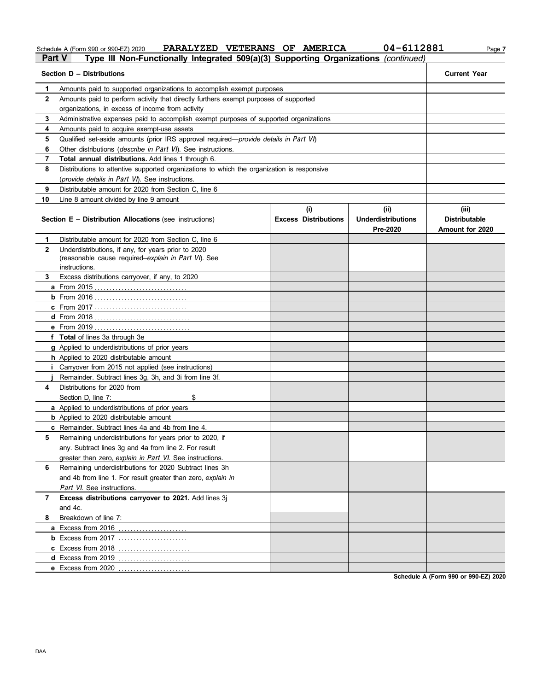Schedule A (Form 990 or 990-EZ) 2020 **PARALYZED VETERANS OF AMERICA** 04-6112881 Page 7

# Schedule A (Form 990 or 990-EZ) 2020 **PARALYZED VETERANS OF AMERICA** 04-6112 **Part V** Type III Non-Functionally Integrated 509(a)(3) Supporting Organizations *(continued)*

| Section D - Distributions | <b>Current Year</b>                                                                        |                                    |                                               |                                                  |
|---------------------------|--------------------------------------------------------------------------------------------|------------------------------------|-----------------------------------------------|--------------------------------------------------|
| 1                         | Amounts paid to supported organizations to accomplish exempt purposes                      |                                    |                                               |                                                  |
| 2                         | Amounts paid to perform activity that directly furthers exempt purposes of supported       |                                    |                                               |                                                  |
|                           | organizations, in excess of income from activity                                           |                                    |                                               |                                                  |
| 3                         | Administrative expenses paid to accomplish exempt purposes of supported organizations      |                                    |                                               |                                                  |
| 4                         | Amounts paid to acquire exempt-use assets                                                  |                                    |                                               |                                                  |
| 5                         | Qualified set-aside amounts (prior IRS approval required—provide details in Part VI)       |                                    |                                               |                                                  |
| 6                         | Other distributions ( <i>describe in Part VI</i> ). See instructions.                      |                                    |                                               |                                                  |
| 7                         | Total annual distributions. Add lines 1 through 6.                                         |                                    |                                               |                                                  |
| 8                         | Distributions to attentive supported organizations to which the organization is responsive |                                    |                                               |                                                  |
|                           | (provide details in Part VI). See instructions.                                            |                                    |                                               |                                                  |
| 9                         | Distributable amount for 2020 from Section C. line 6                                       |                                    |                                               |                                                  |
| 10                        | Line 8 amount divided by line 9 amount                                                     |                                    |                                               |                                                  |
|                           | <b>Section E - Distribution Allocations (see instructions)</b>                             | (i)<br><b>Excess Distributions</b> | (ii)<br><b>Underdistributions</b><br>Pre-2020 | (iii)<br><b>Distributable</b><br>Amount for 2020 |
| 1                         | Distributable amount for 2020 from Section C, line 6                                       |                                    |                                               |                                                  |
| 2                         | Underdistributions, if any, for years prior to 2020                                        |                                    |                                               |                                                  |
|                           | (reasonable cause required-explain in Part VI). See<br>instructions.                       |                                    |                                               |                                                  |
| 3                         | Excess distributions carryover, if any, to 2020                                            |                                    |                                               |                                                  |
|                           |                                                                                            |                                    |                                               |                                                  |
|                           |                                                                                            |                                    |                                               |                                                  |
|                           | <b>c</b> From 2017                                                                         |                                    |                                               |                                                  |
|                           |                                                                                            |                                    |                                               |                                                  |
|                           |                                                                                            |                                    |                                               |                                                  |
|                           | f Total of lines 3a through 3e                                                             |                                    |                                               |                                                  |
|                           | g Applied to underdistributions of prior years                                             |                                    |                                               |                                                  |
|                           | h Applied to 2020 distributable amount                                                     |                                    |                                               |                                                  |
|                           | <i>i</i> Carryover from 2015 not applied (see instructions)                                |                                    |                                               |                                                  |
|                           | Remainder. Subtract lines 3g, 3h, and 3i from line 3f.                                     |                                    |                                               |                                                  |
| 4                         | Distributions for 2020 from                                                                |                                    |                                               |                                                  |
|                           | Section D, line 7:<br>\$                                                                   |                                    |                                               |                                                  |
|                           | a Applied to underdistributions of prior years                                             |                                    |                                               |                                                  |
|                           | <b>b</b> Applied to 2020 distributable amount                                              |                                    |                                               |                                                  |
|                           | <b>c</b> Remainder. Subtract lines 4a and 4b from line 4.                                  |                                    |                                               |                                                  |
| 5                         | Remaining underdistributions for years prior to 2020, if                                   |                                    |                                               |                                                  |
|                           | any. Subtract lines 3g and 4a from line 2. For result                                      |                                    |                                               |                                                  |
|                           | greater than zero, explain in Part VI. See instructions.                                   |                                    |                                               |                                                  |
| 6                         | Remaining underdistributions for 2020 Subtract lines 3h                                    |                                    |                                               |                                                  |
|                           | and 4b from line 1. For result greater than zero, explain in                               |                                    |                                               |                                                  |
|                           | Part VI. See instructions.                                                                 |                                    |                                               |                                                  |
| 7                         | Excess distributions carryover to 2021. Add lines 3j                                       |                                    |                                               |                                                  |
|                           | and 4c.                                                                                    |                                    |                                               |                                                  |
| 8                         | Breakdown of line 7:                                                                       |                                    |                                               |                                                  |
|                           |                                                                                            |                                    |                                               |                                                  |
|                           |                                                                                            |                                    |                                               |                                                  |
|                           |                                                                                            |                                    |                                               |                                                  |
|                           |                                                                                            |                                    |                                               |                                                  |
|                           | e Excess from 2020                                                                         |                                    |                                               |                                                  |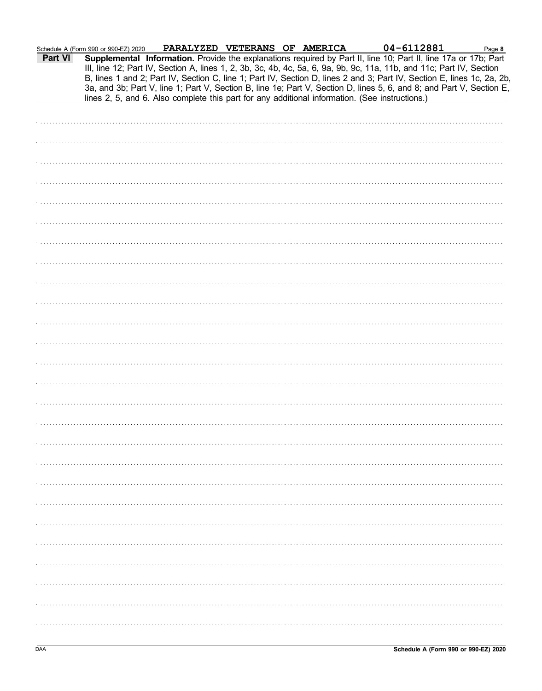PARALYZED VETERANS OF AMERICA

lines 2, 5, and 6. Also complete this part for any additional information. (See instructions.)

Supplemental Information. Provide the explanations required by Part II, line 10; Part II, line 17a or 17b; Part III, line 12; Part IV, Section A, lines 1, 2, 3b, 3c, 4b, 4c, 5a, 6, 9a, 9b, 9c, 11a, 11b, and 11c; Part IV, Section B, lines 1 and 2; Part IV, Section C, line 1; Part IV, Section D, lines 2 and 3; Part IV, Section E, lines 1c, 2a, 2b, 3a, and 3b; Part V, line 1; Part V, Section B, line 1e; Part V, Section D, lines 5, 6, and 8; and Part V, Section E,

Schedule A (Form 990 or 990-EZ) 2020

**Part VI** 

04-6112881

Page 8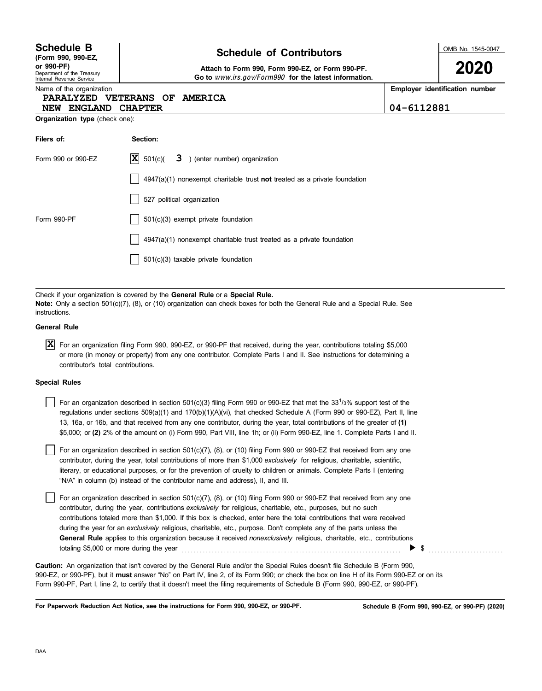Department of the Treasury Internal Revenue Service **(Form 990, 990-EZ,**

## **Schedule of Contributors Schedule B**

**or 990-PF) Attach to Form 990, Form 990-EZ, or Form 990-PF. Go to** www.irs.gov/Form990 **for the latest information.** OMB No. 1545-0047

**2020**

Name of the organization

### **PARALYZED VETERANS OF AMERICA**

| ame of the organization       | <b>Employer identification number</b> |
|-------------------------------|---------------------------------------|
| PARALYZED VETERANS OF AMERICA |                                       |
| NEW ENGLAND CHAPTER           | $04 - 6112881$                        |

**Organization type** (check one):

| Filers of:         | Section:                                                                           |
|--------------------|------------------------------------------------------------------------------------|
| Form 990 or 990-EZ | $ \mathbf{X} $ 501(c)( $3$ ) (enter number) organization                           |
|                    | $4947(a)(1)$ nonexempt charitable trust <b>not</b> treated as a private foundation |
|                    | 527 political organization                                                         |
| Form 990-PF        | $501(c)(3)$ exempt private foundation                                              |
|                    | 4947(a)(1) nonexempt charitable trust treated as a private foundation              |
|                    | $501(c)(3)$ taxable private foundation                                             |

Check if your organization is covered by the **General Rule** or a **Special Rule. Note:** Only a section 501(c)(7), (8), or (10) organization can check boxes for both the General Rule and a Special Rule. See instructions.

#### **General Rule**

For an organization filing Form 990, 990-EZ, or 990-PF that received, during the year, contributions totaling \$5,000 **X**or more (in money or property) from any one contributor. Complete Parts I and II. See instructions for determining a contributor's total contributions.

#### **Special Rules**

For an organization described in section 501(c)(3) filing Form 990 or 990-EZ that met the 331/3% support test of the regulations under sections 509(a)(1) and 170(b)(1)(A)(vi), that checked Schedule A (Form 990 or 990-EZ), Part II, line 13, 16a, or 16b, and that received from any one contributor, during the year, total contributions of the greater of **(1)** \$5,000; or **(2)** 2% of the amount on (i) Form 990, Part VIII, line 1h; or (ii) Form 990-EZ, line 1. Complete Parts I and II.

literary, or educational purposes, or for the prevention of cruelty to children or animals. Complete Parts I (entering For an organization described in section 501(c)(7), (8), or (10) filing Form 990 or 990-EZ that received from any one contributor, during the year, total contributions of more than \$1,000 *exclusively* for religious, charitable, scientific, "N/A" in column (b) instead of the contributor name and address), II, and III.

For an organization described in section 501(c)(7), (8), or (10) filing Form 990 or 990-EZ that received from any one contributor, during the year, contributions *exclusively* for religious, charitable, etc., purposes, but no such contributions totaled more than \$1,000. If this box is checked, enter here the total contributions that were received during the year for an *exclusively* religious, charitable, etc., purpose. Don't complete any of the parts unless the **General Rule** applies to this organization because it received *nonexclusively* religious, charitable, etc., contributions totaling \$5,000 or more during the year  $\ldots$   $\ldots$   $\ldots$   $\ldots$   $\ldots$   $\ldots$   $\ldots$   $\ldots$   $\ldots$   $\ldots$ 

990-EZ, or 990-PF), but it **must** answer "No" on Part IV, line 2, of its Form 990; or check the box on line H of its Form 990-EZ or on its Form 990-PF, Part I, line 2, to certify that it doesn't meet the filing requirements of Schedule B (Form 990, 990-EZ, or 990-PF). **Caution:** An organization that isn't covered by the General Rule and/or the Special Rules doesn't file Schedule B (Form 990,

**For Paperwork Reduction Act Notice, see the instructions for Form 990, 990-EZ, or 990-PF.**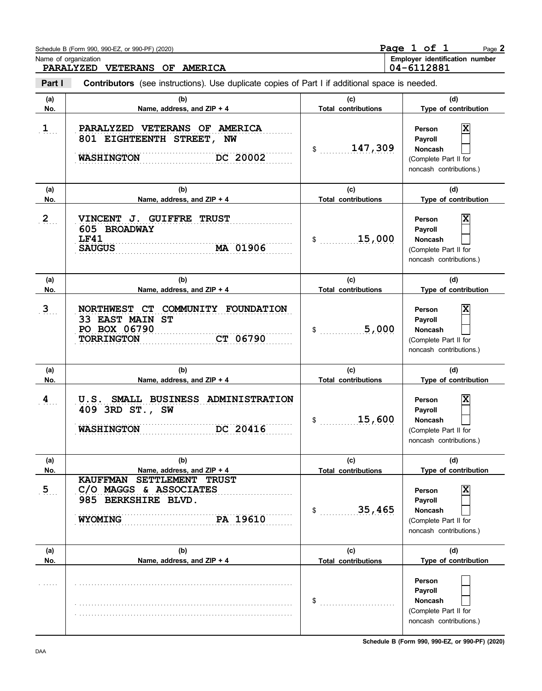|                       | Schedule B (Form 990, 990-EZ, or 990-PF) (2020)                                                                    |                                   | Page 1 of 1<br>Page 2                                                                         |
|-----------------------|--------------------------------------------------------------------------------------------------------------------|-----------------------------------|-----------------------------------------------------------------------------------------------|
|                       | Name of organization<br>PARALYZED VETERANS OF AMERICA                                                              |                                   | Employer identification number<br>04-6112881                                                  |
| Part I                | <b>Contributors</b> (see instructions). Use duplicate copies of Part I if additional space is needed.              |                                   |                                                                                               |
| (a)<br>No.            | (b)<br>Name, address, and ZIP + 4                                                                                  | (c)<br><b>Total contributions</b> | (d)<br>Type of contribution                                                                   |
| $1$                   | PARALYZED VETERANS OF AMERICA<br>801 EIGHTEENTH STREET, NW<br>DC 20002<br><b>WASHINGTON</b>                        | 147,309<br>$\mathsf{\$}$          | Χ<br>Person<br>Payroll<br><b>Noncash</b><br>(Complete Part II for<br>noncash contributions.)  |
| (a)<br>No.            | (b)<br>Name, address, and ZIP + 4                                                                                  | (c)<br><b>Total contributions</b> | (d)<br>Type of contribution                                                                   |
| $2_{\ldots}$          | VINCENT J. GUIFFRE TRUST<br>605 BROADWAY<br><b>LF41</b><br>MA 01906<br><b>SAUGUS</b>                               | 15,000<br>\$                      | X<br>Person<br>Payroll<br><b>Noncash</b><br>(Complete Part II for<br>noncash contributions.)  |
| (a)<br>No.            | (b)<br>Name, address, and ZIP + 4                                                                                  | (c)<br><b>Total contributions</b> | (d)<br>Type of contribution                                                                   |
| $3_{\ldots}$          | NORTHWEST CT COMMUNITY FOUNDATION<br>33 EAST MAIN ST<br>PO BOX 06790<br><b>TORRINGTON</b><br>CT 06790              | 5,000<br>\$                       | X<br>Person<br>Payroll<br><b>Noncash</b><br>(Complete Part II for<br>noncash contributions.)  |
| (a)<br>No.            | (b)<br>Name, address, and ZIP + 4                                                                                  | (c)<br><b>Total contributions</b> | (d)<br>Type of contribution                                                                   |
| $\mathbf{4}_{\cdots}$ | SMALL BUSINESS ADMINISTRATION<br>U.S.<br>409 3RD ST., SW<br>DC 20416<br><b>WASHINGTON</b>                          | 15,600<br>\$                      | X<br>Person<br>Payroll<br>Noncash<br>(Complete Part II for<br>noncash contributions.)         |
| (a)<br>No.            | (b)<br>Name, address, and ZIP + 4                                                                                  | (c)<br><b>Total contributions</b> | (d)<br>Type of contribution                                                                   |
| 5 <sub>1</sub>        | SETTLEMENT TRUST<br><b>KAUFFMAN</b><br>C/O MAGGS & ASSOCIATES<br>985 BERKSHIRE BLVD.<br>PA 19610<br><b>WYOMING</b> | 35,465<br>$\ddot{\textbf{\$}}$    | ΙX<br>Person<br>Payroll<br><b>Noncash</b><br>(Complete Part II for<br>noncash contributions.) |
| (a)<br>No.            | (b)<br>Name, address, and ZIP + 4                                                                                  | (c)<br><b>Total contributions</b> | (d)<br>Type of contribution                                                                   |
|                       |                                                                                                                    | \$                                | Person<br>Payroll<br><b>Noncash</b><br>(Complete Part II for<br>noncash contributions.)       |

**Schedule B (Form 990, 990-EZ, or 990-PF) (2020)**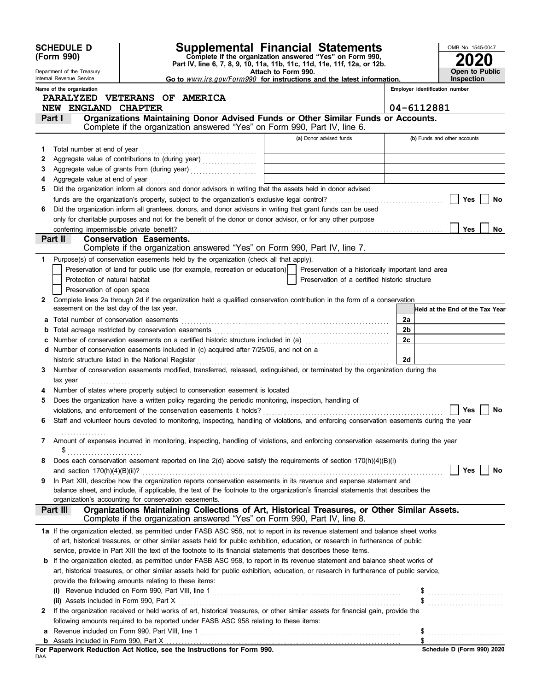|        | <b>SCHEDULE D</b><br>(Form 990)                           |                                | <b>Supplemental Financial Statements</b><br>Complete if the organization answered "Yes" on Form 990,<br>Part IV, line 6, 7, 8, 9, 10, 11a, 11b, 11c, 11d, 11e, 11f, 12a, or 12b.                                                                                        |                                                                            |                                                                            |                | OMB No. 1545-0047               |
|--------|-----------------------------------------------------------|--------------------------------|-------------------------------------------------------------------------------------------------------------------------------------------------------------------------------------------------------------------------------------------------------------------------|----------------------------------------------------------------------------|----------------------------------------------------------------------------|----------------|---------------------------------|
|        | Department of the Treasury<br>Internal Revenue Service    |                                | Go to www.irs.gov/Form990 for instructions and the latest information.                                                                                                                                                                                                  | Attach to Form 990.                                                        |                                                                            |                | Open to Public<br>Inspection    |
|        | Name of the organization<br>PARALYZED VETERANS OF AMERICA |                                |                                                                                                                                                                                                                                                                         |                                                                            |                                                                            |                | Employer identification number  |
|        | NEW ENGLAND CHAPTER                                       |                                |                                                                                                                                                                                                                                                                         |                                                                            |                                                                            | 04-6112881     |                                 |
| Part I |                                                           |                                | Organizations Maintaining Donor Advised Funds or Other Similar Funds or Accounts.                                                                                                                                                                                       |                                                                            |                                                                            |                |                                 |
|        |                                                           |                                | Complete if the organization answered "Yes" on Form 990, Part IV, line 6.                                                                                                                                                                                               |                                                                            |                                                                            |                |                                 |
|        |                                                           |                                |                                                                                                                                                                                                                                                                         |                                                                            | (a) Donor advised funds                                                    |                | (b) Funds and other accounts    |
| 1      | Total number at end of year                               |                                |                                                                                                                                                                                                                                                                         |                                                                            |                                                                            |                |                                 |
| 2<br>3 |                                                           |                                |                                                                                                                                                                                                                                                                         |                                                                            | the control of the control of the control of the control of the control of |                |                                 |
| 4      | Aggregate value at end of year                            |                                |                                                                                                                                                                                                                                                                         | the control of the control of the control of the control of the control of |                                                                            |                |                                 |
| 5      |                                                           |                                | Did the organization inform all donors and donor advisors in writing that the assets held in donor advised                                                                                                                                                              |                                                                            |                                                                            |                |                                 |
|        |                                                           |                                | funds are the organization's property, subject to the organization's exclusive legal control?                                                                                                                                                                           |                                                                            |                                                                            |                | <b>Yes</b><br>No                |
| 6      |                                                           |                                | Did the organization inform all grantees, donors, and donor advisors in writing that grant funds can be used                                                                                                                                                            |                                                                            |                                                                            |                |                                 |
|        |                                                           |                                | only for charitable purposes and not for the benefit of the donor or donor advisor, or for any other purpose                                                                                                                                                            |                                                                            |                                                                            |                |                                 |
|        | conferring impermissible private benefit?                 |                                |                                                                                                                                                                                                                                                                         |                                                                            |                                                                            |                | <b>Yes</b><br>No.               |
|        | Part II                                                   | <b>Conservation Easements.</b> | Complete if the organization answered "Yes" on Form 990, Part IV, line 7.                                                                                                                                                                                               |                                                                            |                                                                            |                |                                 |
| 1      |                                                           |                                | Purpose(s) of conservation easements held by the organization (check all that apply).                                                                                                                                                                                   |                                                                            |                                                                            |                |                                 |
|        |                                                           |                                | Preservation of land for public use (for example, recreation or education)                                                                                                                                                                                              |                                                                            | Preservation of a historically important land area                         |                |                                 |
|        | Protection of natural habitat                             |                                |                                                                                                                                                                                                                                                                         |                                                                            | Preservation of a certified historic structure                             |                |                                 |
|        | Preservation of open space                                |                                |                                                                                                                                                                                                                                                                         |                                                                            |                                                                            |                |                                 |
| 2      |                                                           |                                | Complete lines 2a through 2d if the organization held a qualified conservation contribution in the form of a conservation                                                                                                                                               |                                                                            |                                                                            |                |                                 |
|        | easement on the last day of the tax year.                 |                                |                                                                                                                                                                                                                                                                         |                                                                            |                                                                            |                | Held at the End of the Tax Year |
| a      |                                                           |                                |                                                                                                                                                                                                                                                                         |                                                                            |                                                                            | 2a             |                                 |
| b      | Total acreage restricted by conservation easements        |                                |                                                                                                                                                                                                                                                                         |                                                                            |                                                                            | 2 <sub>b</sub> |                                 |
|        |                                                           |                                | c Number of conservation easements on a certified historic structure included in (a) [11] Number of conservation easements on a certified historic structure included in (a)<br>d Number of conservation easements included in (c) acquired after 7/25/06, and not on a |                                                                            |                                                                            | 2c             |                                 |
|        | historic structure listed in the National Register        |                                |                                                                                                                                                                                                                                                                         |                                                                            |                                                                            | 2d             |                                 |
|        |                                                           |                                | Number of conservation easements modified, transferred, released, extinguished, or terminated by the organization during the                                                                                                                                            |                                                                            |                                                                            |                |                                 |
|        | tax year                                                  |                                |                                                                                                                                                                                                                                                                         |                                                                            |                                                                            |                |                                 |
|        |                                                           |                                | Number of states where property subject to conservation easement is located                                                                                                                                                                                             |                                                                            |                                                                            |                |                                 |
| 5      |                                                           |                                | Does the organization have a written policy regarding the periodic monitoring, inspection, handling of                                                                                                                                                                  |                                                                            |                                                                            |                |                                 |
|        |                                                           |                                | violations, and enforcement of the conservation easements it holds?                                                                                                                                                                                                     |                                                                            |                                                                            |                | <b>Yes</b><br>No                |
| 6      |                                                           |                                | Staff and volunteer hours devoted to monitoring, inspecting, handling of violations, and enforcing conservation easements during the year                                                                                                                               |                                                                            |                                                                            |                |                                 |
| 7      |                                                           |                                | Amount of expenses incurred in monitoring, inspecting, handling of violations, and enforcing conservation easements during the year                                                                                                                                     |                                                                            |                                                                            |                |                                 |
|        |                                                           |                                |                                                                                                                                                                                                                                                                         |                                                                            |                                                                            |                |                                 |
| 8      |                                                           |                                | Does each conservation easement reported on line $2(d)$ above satisfy the requirements of section $170(h)(4)(B)(i)$                                                                                                                                                     |                                                                            |                                                                            |                |                                 |
|        |                                                           |                                |                                                                                                                                                                                                                                                                         |                                                                            |                                                                            |                | <b>Yes</b><br>No                |
| 9      |                                                           |                                | In Part XIII, describe how the organization reports conservation easements in its revenue and expense statement and<br>balance sheet, and include, if applicable, the text of the footnote to the organization's financial statements that describes the                |                                                                            |                                                                            |                |                                 |
|        | organization's accounting for conservation easements.     |                                |                                                                                                                                                                                                                                                                         |                                                                            |                                                                            |                |                                 |
|        | Part III                                                  |                                | Organizations Maintaining Collections of Art, Historical Treasures, or Other Similar Assets.<br>Complete if the organization answered "Yes" on Form 990, Part IV, line 8.                                                                                               |                                                                            |                                                                            |                |                                 |
|        |                                                           |                                | 1a If the organization elected, as permitted under FASB ASC 958, not to report in its revenue statement and balance sheet works                                                                                                                                         |                                                                            |                                                                            |                |                                 |
|        |                                                           |                                | of art, historical treasures, or other similar assets held for public exhibition, education, or research in furtherance of public                                                                                                                                       |                                                                            |                                                                            |                |                                 |
|        |                                                           |                                | service, provide in Part XIII the text of the footnote to its financial statements that describes these items.                                                                                                                                                          |                                                                            |                                                                            |                |                                 |
| b      |                                                           |                                | If the organization elected, as permitted under FASB ASC 958, to report in its revenue statement and balance sheet works of                                                                                                                                             |                                                                            |                                                                            |                |                                 |
|        |                                                           |                                | art, historical treasures, or other similar assets held for public exhibition, education, or research in furtherance of public service,                                                                                                                                 |                                                                            |                                                                            |                |                                 |
|        | provide the following amounts relating to these items:    |                                |                                                                                                                                                                                                                                                                         |                                                                            |                                                                            |                |                                 |
|        |                                                           |                                |                                                                                                                                                                                                                                                                         |                                                                            |                                                                            |                |                                 |
| 2      |                                                           |                                | If the organization received or held works of art, historical treasures, or other similar assets for financial gain, provide the                                                                                                                                        |                                                                            |                                                                            |                |                                 |
|        |                                                           |                                | following amounts required to be reported under FASB ASC 958 relating to these items:                                                                                                                                                                                   |                                                                            |                                                                            |                |                                 |
| а      |                                                           |                                |                                                                                                                                                                                                                                                                         |                                                                            |                                                                            |                |                                 |
| b      |                                                           |                                |                                                                                                                                                                                                                                                                         |                                                                            |                                                                            |                |                                 |
| DAA    |                                                           |                                | For Paperwork Reduction Act Notice, see the Instructions for Form 990.                                                                                                                                                                                                  |                                                                            |                                                                            |                | Schedule D (Form 990) 2020      |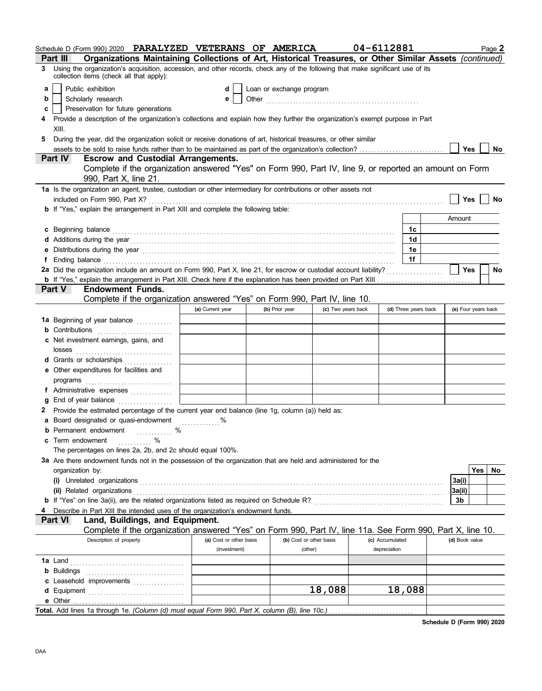|    | Schedule D (Form 990) 2020 PARALYZED VETERANS OF AMERICA                                                                                                                                                                       |                         |  |                                                                                                                                                                                                                                      |                    | 04-6112881 |                 |                      |                | Page 2              |
|----|--------------------------------------------------------------------------------------------------------------------------------------------------------------------------------------------------------------------------------|-------------------------|--|--------------------------------------------------------------------------------------------------------------------------------------------------------------------------------------------------------------------------------------|--------------------|------------|-----------------|----------------------|----------------|---------------------|
|    | Organizations Maintaining Collections of Art, Historical Treasures, or Other Similar Assets (continued)<br>Part III                                                                                                            |                         |  |                                                                                                                                                                                                                                      |                    |            |                 |                      |                |                     |
| 3  | Using the organization's acquisition, accession, and other records, check any of the following that make significant use of its<br>collection items (check all that apply):                                                    |                         |  |                                                                                                                                                                                                                                      |                    |            |                 |                      |                |                     |
| a  | Public exhibition                                                                                                                                                                                                              | dl                      |  | Loan or exchange program                                                                                                                                                                                                             |                    |            |                 |                      |                |                     |
| b  | Scholarly research                                                                                                                                                                                                             |                         |  | Other <b>contract and the contract of the contract of the contract of the contract of the contract of the contract of the contract of the contract of the contract of the contract of the contract of the contract of the contra</b> |                    |            |                 |                      |                |                     |
| с  | Preservation for future generations                                                                                                                                                                                            |                         |  |                                                                                                                                                                                                                                      |                    |            |                 |                      |                |                     |
| 4  | Provide a description of the organization's collections and explain how they further the organization's exempt purpose in Part                                                                                                 |                         |  |                                                                                                                                                                                                                                      |                    |            |                 |                      |                |                     |
|    | XIII.                                                                                                                                                                                                                          |                         |  |                                                                                                                                                                                                                                      |                    |            |                 |                      |                |                     |
| 5  | During the year, did the organization solicit or receive donations of art, historical treasures, or other similar                                                                                                              |                         |  |                                                                                                                                                                                                                                      |                    |            |                 |                      |                |                     |
|    |                                                                                                                                                                                                                                |                         |  |                                                                                                                                                                                                                                      |                    |            |                 |                      | Yes            | No                  |
|    | Part IV<br><b>Escrow and Custodial Arrangements.</b>                                                                                                                                                                           |                         |  |                                                                                                                                                                                                                                      |                    |            |                 |                      |                |                     |
|    | Complete if the organization answered "Yes" on Form 990, Part IV, line 9, or reported an amount on Form<br>990, Part X, line 21.                                                                                               |                         |  |                                                                                                                                                                                                                                      |                    |            |                 |                      |                |                     |
|    | 1a Is the organization an agent, trustee, custodian or other intermediary for contributions or other assets not                                                                                                                |                         |  |                                                                                                                                                                                                                                      |                    |            |                 |                      |                |                     |
|    | included on Form 990, Part X?                                                                                                                                                                                                  |                         |  |                                                                                                                                                                                                                                      |                    |            |                 |                      | Yes            | No                  |
|    | b If "Yes," explain the arrangement in Part XIII and complete the following table:                                                                                                                                             |                         |  |                                                                                                                                                                                                                                      |                    |            |                 |                      |                |                     |
|    |                                                                                                                                                                                                                                |                         |  |                                                                                                                                                                                                                                      |                    |            |                 |                      | Amount         |                     |
|    | c Beginning balance expressions and the contract of the contract of the contract of the contract of the contract of the contract of the contract of the contract of the contract of the contract of the contract of the contra |                         |  |                                                                                                                                                                                                                                      |                    |            |                 | 1c                   |                |                     |
|    |                                                                                                                                                                                                                                |                         |  |                                                                                                                                                                                                                                      |                    |            |                 | 1d                   |                |                     |
| е  | Distributions during the year manufactured contains and the year manufactured with the year manufactured with                                                                                                                  |                         |  |                                                                                                                                                                                                                                      |                    |            |                 | 1e                   |                |                     |
| f. | Ending balance contains and a series of the contact of the contact of the contact of the contact of the contact of the contact of the contact of the contact of the contact of the contact of the contact of the contact of th |                         |  |                                                                                                                                                                                                                                      |                    |            |                 | 1f                   |                |                     |
|    | 2a Did the organization include an amount on Form 990, Part X, line 21, for escrow or custodial account liability?                                                                                                             |                         |  |                                                                                                                                                                                                                                      |                    |            |                 |                      | <b>Yes</b>     | No                  |
|    | b If "Yes," explain the arrangement in Part XIII. Check here if the explanation has been provided on Part XIII                                                                                                                 |                         |  |                                                                                                                                                                                                                                      |                    |            |                 |                      |                |                     |
|    | <b>Endowment Funds.</b><br><b>Part V</b>                                                                                                                                                                                       |                         |  |                                                                                                                                                                                                                                      |                    |            |                 |                      |                |                     |
|    | Complete if the organization answered "Yes" on Form 990, Part IV, line 10.                                                                                                                                                     |                         |  |                                                                                                                                                                                                                                      |                    |            |                 |                      |                |                     |
|    |                                                                                                                                                                                                                                | (a) Current year        |  | (b) Prior year                                                                                                                                                                                                                       | (c) Two years back |            |                 | (d) Three years back |                | (e) Four years back |
|    | 1a Beginning of year balance                                                                                                                                                                                                   |                         |  |                                                                                                                                                                                                                                      |                    |            |                 |                      |                |                     |
|    | <b>b</b> Contributions <b>contributions</b>                                                                                                                                                                                    |                         |  |                                                                                                                                                                                                                                      |                    |            |                 |                      |                |                     |
|    | c Net investment earnings, gains, and                                                                                                                                                                                          |                         |  |                                                                                                                                                                                                                                      |                    |            |                 |                      |                |                     |
|    |                                                                                                                                                                                                                                |                         |  |                                                                                                                                                                                                                                      |                    |            |                 |                      |                |                     |
|    | d Grants or scholarships                                                                                                                                                                                                       |                         |  |                                                                                                                                                                                                                                      |                    |            |                 |                      |                |                     |
|    | e Other expenditures for facilities and                                                                                                                                                                                        |                         |  |                                                                                                                                                                                                                                      |                    |            |                 |                      |                |                     |
|    |                                                                                                                                                                                                                                |                         |  |                                                                                                                                                                                                                                      |                    |            |                 |                      |                |                     |
|    | f Administrative expenses                                                                                                                                                                                                      |                         |  |                                                                                                                                                                                                                                      |                    |            |                 |                      |                |                     |
|    | End of year balance                                                                                                                                                                                                            |                         |  |                                                                                                                                                                                                                                      |                    |            |                 |                      |                |                     |
| 2  | Provide the estimated percentage of the current year end balance (line 1g, column (a)) held as:                                                                                                                                |                         |  |                                                                                                                                                                                                                                      |                    |            |                 |                      |                |                     |
|    | a Board designated or quasi-endowment                                                                                                                                                                                          |                         |  |                                                                                                                                                                                                                                      |                    |            |                 |                      |                |                     |
|    | Permanent endowment<br>$\%$<br><u>.</u><br>.                                                                                                                                                                                   |                         |  |                                                                                                                                                                                                                                      |                    |            |                 |                      |                |                     |
| c  | Term endowment<br>%                                                                                                                                                                                                            |                         |  |                                                                                                                                                                                                                                      |                    |            |                 |                      |                |                     |
|    | The percentages on lines 2a, 2b, and 2c should equal 100%.                                                                                                                                                                     |                         |  |                                                                                                                                                                                                                                      |                    |            |                 |                      |                |                     |
|    | 3a Are there endowment funds not in the possession of the organization that are held and administered for the                                                                                                                  |                         |  |                                                                                                                                                                                                                                      |                    |            |                 |                      |                |                     |
|    | organization by:                                                                                                                                                                                                               |                         |  |                                                                                                                                                                                                                                      |                    |            |                 |                      |                | Yes<br>No           |
|    |                                                                                                                                                                                                                                |                         |  |                                                                                                                                                                                                                                      |                    |            |                 |                      | 3a(i)          |                     |
|    |                                                                                                                                                                                                                                |                         |  |                                                                                                                                                                                                                                      |                    |            |                 |                      | 3a(ii)         |                     |
|    |                                                                                                                                                                                                                                |                         |  |                                                                                                                                                                                                                                      |                    |            |                 |                      | 3b             |                     |
|    | Describe in Part XIII the intended uses of the organization's endowment funds.                                                                                                                                                 |                         |  |                                                                                                                                                                                                                                      |                    |            |                 |                      |                |                     |
|    | Land, Buildings, and Equipment.<br>Part VI                                                                                                                                                                                     |                         |  |                                                                                                                                                                                                                                      |                    |            |                 |                      |                |                     |
|    | Complete if the organization answered "Yes" on Form 990, Part IV, line 11a. See Form 990, Part X, line 10.                                                                                                                     |                         |  |                                                                                                                                                                                                                                      |                    |            |                 |                      |                |                     |
|    | Description of property                                                                                                                                                                                                        | (a) Cost or other basis |  | (b) Cost or other basis                                                                                                                                                                                                              |                    |            | (c) Accumulated |                      | (d) Book value |                     |
|    |                                                                                                                                                                                                                                | (investment)            |  | (other)                                                                                                                                                                                                                              |                    |            | depreciation    |                      |                |                     |
|    |                                                                                                                                                                                                                                |                         |  |                                                                                                                                                                                                                                      |                    |            |                 |                      |                |                     |
|    |                                                                                                                                                                                                                                |                         |  |                                                                                                                                                                                                                                      |                    |            |                 |                      |                |                     |
|    |                                                                                                                                                                                                                                |                         |  |                                                                                                                                                                                                                                      |                    |            |                 |                      |                |                     |
|    | d Equipment                                                                                                                                                                                                                    |                         |  |                                                                                                                                                                                                                                      | 18,088             |            | 18,088          |                      |                |                     |
|    |                                                                                                                                                                                                                                |                         |  |                                                                                                                                                                                                                                      |                    |            |                 |                      |                |                     |
|    |                                                                                                                                                                                                                                |                         |  |                                                                                                                                                                                                                                      |                    |            |                 |                      |                |                     |

**Schedule D (Form 990) 2020**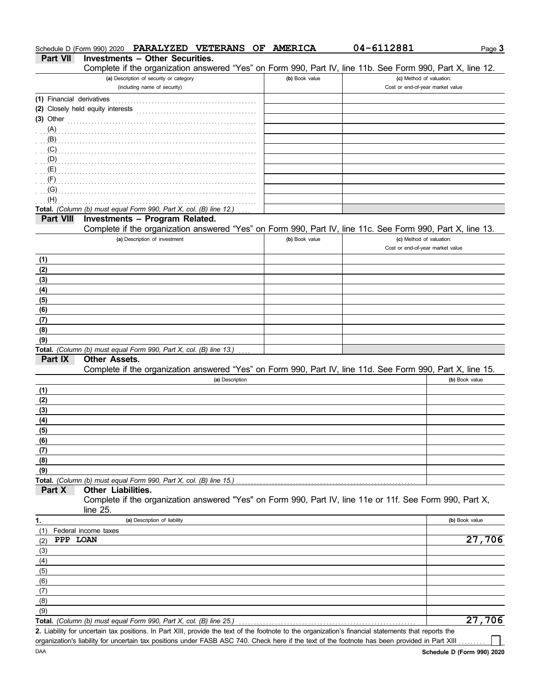|             | Complete if the organization answered "Yes" on Form 990, Part IV, line 11b. See Form 990, Part X, line 12.           |                |                                                              |                |
|-------------|----------------------------------------------------------------------------------------------------------------------|----------------|--------------------------------------------------------------|----------------|
|             | (a) Description of security or category                                                                              | (b) Book value | (c) Method of valuation:                                     |                |
|             | (including name of security)                                                                                         |                | Cost or end-of-year market value                             |                |
|             | (1) Financial derivatives                                                                                            |                |                                                              |                |
|             |                                                                                                                      |                |                                                              |                |
| $(3)$ Other |                                                                                                                      |                |                                                              |                |
|             |                                                                                                                      |                |                                                              |                |
| (B)         |                                                                                                                      |                |                                                              |                |
| (C)         |                                                                                                                      |                |                                                              |                |
|             |                                                                                                                      |                |                                                              |                |
| (E)         |                                                                                                                      |                |                                                              |                |
| (F)         |                                                                                                                      |                |                                                              |                |
| (G)         |                                                                                                                      |                |                                                              |                |
| (H)         |                                                                                                                      |                |                                                              |                |
|             | Total. (Column (b) must equal Form 990, Part X, col. (B) line 12.)                                                   |                |                                                              |                |
| Part VIII   | Investments - Program Related.                                                                                       |                |                                                              |                |
|             | Complete if the organization answered "Yes" on Form 990, Part IV, line 11c. See Form 990, Part X, line 13.           |                |                                                              |                |
|             | (a) Description of investment                                                                                        | (b) Book value | (c) Method of valuation:<br>Cost or end-of-year market value |                |
| (1)         |                                                                                                                      |                |                                                              |                |
| (2)         |                                                                                                                      |                |                                                              |                |
| (3)         |                                                                                                                      |                |                                                              |                |
| (4)         |                                                                                                                      |                |                                                              |                |
| (5)         |                                                                                                                      |                |                                                              |                |
| (6)         |                                                                                                                      |                |                                                              |                |
| (7)         |                                                                                                                      |                |                                                              |                |
| (8)         |                                                                                                                      |                |                                                              |                |
| (9)         |                                                                                                                      |                |                                                              |                |
|             | Total. (Column (b) must equal Form 990, Part X, col. (B) line 13.)                                                   |                |                                                              |                |
| Part IX     | <b>Other Assets.</b>                                                                                                 |                |                                                              |                |
|             | Complete if the organization answered "Yes" on Form 990, Part IV, line 11d. See Form 990, Part X, line 15.           |                |                                                              |                |
|             | (a) Description                                                                                                      |                |                                                              | (b) Book value |
| (1)         |                                                                                                                      |                |                                                              |                |
| (2)         |                                                                                                                      |                |                                                              |                |
| (3)         |                                                                                                                      |                |                                                              |                |
| (4)         |                                                                                                                      |                |                                                              |                |
| (5)         |                                                                                                                      |                |                                                              |                |
| (6)         |                                                                                                                      |                |                                                              |                |
| (7)         |                                                                                                                      |                |                                                              |                |
| (8)         |                                                                                                                      |                |                                                              |                |
| (9)         |                                                                                                                      |                |                                                              |                |
|             | Total. (Column (b) must equal Form 990, Part X, col. (B) line 15.)                                                   |                |                                                              |                |
| Part X      | Other Liabilities.                                                                                                   |                |                                                              |                |
|             | Complete if the organization answered "Yes" on Form 990, Part IV, line 11e or 11f. See Form 990, Part X,<br>line 25. |                |                                                              |                |
| 1.          | (a) Description of liability                                                                                         |                |                                                              | (b) Book value |
| (1)         | Federal income taxes                                                                                                 |                |                                                              |                |
| (2)         | PPP LOAN                                                                                                             |                |                                                              | 27,706         |
| (3)         |                                                                                                                      |                |                                                              |                |
| (4)         |                                                                                                                      |                |                                                              |                |
| (5)         |                                                                                                                      |                |                                                              |                |
| (6)         |                                                                                                                      |                |                                                              |                |
| (7)         |                                                                                                                      |                |                                                              |                |
| (8)         |                                                                                                                      |                |                                                              |                |
| (9)         |                                                                                                                      |                |                                                              |                |
|             | Total. (Column (b) must equal Form 990, Part X, col. (B) line 25.)                                                   |                |                                                              | 27,706         |
|             |                                                                                                                      |                |                                                              |                |

**Part VII Investments – Other Securities.**

Schedule D (Form 990) 2020 **PARALYZED VETERANS OF AMERICA 04-6112881**

Liability for uncertain tax positions. In Part XIII, provide the text of the footnote to the organization's financial statements that reports the **2.** organization's liability for uncertain tax positions under FASB ASC 740. Check here if the text of the footnote has been provided in Part XIII Page **3**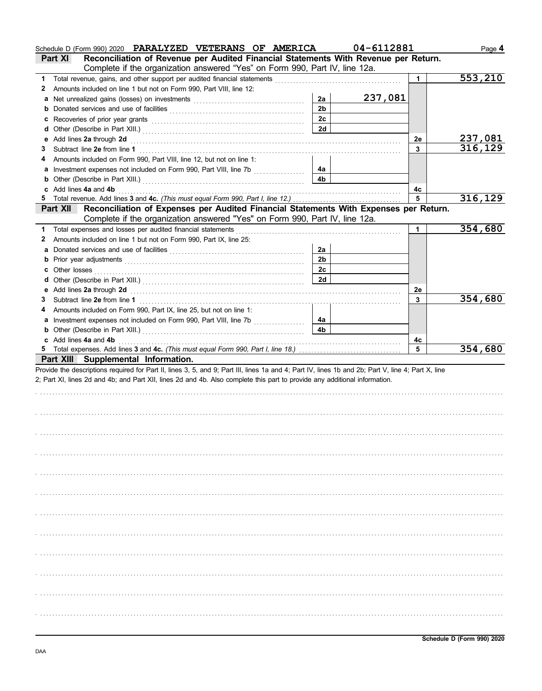|   | Schedule D (Form 990) 2020 PARALYZED VETERANS OF AMERICA                                                                                                                                                                       |                | 04-6112881 |         | Page 4         |
|---|--------------------------------------------------------------------------------------------------------------------------------------------------------------------------------------------------------------------------------|----------------|------------|---------|----------------|
|   | Reconciliation of Revenue per Audited Financial Statements With Revenue per Return.<br>Part XI                                                                                                                                 |                |            |         |                |
|   | Complete if the organization answered "Yes" on Form 990, Part IV, line 12a.                                                                                                                                                    |                |            |         |                |
| 1 | Total revenue, gains, and other support per audited financial statements                                                                                                                                                       |                |            | 1       | 553,210        |
| 2 | Amounts included on line 1 but not on Form 990, Part VIII, line 12:                                                                                                                                                            |                |            |         |                |
| а |                                                                                                                                                                                                                                | 2a             | 237,081    |         |                |
| b |                                                                                                                                                                                                                                | 2 <sub>b</sub> |            |         |                |
| c | Recoveries of prior year grants [11] resonance and prior year grants [11] resonance and prior year grants [11] $\sim$                                                                                                          | 2c             |            |         |                |
| d |                                                                                                                                                                                                                                | 2d             |            |         |                |
|   | Add lines 2a through 2d                                                                                                                                                                                                        |                |            | 2e      | <u>237,081</u> |
| 3 | Subtract line 2e from line 1                                                                                                                                                                                                   |                |            | 3       | 316,129        |
|   | Amounts included on Form 990, Part VIII, line 12, but not on line 1:                                                                                                                                                           |                |            |         |                |
| а | Investment expenses not included on Form 990, Part VIII, line 7b [                                                                                                                                                             | 4a             |            |         |                |
| b |                                                                                                                                                                                                                                | 4b             |            |         |                |
|   | Add lines 4a and 4b                                                                                                                                                                                                            |                |            | 4c      |                |
| 5 | Total revenue. Add lines 3 and 4c. (This must equal Form 990, Part I, line 12.)                                                                                                                                                |                |            | 5       | 316,129        |
|   | Reconciliation of Expenses per Audited Financial Statements With Expenses per Return.<br>Part XII                                                                                                                              |                |            |         |                |
|   | Complete if the organization answered "Yes" on Form 990, Part IV, line 12a.                                                                                                                                                    |                |            |         |                |
| 1 | Total expenses and losses per audited financial statements                                                                                                                                                                     |                |            | 1       | 354,680        |
| 2 | Amounts included on line 1 but not on Form 990, Part IX, line 25:                                                                                                                                                              |                |            |         |                |
| a |                                                                                                                                                                                                                                | 2a             |            |         |                |
| b |                                                                                                                                                                                                                                | 2 <sub>b</sub> |            |         |                |
| c | Other losses                                                                                                                                                                                                                   | 2c             |            |         |                |
| a |                                                                                                                                                                                                                                | 2d             |            |         |                |
|   | Add lines 2a through 2d [11] Additional Additional Additional Additional Additional Additional Additional Additional Additional Additional Additional Additional Additional Additional Additional Additional Additional Additi |                |            | 2e      |                |
| 3 | Subtract line 2e from line 1                                                                                                                                                                                                   |                |            | 3       | 354,680        |
|   | Amounts included on Form 990, Part IX, line 25, but not on line 1:                                                                                                                                                             |                |            |         |                |
| а |                                                                                                                                                                                                                                | 4a             |            |         |                |
| b |                                                                                                                                                                                                                                | 4 <sub>b</sub> |            |         |                |
|   |                                                                                                                                                                                                                                |                |            |         |                |
|   |                                                                                                                                                                                                                                |                |            |         |                |
|   | c Add lines 4a and 4b                                                                                                                                                                                                          |                |            | 4c<br>5 |                |
|   |                                                                                                                                                                                                                                |                |            |         | 354,680        |
|   | Part XIII Supplemental Information.                                                                                                                                                                                            |                |            |         |                |
|   | Provide the descriptions required for Part II, lines 3, 5, and 9; Part III, lines 1a and 4; Part IV, lines 1b and 2b; Part V, line 4; Part X, line                                                                             |                |            |         |                |
|   | 2; Part XI, lines 2d and 4b; and Part XII, lines 2d and 4b. Also complete this part to provide any additional information.                                                                                                     |                |            |         |                |
|   |                                                                                                                                                                                                                                |                |            |         |                |
|   |                                                                                                                                                                                                                                |                |            |         |                |
|   |                                                                                                                                                                                                                                |                |            |         |                |
|   |                                                                                                                                                                                                                                |                |            |         |                |
|   |                                                                                                                                                                                                                                |                |            |         |                |
|   |                                                                                                                                                                                                                                |                |            |         |                |
|   |                                                                                                                                                                                                                                |                |            |         |                |
|   |                                                                                                                                                                                                                                |                |            |         |                |
|   |                                                                                                                                                                                                                                |                |            |         |                |
|   |                                                                                                                                                                                                                                |                |            |         |                |
|   |                                                                                                                                                                                                                                |                |            |         |                |
|   |                                                                                                                                                                                                                                |                |            |         |                |
|   |                                                                                                                                                                                                                                |                |            |         |                |
|   |                                                                                                                                                                                                                                |                |            |         |                |
|   |                                                                                                                                                                                                                                |                |            |         |                |
|   |                                                                                                                                                                                                                                |                |            |         |                |
|   |                                                                                                                                                                                                                                |                |            |         |                |
|   |                                                                                                                                                                                                                                |                |            |         |                |
|   |                                                                                                                                                                                                                                |                |            |         |                |
|   |                                                                                                                                                                                                                                |                |            |         |                |
|   |                                                                                                                                                                                                                                |                |            |         |                |
|   |                                                                                                                                                                                                                                |                |            |         |                |
|   |                                                                                                                                                                                                                                |                |            |         |                |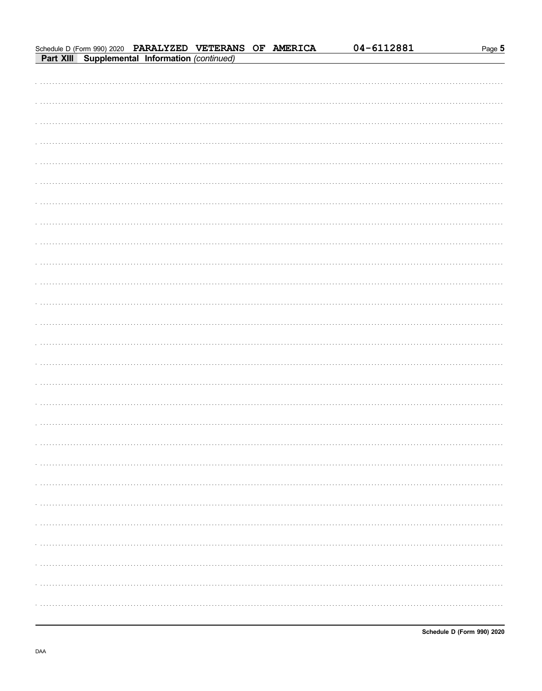|  | Schedule D (Form 990) 2020 PARALYZED VETERANS OF AMERICA<br>Part XIII Supplemental Information (continued) |  | 04-6112881 | Page 5 |
|--|------------------------------------------------------------------------------------------------------------|--|------------|--------|
|  |                                                                                                            |  |            |        |
|  |                                                                                                            |  |            |        |
|  |                                                                                                            |  |            |        |
|  |                                                                                                            |  |            |        |
|  |                                                                                                            |  |            |        |
|  |                                                                                                            |  |            |        |
|  |                                                                                                            |  |            |        |
|  |                                                                                                            |  |            |        |
|  |                                                                                                            |  |            |        |
|  |                                                                                                            |  |            |        |
|  |                                                                                                            |  |            |        |
|  |                                                                                                            |  |            |        |
|  |                                                                                                            |  |            |        |
|  |                                                                                                            |  |            |        |
|  |                                                                                                            |  |            |        |
|  |                                                                                                            |  |            |        |
|  |                                                                                                            |  |            |        |
|  |                                                                                                            |  |            |        |
|  |                                                                                                            |  |            |        |
|  |                                                                                                            |  |            |        |
|  |                                                                                                            |  |            |        |
|  |                                                                                                            |  |            |        |
|  |                                                                                                            |  |            | .      |
|  |                                                                                                            |  |            |        |
|  |                                                                                                            |  |            |        |
|  |                                                                                                            |  |            |        |
|  |                                                                                                            |  |            |        |
|  |                                                                                                            |  |            |        |
|  |                                                                                                            |  |            |        |
|  |                                                                                                            |  |            |        |
|  |                                                                                                            |  |            |        |
|  |                                                                                                            |  |            |        |
|  |                                                                                                            |  |            |        |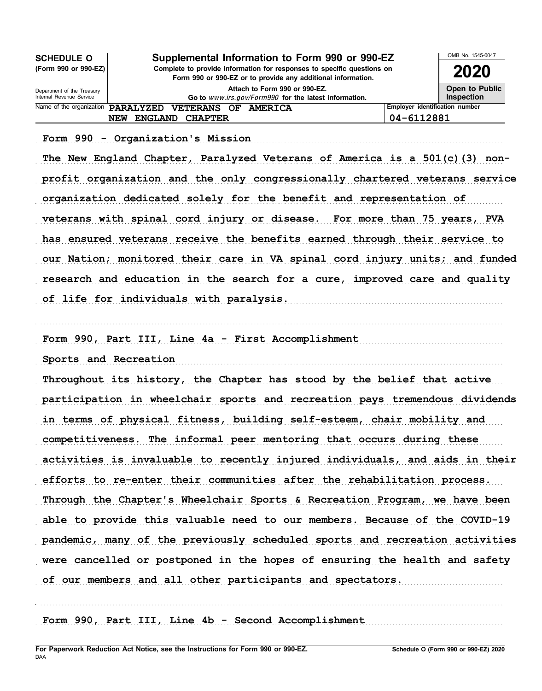| <b>SCHEDULE O</b>                                      | Supplemental Information to Form 990 or 990-EZ                                                                                         | OMB No. 1545-0047              |                                     |  |
|--------------------------------------------------------|----------------------------------------------------------------------------------------------------------------------------------------|--------------------------------|-------------------------------------|--|
| (Form 990 or 990-EZ)                                   | Complete to provide information for responses to specific questions on<br>Form 990 or 990-EZ or to provide any additional information. |                                |                                     |  |
| Department of the Treasury<br>Internal Revenue Service | Attach to Form 990 or 990-EZ.<br>Go to www.irs.gov/Form990 for the latest information.                                                 |                                | Open to Public<br><b>Inspection</b> |  |
| Name of the organization                               | <b>PARALYZED</b><br>VETERANS OF AMERICA                                                                                                | Employer identification number |                                     |  |
|                                                        | <b>CHAPTER</b><br><b>ENGLAND</b><br>NEW                                                                                                | 04-6112881                     |                                     |  |

Form 990 - Organization's Mission (1999) (1999) - Contractor Mission (1999 - Contractor Mission (1999) - Contractor (1999) - Contractor (1999) - Contractor (1999) - Contractor (1999) - Contractor (1999) - Contractor (1999)

The New England Chapter, Paralyzed Veterans of America is a 501(c)(3) nonprofit organization and the only congressionally chartered veterans service organization dedicated solely for the benefit and representation of veterans with spinal cord injury or disease. For more than 75 years, PVA has ensured veterans receive the benefits earned through their service to our Nation; monitored their care in VA spinal cord injury units; and funded research and education in the search for a cure, improved care and quality of life for individuals with paralysis. The contract of the state of the state of the state of the contract of

. . . . . . . . . . . . . . . . . . . . . . . . . . . . . . . . . . . . . . . . . . . . . . . . . . . . . . . . . . . . . . . . . . . . . . . . . . . . . . . . . . . . . . . . . . . . . . . . . . . . . . . . . . . . . . . . . . . . . . . . . . . . . . . . . . . . . . . . . . . . . . . . . . . . . . . . . . .

Form 990, Part III, Line 4a - First Accomplishment

Sports and Recreation (1999) and the second second second second second second second second second second second second second second second second second second second second second second second second second second sec

Throughout its history, the Chapter has stood by the belief that active participation in wheelchair sports and recreation pays tremendous dividends in terms of physical fitness, building self-esteem, chair mobility and competitiveness. The informal peer mentoring that occurs during these activities is invaluable to recently injured individuals, and aids in their efforts to re-enter their communities after the rehabilitation process. Through the Chapter's Wheelchair Sports & Recreation Program, we have been able to provide this valuable need to our members. Because of the COVID-19 pandemic, many of the previously scheduled sports and recreation activities were cancelled or postponed in the hopes of ensuring the health and safety of our members and all other participants and spectators.

. . . . . . . . . . . . . . . . . . . . . . . . . . . . . . . . . . . . . . . . . . . . . . . . . . . . . . . . . . . . . . . . . . . . . . . . . . . . . . . . . . . . . . . . . . . . . . . . . . . . . . . . . . . . . . . . . . . . . . . . . . . . . . . . . . . . . . . . . . . . . . . . . . . . . . . . . . .

Form 990, Part III, Line 4b - Second Accomplishment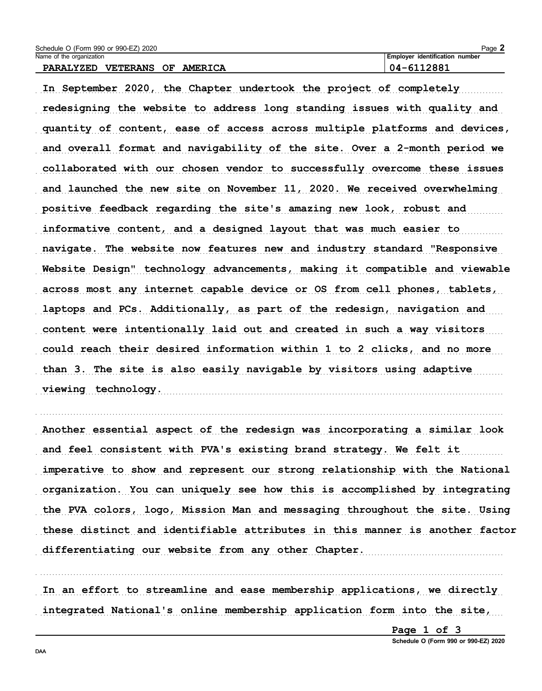| Schedule O (Form 990 or 990-EZ) 2020                 | Page 2                                |
|------------------------------------------------------|---------------------------------------|
| Name of the organization                             | <b>Employer identification number</b> |
| VETERANS<br><b>PARALYZED</b><br><b>AMERICA</b><br>OF | $04 - 6112881$                        |

In September 2020, the Chapter undertook the project of completely redesigning the website to address long standing issues with quality and quantity of content, ease of access across multiple platforms and devices, and overall format and navigability of the site. Over a 2-month period we collaborated with our chosen vendor to successfully overcome these issues and launched the new site on November 11, 2020. We received overwhelming positive feedback regarding the site's amazing new look, robust and informative content, and a designed layout that was much easier to navigate. The website now features new and industry standard "Responsive Website Design" technology advancements, making it compatible and viewable across most any internet capable device or OS from cell phones, tablets, laptops and PCs. Additionally, as part of the redesign, navigation and content were intentionally laid out and created in such a way visitors could reach their desired information within 1 to 2 clicks, and no more than 3. The site is also easily navigable by visitors using adaptive viewing technology. 

Another essential aspect of the redesign was incorporating a similar look and feel consistent with PVA's existing brand strategy. We felt it imperative to show and represent our strong relationship with the National organization. You can uniquely see how this is accomplished by integrating the PVA colors, logo, Mission Man and messaging throughout the site. Using these distinct and identifiable attributes in this manner is another factor differentiating our website from any other Chapter.

In an effort to streamline and ease membership applications, we directly integrated National's online membership application form into the site,

Page 1 of 3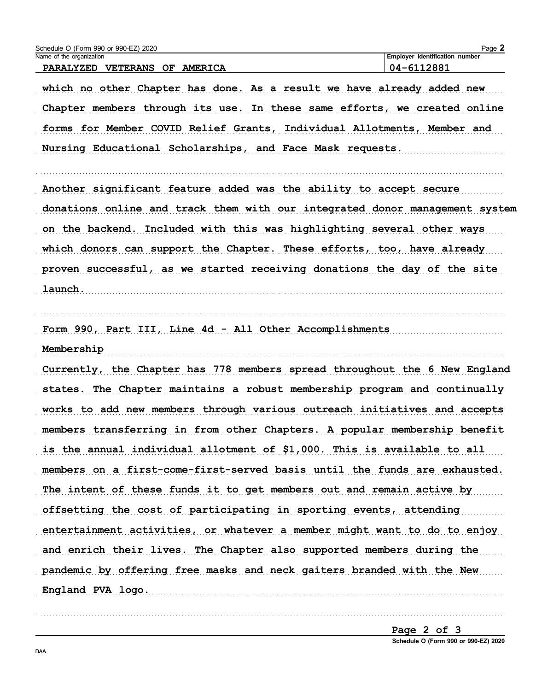| Schedule O (Form 990 or 990-EZ) 2020<br>Name of the organization                                                                                    | Page 2<br>Employer identification number |
|-----------------------------------------------------------------------------------------------------------------------------------------------------|------------------------------------------|
| PARALYZED VETERANS OF AMERICA                                                                                                                       | 04-6112881                               |
| which no other Chapter has done. As a result we have already added new<br>Chapter members through its use. In these same efforts, we created online |                                          |
| forms for Member COVID Relief Grants, Individual Allotments, Member and                                                                             |                                          |
| Nursing Educational Scholarships, and Face Mask requests.                                                                                           |                                          |
| Another significant feature added was the ability to accept secure                                                                                  |                                          |
| donations online and track them with our integrated donor management system                                                                         |                                          |
| on the backend. Included with this was highlighting several other ways                                                                              |                                          |
| which donors can support the Chapter. These efforts, too, have already                                                                              |                                          |
| proven successful, as we started receiving donations the day of the site                                                                            |                                          |
| launch.                                                                                                                                             |                                          |
| Form 990, Part III, Line 4d - All Other Accomplishments                                                                                             |                                          |
| Membership                                                                                                                                          |                                          |
| Currently, the Chapter has 778 members spread throughout the 6 New England                                                                          |                                          |
| states. The Chapter maintains a robust membership program and continually                                                                           |                                          |
| works to add new members through various outreach initiatives and accepts                                                                           |                                          |
| members transferring in from other Chapters. A popular membership benefit                                                                           |                                          |
| is the annual individual allotment of \$1,000. This is available to all                                                                             |                                          |
| members on a first-come-first-served basis until the funds are exhausted.                                                                           |                                          |
| The intent of these funds it to get members out and remain active by                                                                                |                                          |
| offsetting the cost of participating in sporting events, attending                                                                                  |                                          |
| entertainment activities, or whatever a member might want to do to enjoy                                                                            |                                          |
| and enrich their lives. The Chapter also supported members during the                                                                               |                                          |
| pandemic by offering free masks and neck gaiters branded with the New                                                                               |                                          |
| England PVA logo.                                                                                                                                   |                                          |

Page 2 of 3<br>Schedule 0 (Form 990 or 990-EZ) 2020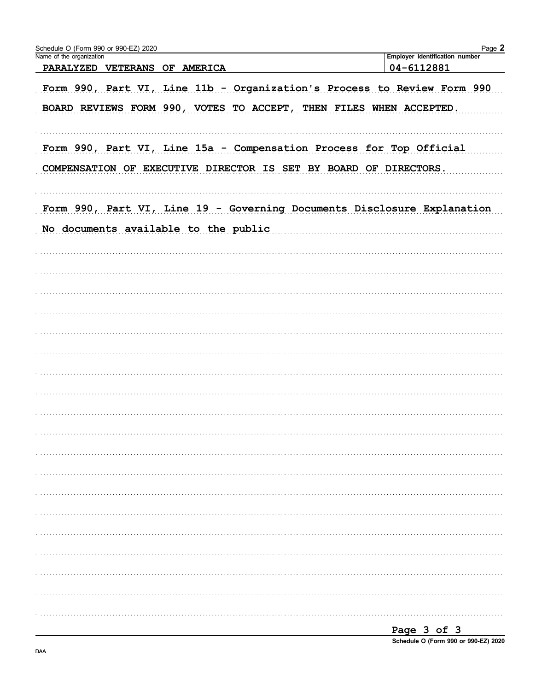| Schedule O (Form 990 or 990-EZ) 2020<br>Name of the organization |                                                                                                                                               | Page 2<br>Employer identification number |
|------------------------------------------------------------------|-----------------------------------------------------------------------------------------------------------------------------------------------|------------------------------------------|
| PARALYZED VETERANS OF AMERICA                                    |                                                                                                                                               | 04-6112881                               |
|                                                                  | Form 990, Part VI, Line 11b - Organization's Process to Review Form 990<br>BOARD REVIEWS FORM 990, VOTES TO ACCEPT, THEN FILES WHEN ACCEPTED. |                                          |
|                                                                  | Form 990, Part VI, Line 15a - Compensation Process for Top Official<br>COMPENSATION OF EXECUTIVE DIRECTOR IS SET BY BOARD OF DIRECTORS.       |                                          |
|                                                                  | Form 990, Part VI, Line 19 - Governing Documents Disclosure Explanation                                                                       |                                          |
| No documents available to the public                             |                                                                                                                                               |                                          |
|                                                                  |                                                                                                                                               |                                          |
|                                                                  |                                                                                                                                               |                                          |
|                                                                  |                                                                                                                                               |                                          |
|                                                                  |                                                                                                                                               |                                          |
|                                                                  |                                                                                                                                               |                                          |
|                                                                  |                                                                                                                                               |                                          |
|                                                                  |                                                                                                                                               |                                          |
|                                                                  |                                                                                                                                               |                                          |
|                                                                  |                                                                                                                                               |                                          |
|                                                                  |                                                                                                                                               |                                          |
|                                                                  |                                                                                                                                               |                                          |
|                                                                  |                                                                                                                                               |                                          |
|                                                                  |                                                                                                                                               |                                          |
|                                                                  |                                                                                                                                               |                                          |
|                                                                  |                                                                                                                                               |                                          |
|                                                                  |                                                                                                                                               |                                          |
|                                                                  |                                                                                                                                               |                                          |
|                                                                  |                                                                                                                                               |                                          |
|                                                                  |                                                                                                                                               |                                          |

Page 3 of 3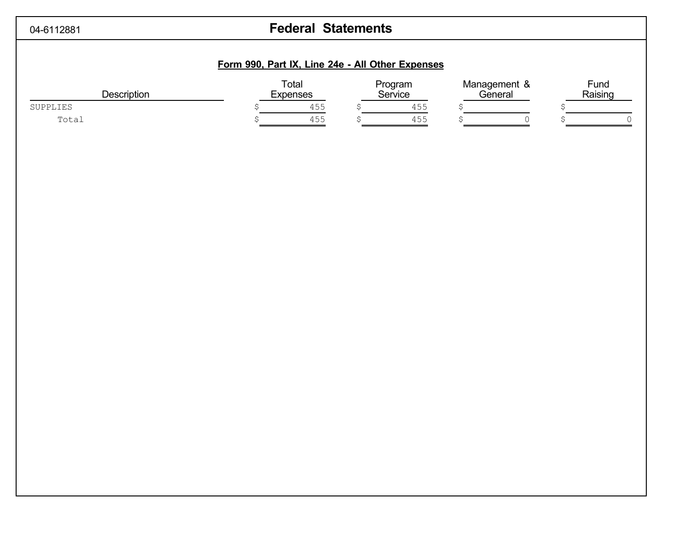# 04-6112881 **Federal Statements**

## **Form 990, Part IX, Line 24e - All Other Expenses**

| Description | Total<br><b>Expenses</b> |     | Program<br>Service | Management &<br>General | Fund<br>Raising |
|-------------|--------------------------|-----|--------------------|-------------------------|-----------------|
| SUPPLIES    |                          | 455 | 455                |                         |                 |
| Total       |                          | 455 | 455                |                         |                 |